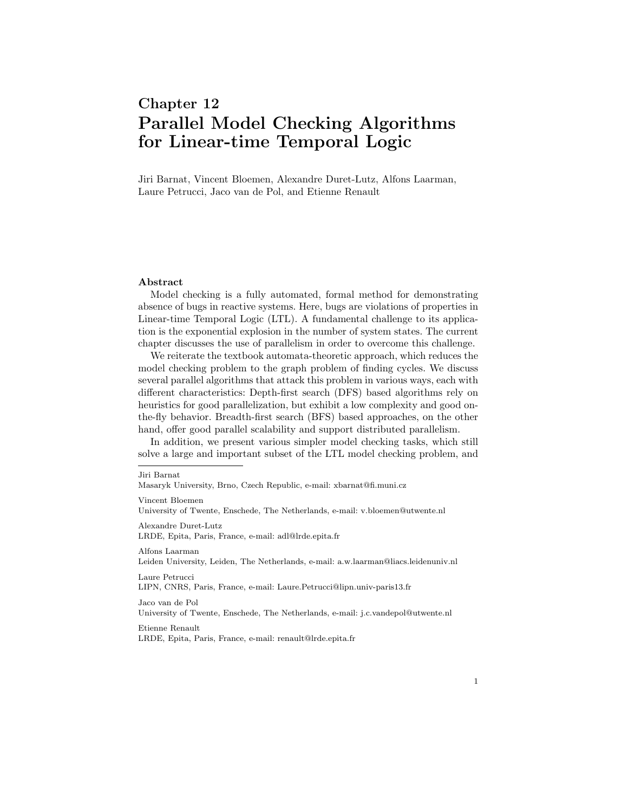# Chapter 12 Parallel Model Checking Algorithms for Linear-time Temporal Logic

Jiri Barnat, Vincent Bloemen, Alexandre Duret-Lutz, Alfons Laarman, Laure Petrucci, Jaco van de Pol, and Etienne Renault

#### Abstract

Model checking is a fully automated, formal method for demonstrating absence of bugs in reactive systems. Here, bugs are violations of properties in Linear-time Temporal Logic (LTL). A fundamental challenge to its application is the exponential explosion in the number of system states. The current chapter discusses the use of parallelism in order to overcome this challenge.

We reiterate the textbook automata-theoretic approach, which reduces the model checking problem to the graph problem of finding cycles. We discuss several parallel algorithms that attack this problem in various ways, each with different characteristics: Depth-first search (DFS) based algorithms rely on heuristics for good parallelization, but exhibit a low complexity and good onthe-fly behavior. Breadth-first search (BFS) based approaches, on the other hand, offer good parallel scalability and support distributed parallelism.

In addition, we present various simpler model checking tasks, which still solve a large and important subset of the LTL model checking problem, and

Jiri Barnat

Vincent Bloemen

```
University of Twente, Enschede, The Netherlands, e-mail: v.bloemen@utwente.nl
```
Alexandre Duret-Lutz LRDE, Epita, Paris, France, e-mail: adl@lrde.epita.fr Alfons Laarman

Leiden University, Leiden, The Netherlands, e-mail: a.w.laarman@liacs.leidenuniv.nl

LIPN, CNRS, Paris, France, e-mail: Laure.Petrucci@lipn.univ-paris13.fr

#### Jaco van de Pol

Laure Petrucci

University of Twente, Enschede, The Netherlands, e-mail: j.c.vandepol@utwente.nl

Etienne Renault LRDE, Epita, Paris, France, e-mail: renault@lrde.epita.fr

Masaryk University, Brno, Czech Republic, e-mail: xbarnat@fi.muni.cz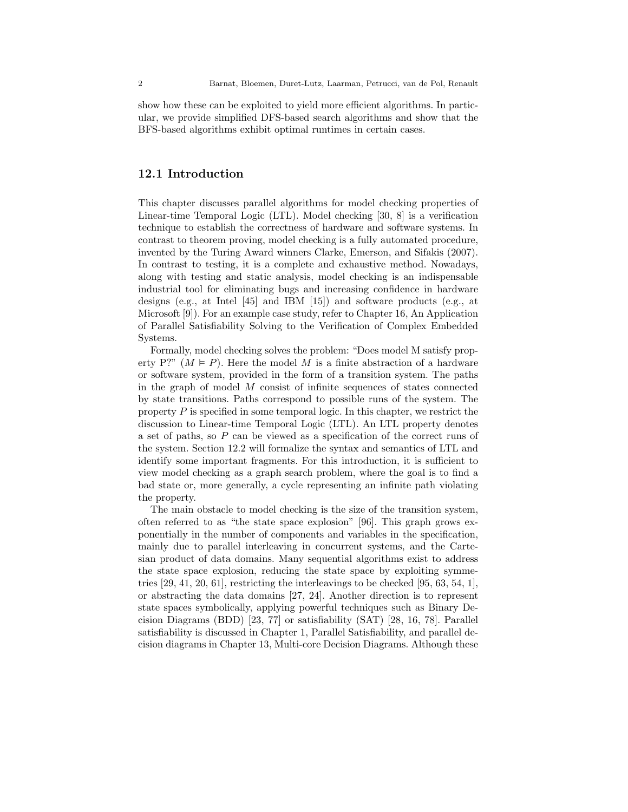show how these can be exploited to yield more efficient algorithms. In particular, we provide simplified DFS-based search algorithms and show that the BFS-based algorithms exhibit optimal runtimes in certain cases.

# 12.1 Introduction

This chapter discusses parallel algorithms for model checking properties of Linear-time Temporal Logic (LTL). Model checking [30, 8] is a verification technique to establish the correctness of hardware and software systems. In contrast to theorem proving, model checking is a fully automated procedure, invented by the Turing Award winners Clarke, Emerson, and Sifakis (2007). In contrast to testing, it is a complete and exhaustive method. Nowadays, along with testing and static analysis, model checking is an indispensable industrial tool for eliminating bugs and increasing confidence in hardware designs (e.g., at Intel [45] and IBM [15]) and software products (e.g., at Microsoft [9]). For an example case study, refer to Chapter 16, An Application of Parallel Satisfiability Solving to the Verification of Complex Embedded Systems.

Formally, model checking solves the problem: "Does model M satisfy property P?" ( $M \models P$ ). Here the model M is a finite abstraction of a hardware or software system, provided in the form of a transition system. The paths in the graph of model  $M$  consist of infinite sequences of states connected by state transitions. Paths correspond to possible runs of the system. The property  $P$  is specified in some temporal logic. In this chapter, we restrict the discussion to Linear-time Temporal Logic (LTL). An LTL property denotes a set of paths, so P can be viewed as a specification of the correct runs of the system. Section 12.2 will formalize the syntax and semantics of LTL and identify some important fragments. For this introduction, it is sufficient to view model checking as a graph search problem, where the goal is to find a bad state or, more generally, a cycle representing an infinite path violating the property.

The main obstacle to model checking is the size of the transition system, often referred to as "the state space explosion" [96]. This graph grows exponentially in the number of components and variables in the specification, mainly due to parallel interleaving in concurrent systems, and the Cartesian product of data domains. Many sequential algorithms exist to address the state space explosion, reducing the state space by exploiting symmetries  $[29, 41, 20, 61]$ , restricting the interleavings to be checked  $[95, 63, 54, 1]$ , or abstracting the data domains [27, 24]. Another direction is to represent state spaces symbolically, applying powerful techniques such as Binary Decision Diagrams (BDD) [23, 77] or satisfiability (SAT) [28, 16, 78]. Parallel satisfiability is discussed in Chapter 1, Parallel Satisfiability, and parallel decision diagrams in Chapter 13, Multi-core Decision Diagrams. Although these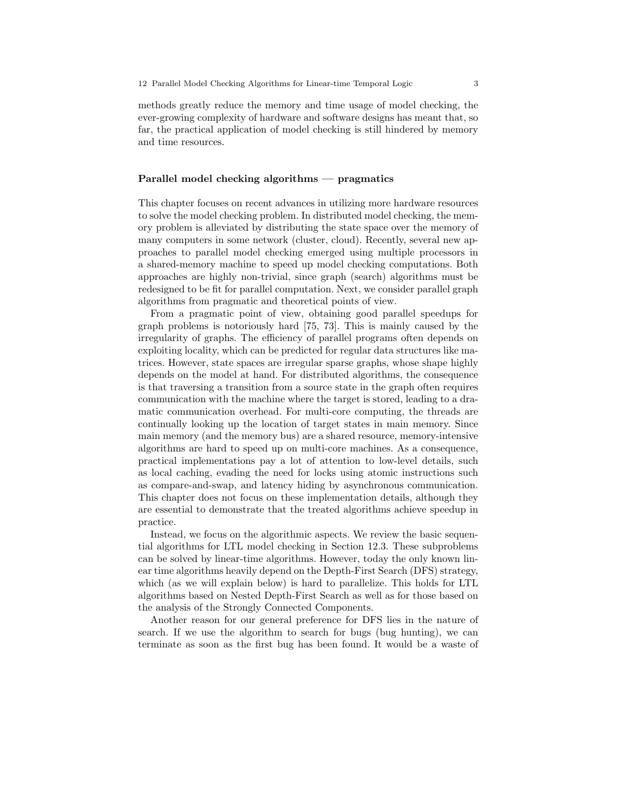methods greatly reduce the memory and time usage of model checking, the ever-growing complexity of hardware and software designs has meant that, so far, the practical application of model checking is still hindered by memory and time resources.

#### Parallel model checking algorithms — pragmatics

This chapter focuses on recent advances in utilizing more hardware resources to solve the model checking problem. In distributed model checking, the memory problem is alleviated by distributing the state space over the memory of many computers in some network (cluster, cloud). Recently, several new approaches to parallel model checking emerged using multiple processors in a shared-memory machine to speed up model checking computations. Both approaches are highly non-trivial, since graph (search) algorithms must be redesigned to be fit for parallel computation. Next, we consider parallel graph algorithms from pragmatic and theoretical points of view.

From a pragmatic point of view, obtaining good parallel speedups for graph problems is notoriously hard [75, 73]. This is mainly caused by the irregularity of graphs. The efficiency of parallel programs often depends on exploiting locality, which can be predicted for regular data structures like matrices. However, state spaces are irregular sparse graphs, whose shape highly depends on the model at hand. For distributed algorithms, the consequence is that traversing a transition from a source state in the graph often requires communication with the machine where the target is stored, leading to a dramatic communication overhead. For multi-core computing, the threads are continually looking up the location of target states in main memory. Since main memory (and the memory bus) are a shared resource, memory-intensive algorithms are hard to speed up on multi-core machines. As a consequence, practical implementations pay a lot of attention to low-level details, such as local caching, evading the need for locks using atomic instructions such as compare-and-swap, and latency hiding by asynchronous communication. This chapter does not focus on these implementation details, although they are essential to demonstrate that the treated algorithms achieve speedup in practice.

Instead, we focus on the algorithmic aspects. We review the basic sequential algorithms for LTL model checking in Section 12.3. These subproblems can be solved by linear-time algorithms. However, today the only known linear time algorithms heavily depend on the Depth-First Search (DFS) strategy, which (as we will explain below) is hard to parallelize. This holds for LTL algorithms based on Nested Depth-First Search as well as for those based on the analysis of the Strongly Connected Components.

Another reason for our general preference for DFS lies in the nature of search. If we use the algorithm to search for bugs (bug hunting), we can terminate as soon as the first bug has been found. It would be a waste of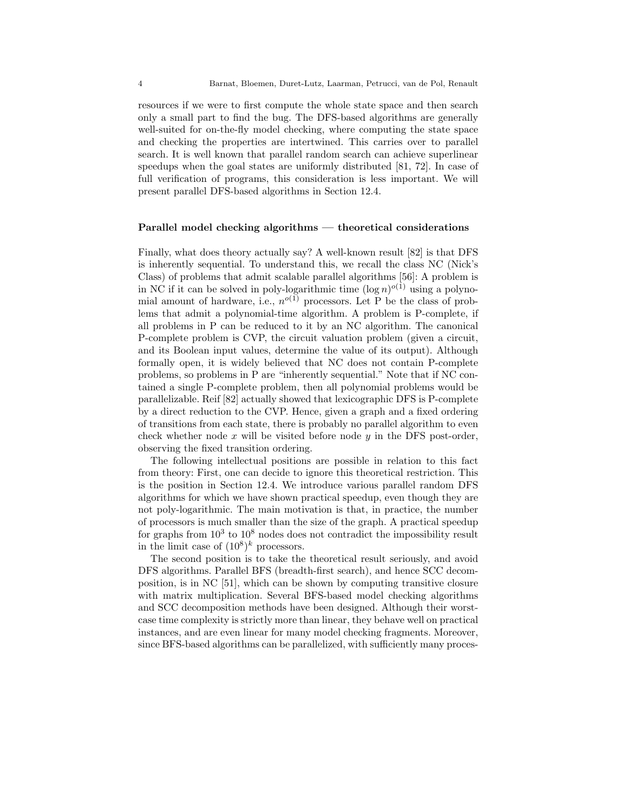resources if we were to first compute the whole state space and then search only a small part to find the bug. The DFS-based algorithms are generally well-suited for on-the-fly model checking, where computing the state space and checking the properties are intertwined. This carries over to parallel search. It is well known that parallel random search can achieve superlinear speedups when the goal states are uniformly distributed [81, 72]. In case of full verification of programs, this consideration is less important. We will present parallel DFS-based algorithms in Section 12.4.

#### Parallel model checking algorithms — theoretical considerations

Finally, what does theory actually say? A well-known result [82] is that DFS is inherently sequential. To understand this, we recall the class NC (Nick's Class) of problems that admit scalable parallel algorithms [56]: A problem is in NC if it can be solved in poly-logarithmic time  $(\log n)^{o(1)}$  using a polynomial amount of hardware, i.e.,  $n^{o(1)}$  processors. Let P be the class of problems that admit a polynomial-time algorithm. A problem is P-complete, if all problems in P can be reduced to it by an NC algorithm. The canonical P-complete problem is CVP, the circuit valuation problem (given a circuit, and its Boolean input values, determine the value of its output). Although formally open, it is widely believed that NC does not contain P-complete problems, so problems in P are "inherently sequential." Note that if NC contained a single P-complete problem, then all polynomial problems would be parallelizable. Reif [82] actually showed that lexicographic DFS is P-complete by a direct reduction to the CVP. Hence, given a graph and a fixed ordering of transitions from each state, there is probably no parallel algorithm to even check whether node  $x$  will be visited before node  $y$  in the DFS post-order, observing the fixed transition ordering.

The following intellectual positions are possible in relation to this fact from theory: First, one can decide to ignore this theoretical restriction. This is the position in Section 12.4. We introduce various parallel random DFS algorithms for which we have shown practical speedup, even though they are not poly-logarithmic. The main motivation is that, in practice, the number of processors is much smaller than the size of the graph. A practical speedup for graphs from  $10^3$  to  $10^8$  nodes does not contradict the impossibility result in the limit case of  $(10^8)^k$  processors.

The second position is to take the theoretical result seriously, and avoid DFS algorithms. Parallel BFS (breadth-first search), and hence SCC decomposition, is in NC [51], which can be shown by computing transitive closure with matrix multiplication. Several BFS-based model checking algorithms and SCC decomposition methods have been designed. Although their worstcase time complexity is strictly more than linear, they behave well on practical instances, and are even linear for many model checking fragments. Moreover, since BFS-based algorithms can be parallelized, with sufficiently many proces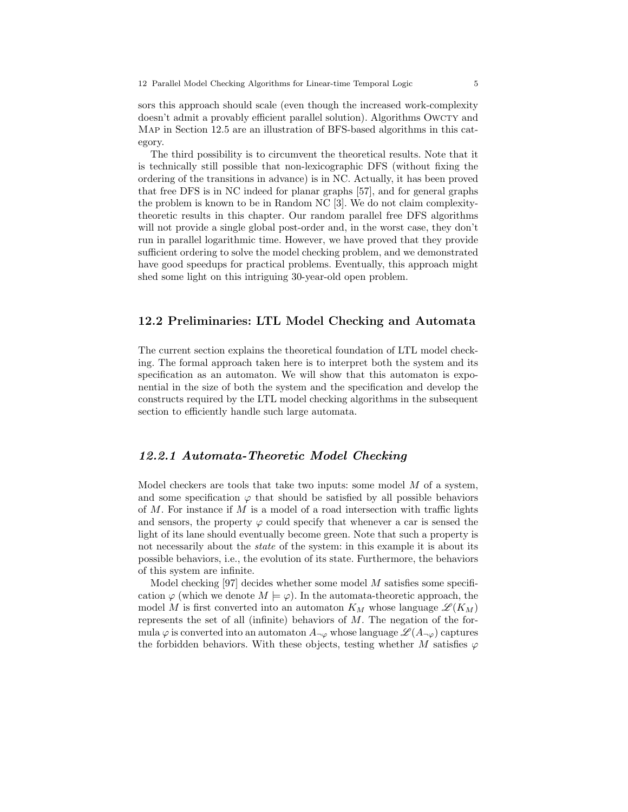sors this approach should scale (even though the increased work-complexity doesn't admit a provably efficient parallel solution). Algorithms OwcTY and Map in Section 12.5 are an illustration of BFS-based algorithms in this category.

The third possibility is to circumvent the theoretical results. Note that it is technically still possible that non-lexicographic DFS (without fixing the ordering of the transitions in advance) is in NC. Actually, it has been proved that free DFS is in NC indeed for planar graphs [57], and for general graphs the problem is known to be in Random NC [3]. We do not claim complexitytheoretic results in this chapter. Our random parallel free DFS algorithms will not provide a single global post-order and, in the worst case, they don't run in parallel logarithmic time. However, we have proved that they provide sufficient ordering to solve the model checking problem, and we demonstrated have good speedups for practical problems. Eventually, this approach might shed some light on this intriguing 30-year-old open problem.

# 12.2 Preliminaries: LTL Model Checking and Automata

The current section explains the theoretical foundation of LTL model checking. The formal approach taken here is to interpret both the system and its specification as an automaton. We will show that this automaton is exponential in the size of both the system and the specification and develop the constructs required by the LTL model checking algorithms in the subsequent section to efficiently handle such large automata.

## 12.2.1 Automata-Theoretic Model Checking

Model checkers are tools that take two inputs: some model  $M$  of a system, and some specification  $\varphi$  that should be satisfied by all possible behaviors of  $M$ . For instance if  $M$  is a model of a road intersection with traffic lights and sensors, the property  $\varphi$  could specify that whenever a car is sensed the light of its lane should eventually become green. Note that such a property is not necessarily about the *state* of the system: in this example it is about its possible behaviors, i.e., the evolution of its state. Furthermore, the behaviors of this system are infinite.

Model checking [97] decides whether some model M satisfies some specification  $\varphi$  (which we denote  $M \models \varphi$ ). In the automata-theoretic approach, the model M is first converted into an automaton  $K_M$  whose language  $\mathscr{L}(K_M)$ represents the set of all (infinite) behaviors of  $M$ . The negation of the formula  $\varphi$  is converted into an automaton  $A_{\neg \varphi}$  whose language  $\mathscr{L}(A_{\neg \varphi})$  captures the forbidden behaviors. With these objects, testing whether M satisfies  $\varphi$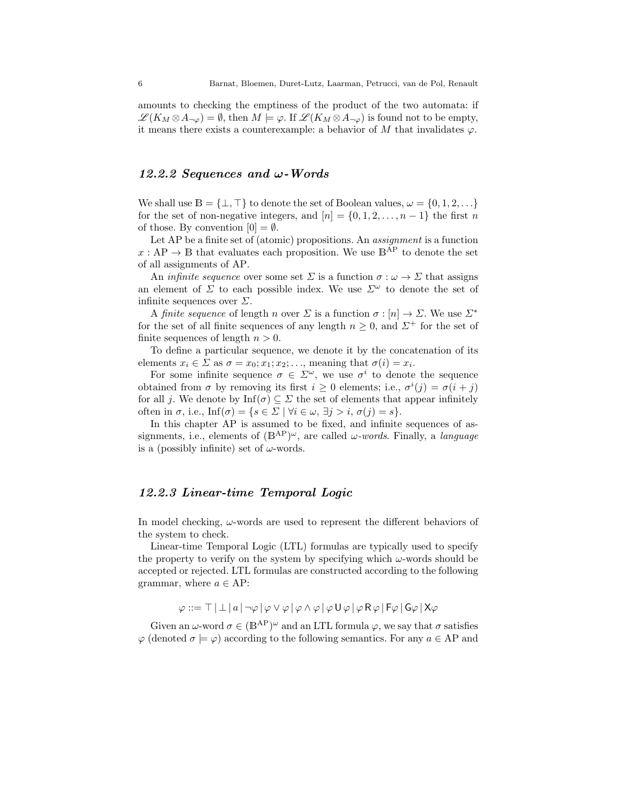amounts to checking the emptiness of the product of the two automata: if  $\mathscr{L}(K_M \otimes A_{\neg \varphi}) = \emptyset$ , then  $M \models \varphi$ . If  $\mathscr{L}(K_M \otimes A_{\neg \varphi})$  is found not to be empty, it means there exists a counterexample: a behavior of M that invalidates  $\varphi$ .

#### 12.2.2 Sequences and ω-Words

We shall use  $\mathbb{B} = \{\perp, \top\}$  to denote the set of Boolean values,  $\omega = \{0, 1, 2, \ldots\}$ for the set of non-negative integers, and  $[n] = \{0, 1, 2, \ldots, n-1\}$  the first n of those. By convention  $[0] = \emptyset$ .

Let AP be a finite set of (atomic) propositions. An *assignment* is a function  $x: AP \to B$  that evaluates each proposition. We use  $B^{AP}$  to denote the set of all assignments of AP.

An *infinite sequence* over some set  $\Sigma$  is a function  $\sigma : \omega \to \Sigma$  that assigns an element of  $\Sigma$  to each possible index. We use  $\Sigma^{\omega}$  to denote the set of infinite sequences over  $\Sigma$ .

A finite sequence of length n over  $\Sigma$  is a function  $\sigma : [n] \to \Sigma$ . We use  $\Sigma^*$ for the set of all finite sequences of any length  $n \geq 0$ , and  $\Sigma^+$  for the set of finite sequences of length  $n > 0$ .

To define a particular sequence, we denote it by the concatenation of its elements  $x_i \in \Sigma$  as  $\sigma = x_0; x_1; x_2; \ldots$ , meaning that  $\sigma(i) = x_i$ .

For some infinite sequence  $\sigma \in \Sigma^{\omega}$ , we use  $\sigma^{i}$  to denote the sequence obtained from  $\sigma$  by removing its first  $i \geq 0$  elements; i.e.,  $\sigma^{i}(j) = \sigma(i + j)$ for all j. We denote by  $\text{Inf}(\sigma) \subseteq \Sigma$  the set of elements that appear infinitely often in  $\sigma$ , i.e., Inf $(\sigma) = \{ s \in \Sigma \mid \forall i \in \omega, \exists j > i, \sigma(j) = s \}.$ 

In this chapter AP is assumed to be fixed, and infinite sequences of assignments, i.e., elements of  $(\mathbb{B}^{AP})^{\omega}$ , are called  $\omega$ -words. Finally, a *language* is a (possibly infinite) set of  $\omega$ -words.

### 12.2.3 Linear-time Temporal Logic

In model checking,  $\omega$ -words are used to represent the different behaviors of the system to check.

Linear-time Temporal Logic (LTL) formulas are typically used to specify the property to verify on the system by specifying which  $\omega$ -words should be accepted or rejected. LTL formulas are constructed according to the following grammar, where  $a \in AP$ :

$$
\varphi ::= \top | \bot | a | \neg \varphi | \varphi \vee \varphi | \varphi \wedge \varphi | \varphi \mathsf{U} \varphi | \varphi \mathsf{R} \varphi | \mathsf{F} \varphi | \mathsf{G} \varphi | \mathsf{X} \varphi
$$

Given an  $\omega$ -word  $\sigma \in (B^{AP})^{\omega}$  and an LTL formula  $\varphi$ , we say that  $\sigma$  satisfies  $\varphi$  (denoted  $\sigma \models \varphi$ ) according to the following semantics. For any  $a \in AP$  and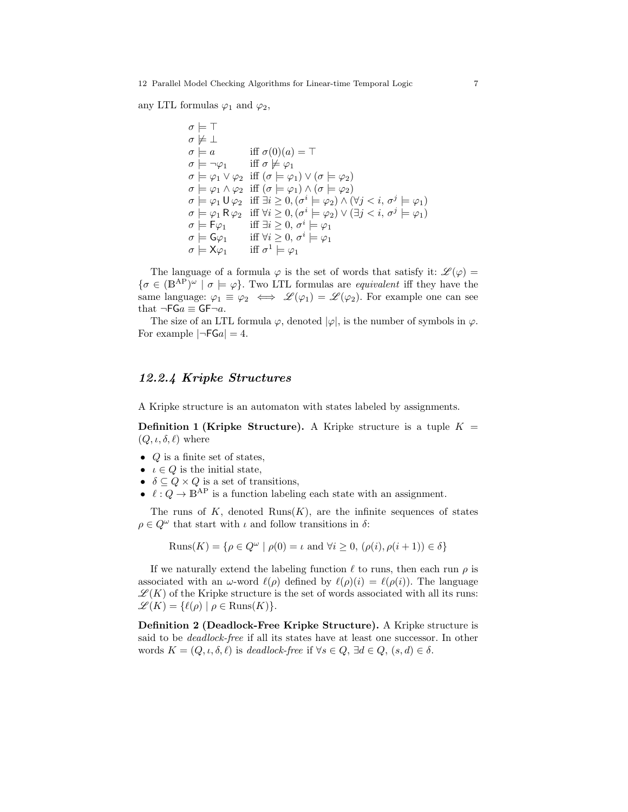12 Parallel Model Checking Algorithms for Linear-time Temporal Logic 7

any LTL formulas  $\varphi_1$  and  $\varphi_2$ ,

```
\sigma \models \top\sigma \not\models \bot\sigma \models a iff \sigma(0)(a) = \top\sigma \models \neg \varphi_1 iff \sigma \not\models \varphi_1\sigma \models \varphi_1 \vee \varphi_2 iff (\sigma \models \varphi_1) \vee (\sigma \models \varphi_2)\sigma \models \varphi_1 \wedge \varphi_2 iff (\sigma \models \varphi_1) \wedge (\sigma \models \varphi_2)\sigma \models \varphi_1 \cup \varphi_2 \text{ iff } \exists i \geq 0, (\sigma^i \models \varphi_2) \land (\forall j < i, \sigma^j \models \varphi_1)\sigma \models \varphi_1 \mathsf{R} \varphi_2 \text{ iff } \forall i \geq 0, (\sigma^i \models \varphi_2) \vee (\exists j < i, \sigma^j \models \varphi_1)\sigma \models \mathsf{F}\varphi_1 iff \exists i \geq 0, \, \sigma^i \models \varphi_1\sigma \models \mathsf{G}\varphi_1 \quad \text{iff } \forall i \geq 0, \, \sigma^i \models \varphi_1\sigma \models \mathsf{X} \varphi_1 iff \sigma^1 \models \varphi_1
```
The language of a formula  $\varphi$  is the set of words that satisfy it:  $\mathscr{L}(\varphi)$  =  $\{\sigma \in (B^{\text{AP}})^\omega \mid \sigma \models \varphi\}.$  Two LTL formulas are *equivalent* iff they have the same language:  $\varphi_1 \equiv \varphi_2 \iff \mathscr{L}(\varphi_1) = \mathscr{L}(\varphi_2)$ . For example one can see that  $\neg$ **FG** $a \equiv$  **GF** $\neg a$ .

The size of an LTL formula  $\varphi$ , denoted  $|\varphi|$ , is the number of symbols in  $\varphi$ . For example  $|\neg \textsf{FG} a| = 4$ .

# 12.2.4 Kripke Structures

A Kripke structure is an automaton with states labeled by assignments.

**Definition 1 (Kripke Structure).** A Kripke structure is a tuple  $K =$  $(Q, \iota, \delta, \ell)$  where

- $Q$  is a finite set of states,
- $\iota \in Q$  is the initial state,
- $\delta \subseteq Q \times Q$  is a set of transitions,
- $\ell : Q \to \mathbb{B}^{\mathsf{AP}}$  is a function labeling each state with an assignment.

The runs of  $K$ , denoted  $\text{Runs}(K)$ , are the infinite sequences of states  $\rho \in Q^{\omega}$  that start with  $\iota$  and follow transitions in  $\delta$ :

$$
\text{Runs}(K) = \{ \rho \in Q^{\omega} \mid \rho(0) = \iota \text{ and } \forall i \ge 0, \ (\rho(i), \rho(i+1)) \in \delta \}
$$

If we naturally extend the labeling function  $\ell$  to runs, then each run  $\rho$  is associated with an  $\omega$ -word  $\ell(\rho)$  defined by  $\ell(\rho)(i) = \ell(\rho(i))$ . The language  $\mathscr{L}(K)$  of the Kripke structure is the set of words associated with all its runs:  $\mathscr{L}(K) = \{ \ell(\rho) \mid \rho \in \text{Runs}(K) \}.$ 

Definition 2 (Deadlock-Free Kripke Structure). A Kripke structure is said to be deadlock-free if all its states have at least one successor. In other words  $K = (Q, \iota, \delta, \ell)$  is deadlock-free if  $\forall s \in Q, \exists d \in Q, (s, d) \in \delta$ .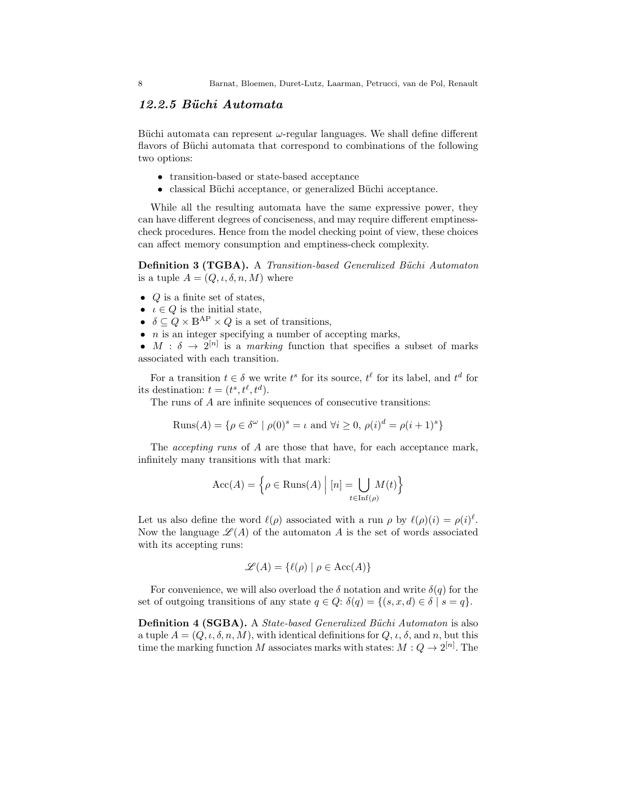#### 12.2.5 Büchi Automata

Büchi automata can represent  $\omega$ -regular languages. We shall define different flavors of Büchi automata that correspond to combinations of the following two options:

- transition-based or state-based acceptance
- classical Büchi acceptance, or generalized Büchi acceptance.

While all the resulting automata have the same expressive power, they can have different degrees of conciseness, and may require different emptinesscheck procedures. Hence from the model checking point of view, these choices can affect memory consumption and emptiness-check complexity.

Definition 3 (TGBA). A Transition-based Generalized Büchi Automaton is a tuple  $A = (Q, \iota, \delta, n, M)$  where

- $Q$  is a finite set of states,
- $\iota \in Q$  is the initial state,
- $\delta \subseteq Q \times \mathbb{B}^{\mathsf{AP}} \times Q$  is a set of transitions,
- $\bullet$  *n* is an integer specifying a number of accepting marks,

•  $M : \delta \to 2^{[n]}$  is a marking function that specifies a subset of marks associated with each transition.

For a transition  $t \in \delta$  we write  $t^s$  for its source,  $t^{\ell}$  for its label, and  $t^d$  for its destination:  $t = (t^s, t^{\ell}, t^d)$ .

The runs of A are infinite sequences of consecutive transitions:

Runs(A) = {ρ ∈ δ ω | ρ(0)<sup>s</sup> = ι and ∀i ≥ 0, ρ(i) <sup>d</sup> = ρ(i + 1)<sup>s</sup> }

The *accepting runs* of A are those that have, for each acceptance mark, infinitely many transitions with that mark:

$$
Acc(A) = \left\{ \rho \in \text{Runs}(A) \mid [n] = \bigcup_{t \in \text{Inf}(\rho)} M(t) \right\}
$$

Let us also define the word  $\ell(\rho)$  associated with a run  $\rho$  by  $\ell(\rho)(i) = \rho(i)^{\ell}$ . Now the language  $\mathscr{L}(A)$  of the automaton A is the set of words associated with its accepting runs:

$$
\mathcal{L}(A) = \{ \ell(\rho) \mid \rho \in \text{Acc}(A) \}
$$

For convenience, we will also overload the  $\delta$  notation and write  $\delta(q)$  for the set of outgoing transitions of any state  $q \in Q$ :  $\delta(q) = \{(s, x, d) \in \delta \mid s = q\}.$ 

Definition 4 (SGBA). A State-based Generalized Büchi Automaton is also a tuple  $A = (Q, \iota, \delta, n, M)$ , with identical definitions for  $Q, \iota, \delta$ , and  $n$ , but this time the marking function M associates marks with states:  $M: Q \to 2^{[n]}$ . The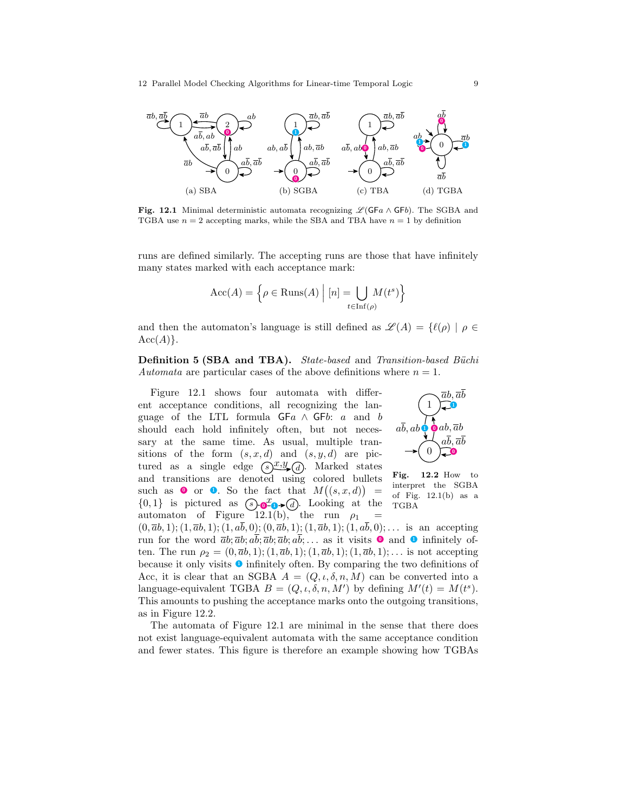

Fig. 12.1 Minimal deterministic automata recognizing  $\mathscr{L}(\mathsf{GFa}\wedge\mathsf{GF}b)$ . The SGBA and TGBA use  $n = 2$  accepting marks, while the SBA and TBA have  $n = 1$  by definition

runs are defined similarly. The accepting runs are those that have infinitely many states marked with each acceptance mark:

$$
Acc(A) = \left\{ \rho \in \text{Runs}(A) \mid [n] = \bigcup_{t \in \text{Inf}(\rho)} M(t^s) \right\}
$$

and then the automaton's language is still defined as  $\mathscr{L}(A) = \{ \ell(\rho) \mid \rho \in$  $Acc(A)$ .

Definition 5 (SBA and TBA). State-based and Transition-based Büchi Automata are particular cases of the above definitions where  $n = 1$ .

Figure 12.1 shows four automata with different acceptance conditions, all recognizing the language of the LTL formula  $GFa \wedge GFb$ : a and b should each hold infinitely often, but not necessary at the same time. As usual, multiple transitions of the form  $(s, x, d)$  and  $(s, y, d)$  are pictured as a single edge  $(s)$   $\mathcal{L}, \mathcal{Y}$  a. Marked states and transitions are denoted using colored bullets such as  $\bullet$  or  $\bullet$ . So the fact that  $M((s, x, d)) =$  $\{0,1\}$  is pictured as  $\widehat{(s)}\bullet^x \bullet \widehat{(d)}$ . Looking at the automaton of Figure 12.1(b), the run  $\rho_1$  =



Fig. 12.2 How to interpret the SGBA of Fig. 12.1(b) as a TGBA

 $(0, \overline{a}b, 1); (1, \overline{a}b, 1); (1, ab, 0); (0, \overline{a}b, 1); (1, \overline{a}b, 1); (1, ab, 0); \ldots$  is an accepting run for the word  $\overline{a}b$ ;  $\overline{a}b$ ;  $\overline{a}b$ ;  $\overline{a}b$ ;  $\overline{a}b$ ;  $\overline{a}b$ ;  $\overline{a}b$ ; as it visits  $\bullet$  and  $\bullet$  infinitely often. The run  $\rho_2 = (0, \bar{a}b, 1); (1, \bar{a}b, 1); (1, \bar{a}b, 1); (1, \bar{a}b, 1); \ldots$  is not accepting because it only visits  $\bullet$  infinitely often. By comparing the two definitions of Acc, it is clear that an SGBA  $A = (Q, \iota, \delta, n, M)$  can be converted into a language-equivalent TGBA  $B = (Q, \iota, \delta, n, M')$  by defining  $M'(t) = M(t^s)$ . This amounts to pushing the acceptance marks onto the outgoing transitions, as in Figure 12.2.

The automata of Figure 12.1 are minimal in the sense that there does not exist language-equivalent automata with the same acceptance condition and fewer states. This figure is therefore an example showing how TGBAs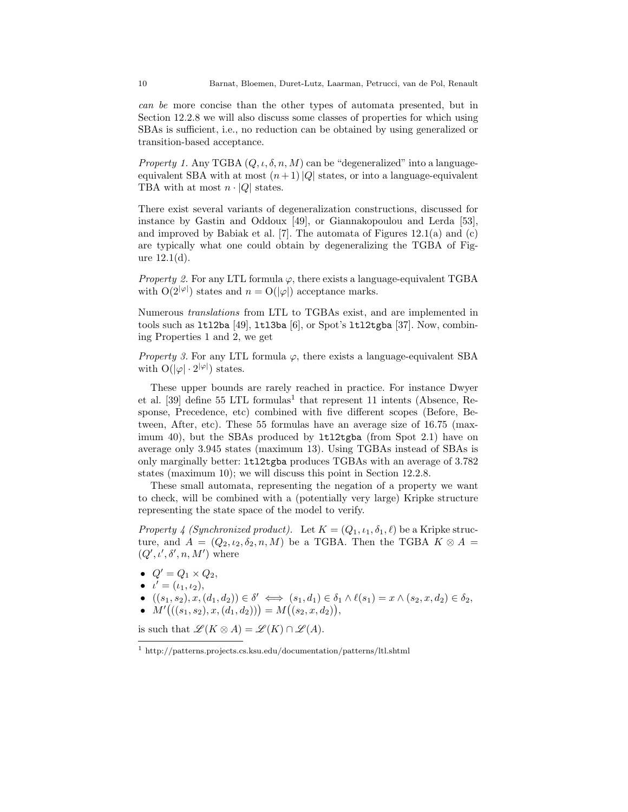can be more concise than the other types of automata presented, but in Section 12.2.8 we will also discuss some classes of properties for which using SBAs is sufficient, i.e., no reduction can be obtained by using generalized or transition-based acceptance.

Property 1. Any TGBA  $(Q, \iota, \delta, n, M)$  can be "degeneralized" into a languageequivalent SBA with at most  $(n+1)|Q|$  states, or into a language-equivalent TBA with at most  $n \cdot |Q|$  states.

There exist several variants of degeneralization constructions, discussed for instance by Gastin and Oddoux [49], or Giannakopoulou and Lerda [53], and improved by Babiak et al.  $[7]$ . The automata of Figures 12.1(a) and  $(c)$ are typically what one could obtain by degeneralizing the TGBA of Figure 12.1(d).

*Property 2.* For any LTL formula  $\varphi$ , there exists a language-equivalent TGBA with  $O(2^{|\varphi|})$  states and  $n = O(|\varphi|)$  acceptance marks.

Numerous translations from LTL to TGBAs exist, and are implemented in tools such as 1t12ba [49], 1t13ba [6], or Spot's 1t12tgba [37]. Now, combining Properties 1 and 2, we get

*Property 3.* For any LTL formula  $\varphi$ , there exists a language-equivalent SBA with  $O(|\varphi| \cdot 2^{|\varphi|})$  states.

These upper bounds are rarely reached in practice. For instance Dwyer et al. [39] define 55 LTL formulas<sup>1</sup> that represent 11 intents (Absence, Response, Precedence, etc) combined with five different scopes (Before, Between, After, etc). These 55 formulas have an average size of 16.75 (maximum 40), but the SBAs produced by ltl2tgba (from Spot 2.1) have on average only 3.945 states (maximum 13). Using TGBAs instead of SBAs is only marginally better: ltl2tgba produces TGBAs with an average of 3.782 states (maximum 10); we will discuss this point in Section 12.2.8.

These small automata, representing the negation of a property we want to check, will be combined with a (potentially very large) Kripke structure representing the state space of the model to verify.

Property 4 (Synchronized product). Let  $K = (Q_1, \iota_1, \delta_1, \ell)$  be a Kripke structure, and  $A = (Q_2, \iota_2, \delta_2, n, M)$  be a TGBA. Then the TGBA  $K \otimes A =$  $(Q', \iota', \delta', n, M')$  where

- $Q' = Q_1 \times Q_2$ ,
- $\iota' = (\iota_1, \iota_2),$
- $((s_1, s_2), x, (d_1, d_2)) \in \delta' \iff (s_1, d_1) \in \delta_1 \land \ell(s_1) = x \land (s_2, x, d_2) \in \delta_2,$ •  $M'(((s_1, s_2), x, (d_1, d_2))) = M((s_2, x, d_2)),$

is such that  $\mathscr{L}(K \otimes A) = \mathscr{L}(K) \cap \mathscr{L}(A)$ .

<sup>1</sup> http://patterns.projects.cs.ksu.edu/documentation/patterns/ltl.shtml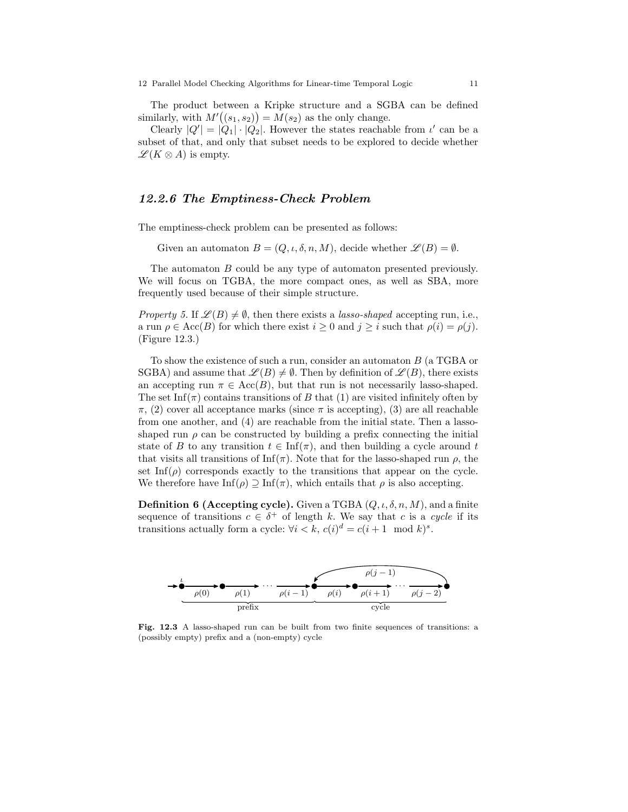The product between a Kripke structure and a SGBA can be defined similarly, with  $M'((s_1, s_2)) = M(s_2)$  as the only change.

Clearly  $|Q'| = |Q_1| \cdot |Q_2|$ . However the states reachable from  $\iota'$  can be a subset of that, and only that subset needs to be explored to decide whether  $\mathscr{L}(K \otimes A)$  is empty.

#### 12.2.6 The Emptiness-Check Problem

The emptiness-check problem can be presented as follows:

Given an automaton  $B = (Q, \iota, \delta, n, M)$ , decide whether  $\mathscr{L}(B) = \emptyset$ .

The automaton B could be any type of automaton presented previously. We will focus on TGBA, the more compact ones, as well as SBA, more frequently used because of their simple structure.

Property 5. If  $\mathscr{L}(B) \neq \emptyset$ , then there exists a lasso-shaped accepting run, i.e., a run  $\rho \in Acc(B)$  for which there exist  $i \geq 0$  and  $j \geq i$  such that  $\rho(i) = \rho(j)$ . (Figure 12.3.)

To show the existence of such a run, consider an automaton B (a TGBA or SGBA) and assume that  $\mathscr{L}(B) \neq \emptyset$ . Then by definition of  $\mathscr{L}(B)$ , there exists an accepting run  $\pi \in \text{Acc}(B)$ , but that run is not necessarily lasso-shaped. The set Inf( $\pi$ ) contains transitions of B that (1) are visited infinitely often by  $\pi$ , (2) cover all acceptance marks (since  $\pi$  is accepting), (3) are all reachable from one another, and (4) are reachable from the initial state. Then a lassoshaped run  $\rho$  can be constructed by building a prefix connecting the initial state of B to any transition  $t \in \text{Inf}(\pi)$ , and then building a cycle around t that visits all transitions of Inf( $\pi$ ). Note that for the lasso-shaped run  $\rho$ , the set Inf( $\rho$ ) corresponds exactly to the transitions that appear on the cycle. We therefore have  $\text{Inf}(\rho) \supseteq \text{Inf}(\pi)$ , which entails that  $\rho$  is also accepting.

**Definition 6 (Accepting cycle).** Given a TGBA  $(Q, \iota, \delta, n, M)$ , and a finite sequence of transitions  $c \in \delta^+$  of length k. We say that c is a cycle if its transitions actually form a cycle:  $\forall i < k, c(i)^d = c(i+1 \mod k)^s$ .



Fig. 12.3 A lasso-shaped run can be built from two finite sequences of transitions: a (possibly empty) prefix and a (non-empty) cycle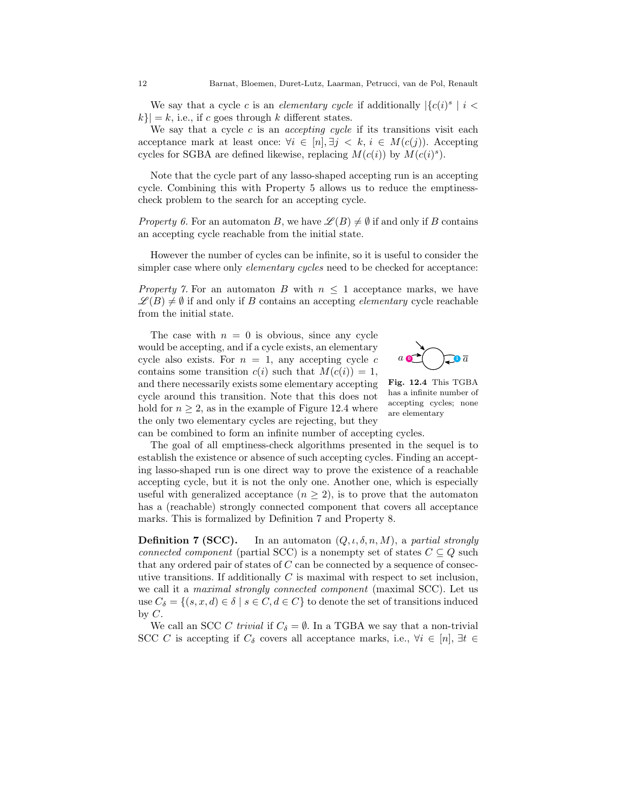We say that a cycle c is an *elementary cycle* if additionally  $|\{c(i)^s \mid i <$  $k$ } = k, i.e., if c goes through k different states.

We say that a cycle c is an *accepting cycle* if its transitions visit each acceptance mark at least once:  $\forall i \in [n], \exists j \leq k, i \in M(c(j))$ . Accepting cycles for SGBA are defined likewise, replacing  $M(c(i))$  by  $M(c(i)^s)$ .

Note that the cycle part of any lasso-shaped accepting run is an accepting cycle. Combining this with Property 5 allows us to reduce the emptinesscheck problem to the search for an accepting cycle.

Property 6. For an automaton B, we have  $\mathscr{L}(B) \neq \emptyset$  if and only if B contains an accepting cycle reachable from the initial state.

However the number of cycles can be infinite, so it is useful to consider the simpler case where only *elementary cycles* need to be checked for acceptance:

*Property 7.* For an automaton B with  $n \leq 1$  acceptance marks, we have  $\mathscr{L}(B) \neq \emptyset$  if and only if B contains an accepting *elementary* cycle reachable from the initial state.

The case with  $n = 0$  is obvious, since any cycle would be accepting, and if a cycle exists, an elementary cycle also exists. For  $n = 1$ , any accepting cycle c contains some transition  $c(i)$  such that  $M(c(i)) = 1$ , and there necessarily exists some elementary accepting cycle around this transition. Note that this does not hold for  $n \geq 2$ , as in the example of Figure 12.4 where the only two elementary cycles are rejecting, but they



Fig. 12.4 This TGBA has a infinite number of accepting cycles; none are elementary

can be combined to form an infinite number of accepting cycles.

The goal of all emptiness-check algorithms presented in the sequel is to establish the existence or absence of such accepting cycles. Finding an accepting lasso-shaped run is one direct way to prove the existence of a reachable accepting cycle, but it is not the only one. Another one, which is especially useful with generalized acceptance  $(n \geq 2)$ , is to prove that the automaton has a (reachable) strongly connected component that covers all acceptance marks. This is formalized by Definition 7 and Property 8.

**Definition 7 (SCC).** In an automaton  $(Q, \iota, \delta, n, M)$ , a partial strongly connected component (partial SCC) is a nonempty set of states  $C \subseteq Q$  such that any ordered pair of states of  $C$  can be connected by a sequence of consecutive transitions. If additionally  $C$  is maximal with respect to set inclusion, we call it a *maximal strongly connected component* (maximal SCC). Let us use  $C_{\delta} = \{(s, x, d) \in \delta \mid s \in C, d \in C\}$  to denote the set of transitions induced by  $C$ .

We call an SCC C trivial if  $C_{\delta} = \emptyset$ . In a TGBA we say that a non-trivial SCC C is accepting if  $C_{\delta}$  covers all acceptance marks, i.e.,  $\forall i \in [n], \exists t \in$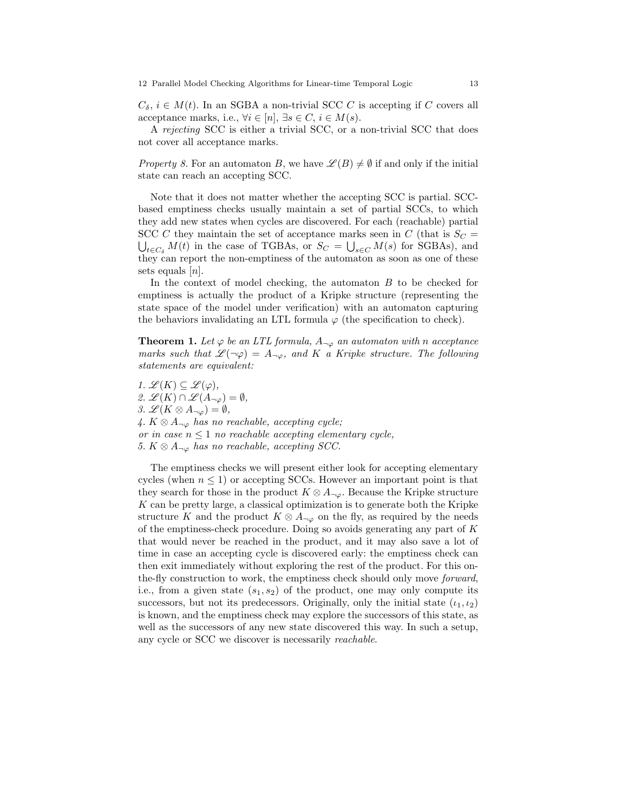12 Parallel Model Checking Algorithms for Linear-time Temporal Logic 13

 $C_{\delta}, i \in M(t)$ . In an SGBA a non-trivial SCC C is accepting if C covers all acceptance marks, i.e.,  $\forall i \in [n], \exists s \in C, i \in M(s)$ .

A rejecting SCC is either a trivial SCC, or a non-trivial SCC that does not cover all acceptance marks.

Property 8. For an automaton B, we have  $\mathcal{L}(B) \neq \emptyset$  if and only if the initial state can reach an accepting SCC.

Note that it does not matter whether the accepting SCC is partial. SCCbased emptiness checks usually maintain a set of partial SCCs, to which they add new states when cycles are discovered. For each (reachable) partial SCC C they maintain the set of acceptance marks seen in C (that is  $S_C =$  $\bigcup_{t \in C_{\delta}} M(t)$  in the case of TGBAs, or  $S_C = \bigcup_{s \in C} M(s)$  for SGBAs), and they can report the non-emptiness of the automaton as soon as one of these sets equals  $[n]$ .

In the context of model checking, the automaton B to be checked for emptiness is actually the product of a Kripke structure (representing the state space of the model under verification) with an automaton capturing the behaviors invalidating an LTL formula  $\varphi$  (the specification to check).

**Theorem 1.** Let  $\varphi$  be an LTL formula,  $A_{\neg \varphi}$  an automaton with n acceptance marks such that  $\mathscr{L}(\neg \varphi) = A_{\neg \varphi}$ , and K a Kripke structure. The following statements are equivalent:

1.  $\mathscr{L}(K) \subseteq \mathscr{L}(\varphi)$ , 2.  $\mathscr{L}(K) \cap \mathscr{L}(A_{\neg \varphi}) = \emptyset$ , 3.  $\mathscr{L}(K \otimes A_{\neg \varphi}) = \emptyset$ , 4.  $K \otimes A_{\neg \varphi}$  has no reachable, accepting cycle; or in case  $n \leq 1$  no reachable accepting elementary cycle, 5.  $K \otimes A_{\neg \varphi}$  has no reachable, accepting SCC.

The emptiness checks we will present either look for accepting elementary cycles (when  $n \leq 1$ ) or accepting SCCs. However an important point is that they search for those in the product  $K \otimes A_{\neg \varphi}$ . Because the Kripke structure K can be pretty large, a classical optimization is to generate both the Kripke structure K and the product  $K \otimes A_{\neg \varphi}$  on the fly, as required by the needs of the emptiness-check procedure. Doing so avoids generating any part of  $K$ that would never be reached in the product, and it may also save a lot of time in case an accepting cycle is discovered early: the emptiness check can then exit immediately without exploring the rest of the product. For this onthe-fly construction to work, the emptiness check should only move forward, i.e., from a given state  $(s_1, s_2)$  of the product, one may only compute its successors, but not its predecessors. Originally, only the initial state  $(\iota_1, \iota_2)$ is known, and the emptiness check may explore the successors of this state, as well as the successors of any new state discovered this way. In such a setup, any cycle or SCC we discover is necessarily reachable.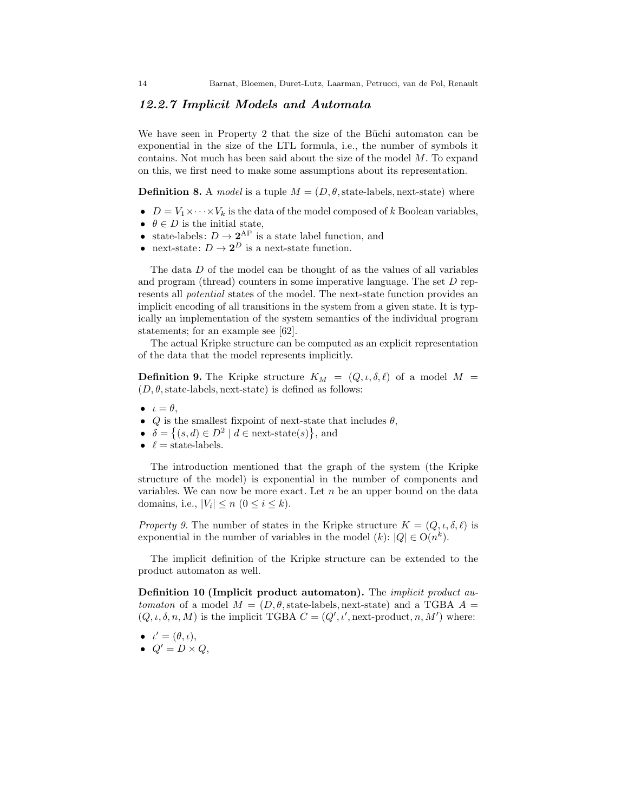#### 12.2.7 Implicit Models and Automata

We have seen in Property 2 that the size of the Büchi automaton can be exponential in the size of the LTL formula, i.e., the number of symbols it contains. Not much has been said about the size of the model M. To expand on this, we first need to make some assumptions about its representation.

**Definition 8.** A model is a tuple  $M = (D, \theta, \text{state-labels}, \text{next-state})$  where

- $D = V_1 \times \cdots \times V_k$  is the data of the model composed of k Boolean variables.
- $\theta \in D$  is the initial state,
- state-labels:  $D \to 2^{\text{AP}}$  is a state label function, and
- next-state:  $D \to 2^D$  is a next-state function.

The data D of the model can be thought of as the values of all variables and program (thread) counters in some imperative language. The set  $D$  represents all potential states of the model. The next-state function provides an implicit encoding of all transitions in the system from a given state. It is typically an implementation of the system semantics of the individual program statements; for an example see [62].

The actual Kripke structure can be computed as an explicit representation of the data that the model represents implicitly.

**Definition 9.** The Kripke structure  $K_M = (Q, \iota, \delta, \ell)$  of a model  $M =$  $(D, \theta, \text{state-labels}, \text{next-state})$  is defined as follows:

- $\bullet \quad \iota = \theta,$
- Q is the smallest fixpoint of next-state that includes  $\theta$ ,
- $\delta = \{(s, d) \in D^2 \mid d \in \text{next-state}(s)\}\text{, and}$
- $\ell =$  state-labels.

The introduction mentioned that the graph of the system (the Kripke structure of the model) is exponential in the number of components and variables. We can now be more exact. Let  $n$  be an upper bound on the data domains, i.e.,  $|V_i| \le n \ (0 \le i \le k)$ .

Property 9. The number of states in the Kripke structure  $K = (Q, \iota, \delta, \ell)$  is exponential in the number of variables in the model  $(k)$ :  $|Q| \in O(n^k)$ .

The implicit definition of the Kripke structure can be extended to the product automaton as well.

Definition 10 (Implicit product automaton). The *implicit product au*tomaton of a model  $M = (D, \theta, \text{state-labels}, \text{next-state})$  and a TGBA  $A =$  $(Q, \iota, \delta, n, M)$  is the implicit TGBA  $C = (Q', \iota', \text{next-product}, n, M')$  where:

- $\bullet \ \iota' = (\theta, \iota),$
- $Q' = D \times Q$ ,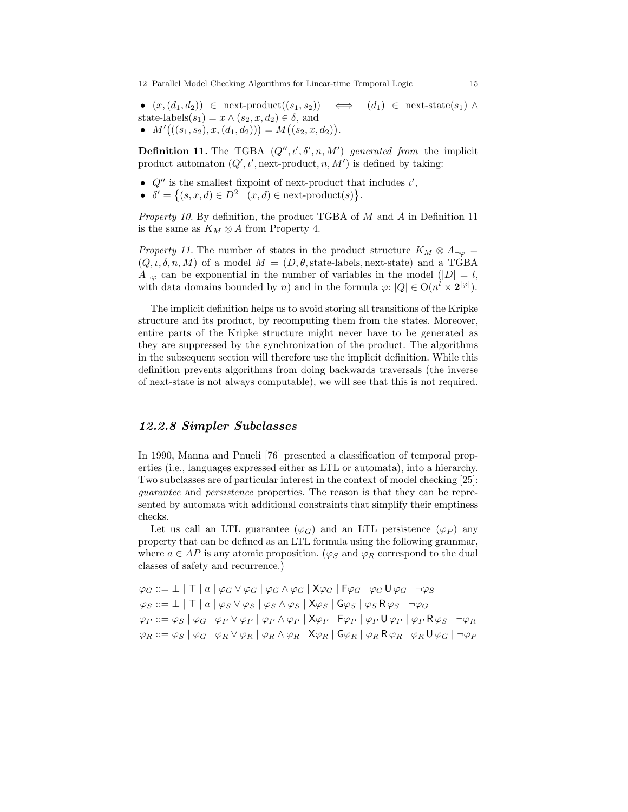•  $(x,(d_1, d_2)) \in \text{next-product}((s_1, s_2)) \iff (d_1) \in \text{next-state}(s_1) \land$ state-labels $(s_1) = x \wedge (s_2, x, d_2) \in \delta$ , and •  $M'(((s_1, s_2), x, (d_1, d_2))) = M((s_2, x, d_2)).$ 

**Definition 11.** The TGBA  $(Q'', \iota', \delta', n, M')$  generated from the implicit product automaton  $(Q', \iota', \text{next-product}, n, M')$  is defined by taking:

- $Q''$  is the smallest fixpoint of next-product that includes  $\iota'$ ,
- $\delta' = \{(s, x, d) \in D^2 \mid (x, d) \in \text{next-product}(s)\}.$

Property 10. By definition, the product TGBA of M and A in Definition 11 is the same as  $K_M \otimes A$  from Property 4.

*Property 11.* The number of states in the product structure  $K_M \otimes A_{\neg \varphi} =$  $(Q, \iota, \delta, n, M)$  of a model  $M = (D, \theta, \text{state-labels}, \text{next-state})$  and a TGBA  $A_{\neg \varphi}$  can be exponential in the number of variables in the model  $(|D| = l$ , with data domains bounded by n) and in the formula  $\varphi: |Q| \in O(n^l \times 2^{|\varphi|}).$ 

The implicit definition helps us to avoid storing all transitions of the Kripke structure and its product, by recomputing them from the states. Moreover, entire parts of the Kripke structure might never have to be generated as they are suppressed by the synchronization of the product. The algorithms in the subsequent section will therefore use the implicit definition. While this definition prevents algorithms from doing backwards traversals (the inverse of next-state is not always computable), we will see that this is not required.

#### 12.2.8 Simpler Subclasses

In 1990, Manna and Pnueli [76] presented a classification of temporal properties (i.e., languages expressed either as LTL or automata), into a hierarchy. Two subclasses are of particular interest in the context of model checking [25]: guarantee and persistence properties. The reason is that they can be represented by automata with additional constraints that simplify their emptiness checks.

Let us call an LTL guarantee  $(\varphi_G)$  and an LTL persistence  $(\varphi_P)$  any property that can be defined as an LTL formula using the following grammar, where  $a \in AP$  is any atomic proposition. ( $\varphi_S$  and  $\varphi_R$  correspond to the dual classes of safety and recurrence.)

```
\varphi_G ::= \bot \top \top a \mid \varphi_G \vee \varphi_G \mid \varphi_G \wedge \varphi_G \mid \mathsf{X} \varphi_G \mid \mathsf{F} \varphi_G \mid \varphi_G \cup \varphi_G \mid \neg \varphi_S\varphi_S ::= \bot \mid \top \mid a \mid \varphi_S \vee \varphi_S \mid \varphi_S \wedge \varphi_S \mid X \varphi_S \mid G \varphi_S \mid \varphi_S R \varphi_S \mid \neg \varphi_G\varphi_P ::= \varphi_S \mid \varphi_G \mid \varphi_P \lor \varphi_P \mid \varphi_P \land \varphi_P \mid \mathsf{X} \varphi_P \mid \mathsf{F} \varphi_P \mid \varphi_P \mathsf{U} \varphi_P \mid \varphi_P \mathsf{R} \varphi_S \mid \neg \varphi_R\varphi_R ::= \varphi_S \mid \varphi_G \mid \varphi_R \vee \varphi_R \mid \varphi_R \wedge \varphi_R \mid \mathsf{X} \varphi_R \mid \mathsf{G} \varphi_R \mid \varphi_R \mathsf{R} \varphi_R \mid \varphi_R \mathsf{U} \varphi_G \mid \neg \varphi_P
```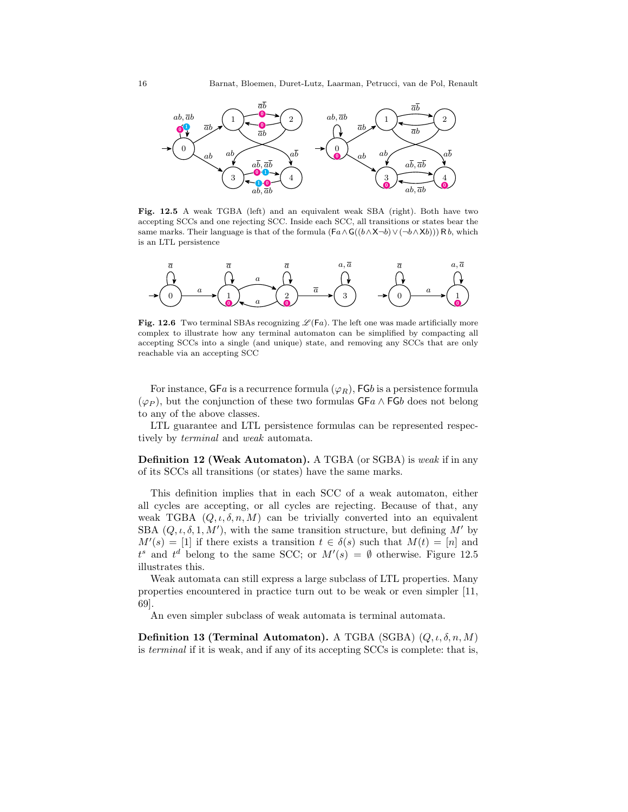

Fig. 12.5 A weak TGBA (left) and an equivalent weak SBA (right). Both have two accepting SCCs and one rejecting SCC. Inside each SCC, all transitions or states bear the same marks. Their language is that of the formula  $(Fa \wedge G((b \wedge X\neg b) \vee (\neg b \wedge Xb))) \triangle B$ , which is an LTL persistence



Fig. 12.6 Two terminal SBAs recognizing  $\mathcal{L}(Fa)$ . The left one was made artificially more complex to illustrate how any terminal automaton can be simplified by compacting all accepting SCCs into a single (and unique) state, and removing any SCCs that are only reachable via an accepting SCC

For instance,  $\mathsf{GF}a$  is a recurrence formula  $(\varphi_R)$ ,  $\mathsf{FG}b$  is a persistence formula  $(\varphi_P)$ , but the conjunction of these two formulas GFa  $\wedge$  FGb does not belong to any of the above classes.

LTL guarantee and LTL persistence formulas can be represented respectively by terminal and weak automata.

Definition 12 (Weak Automaton). A TGBA (or SGBA) is weak if in any of its SCCs all transitions (or states) have the same marks.

This definition implies that in each SCC of a weak automaton, either all cycles are accepting, or all cycles are rejecting. Because of that, any weak TGBA  $(Q, \iota, \delta, n, M)$  can be trivially converted into an equivalent SBA  $(Q, \iota, \delta, 1, M')$ , with the same transition structure, but defining M' by  $M'(s) = [1]$  if there exists a transition  $t \in \delta(s)$  such that  $M(t) = [n]$  and  $t^s$  and  $t^d$  belong to the same SCC; or  $M'(s) = \emptyset$  otherwise. Figure 12.5 illustrates this.

Weak automata can still express a large subclass of LTL properties. Many properties encountered in practice turn out to be weak or even simpler [11, 69].

An even simpler subclass of weak automata is terminal automata.

Definition 13 (Terminal Automaton). A TGBA (SGBA)  $(Q, \iota, \delta, n, M)$ is terminal if it is weak, and if any of its accepting SCCs is complete: that is,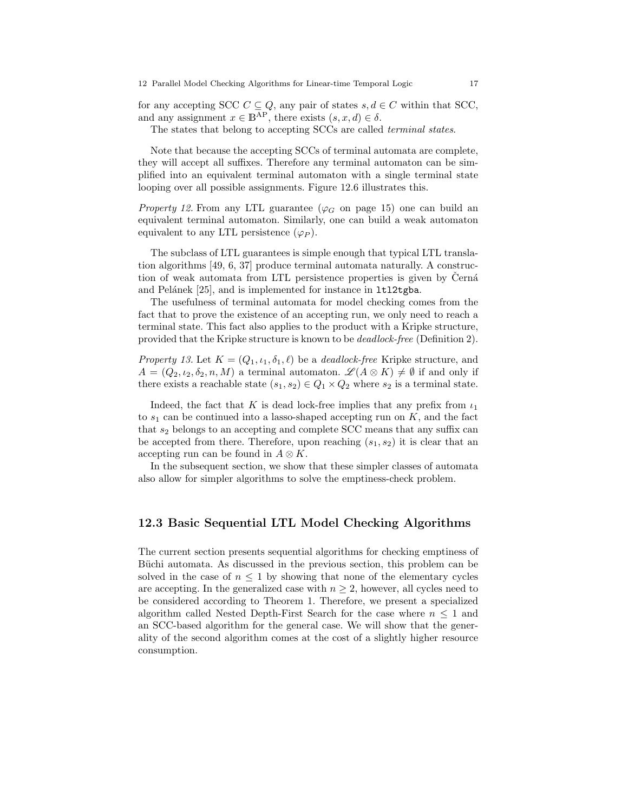12 Parallel Model Checking Algorithms for Linear-time Temporal Logic 17

for any accepting SCC  $C \subseteq Q$ , any pair of states  $s, d \in C$  within that SCC, and any assignment  $x \in \overline{B^{AP}}$ , there exists  $(s, x, d) \in \delta$ .

The states that belong to accepting SCCs are called terminal states.

Note that because the accepting SCCs of terminal automata are complete, they will accept all suffixes. Therefore any terminal automaton can be simplified into an equivalent terminal automaton with a single terminal state looping over all possible assignments. Figure 12.6 illustrates this.

*Property 12.* From any LTL guarantee ( $\varphi_G$  on page 15) one can build an equivalent terminal automaton. Similarly, one can build a weak automaton equivalent to any LTL persistence  $(\varphi_P)$ .

The subclass of LTL guarantees is simple enough that typical LTL translation algorithms [49, 6, 37] produce terminal automata naturally. A construction of weak automata from LTL persistence properties is given by Cerná and Pelánek [25], and is implemented for instance in 1t12tgba.

The usefulness of terminal automata for model checking comes from the fact that to prove the existence of an accepting run, we only need to reach a terminal state. This fact also applies to the product with a Kripke structure, provided that the Kripke structure is known to be deadlock-free (Definition 2).

Property 13. Let  $K = (Q_1, \iota_1, \delta_1, \ell)$  be a *deadlock-free* Kripke structure, and  $A = (Q_2, \iota_2, \delta_2, n, M)$  a terminal automaton.  $\mathscr{L}(A \otimes K) \neq \emptyset$  if and only if there exists a reachable state  $(s_1, s_2) \in Q_1 \times Q_2$  where  $s_2$  is a terminal state.

Indeed, the fact that K is dead lock-free implies that any prefix from  $\iota_1$ to  $s_1$  can be continued into a lasso-shaped accepting run on  $K$ , and the fact that  $s_2$  belongs to an accepting and complete SCC means that any suffix can be accepted from there. Therefore, upon reaching  $(s_1, s_2)$  it is clear that an accepting run can be found in  $A \otimes K$ .

In the subsequent section, we show that these simpler classes of automata also allow for simpler algorithms to solve the emptiness-check problem.

# 12.3 Basic Sequential LTL Model Checking Algorithms

The current section presents sequential algorithms for checking emptiness of Büchi automata. As discussed in the previous section, this problem can be solved in the case of  $n \leq 1$  by showing that none of the elementary cycles are accepting. In the generalized case with  $n \geq 2$ , however, all cycles need to be considered according to Theorem 1. Therefore, we present a specialized algorithm called Nested Depth-First Search for the case where  $n \leq 1$  and an SCC-based algorithm for the general case. We will show that the generality of the second algorithm comes at the cost of a slightly higher resource consumption.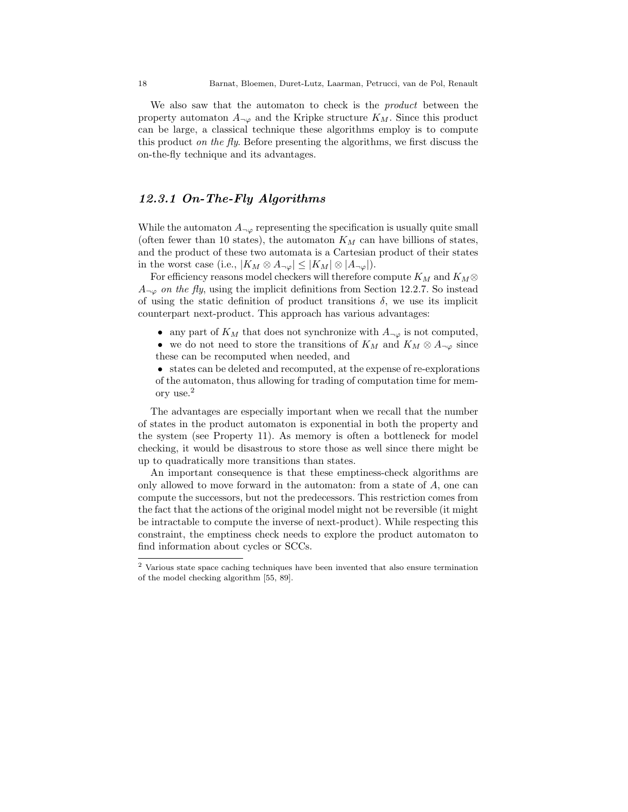We also saw that the automaton to check is the *product* between the property automaton  $A_{\neg \varphi}$  and the Kripke structure  $K_M$ . Since this product can be large, a classical technique these algorithms employ is to compute this product *on the fly.* Before presenting the algorithms, we first discuss the on-the-fly technique and its advantages.

# 12.3.1 On-The-Fly Algorithms

While the automaton  $A_{\neg \varphi}$  representing the specification is usually quite small (often fewer than 10 states), the automaton  $K_M$  can have billions of states. and the product of these two automata is a Cartesian product of their states in the worst case (i.e.,  $|K_M \otimes A_{\neg \varphi}| \leq |K_M| \otimes |A_{\neg \varphi}|$ ).

For efficiency reasons model checkers will therefore compute  $K_M$  and  $K_M \otimes$  $A_{\neg\varphi}$  on the fly, using the implicit definitions from Section 12.2.7. So instead of using the static definition of product transitions  $\delta$ , we use its implicit counterpart next-product. This approach has various advantages:

- any part of  $K_M$  that does not synchronize with  $A_{\neg \varphi}$  is not computed,
- we do not need to store the transitions of  $K_M$  and  $K_M \otimes A_{\neg \varphi}$  since these can be recomputed when needed, and

• states can be deleted and recomputed, at the expense of re-explorations of the automaton, thus allowing for trading of computation time for memory use.<sup>2</sup>

The advantages are especially important when we recall that the number of states in the product automaton is exponential in both the property and the system (see Property 11). As memory is often a bottleneck for model checking, it would be disastrous to store those as well since there might be up to quadratically more transitions than states.

An important consequence is that these emptiness-check algorithms are only allowed to move forward in the automaton: from a state of A, one can compute the successors, but not the predecessors. This restriction comes from the fact that the actions of the original model might not be reversible (it might be intractable to compute the inverse of next-product). While respecting this constraint, the emptiness check needs to explore the product automaton to find information about cycles or SCCs.

<sup>2</sup> Various state space caching techniques have been invented that also ensure termination of the model checking algorithm [55, 89].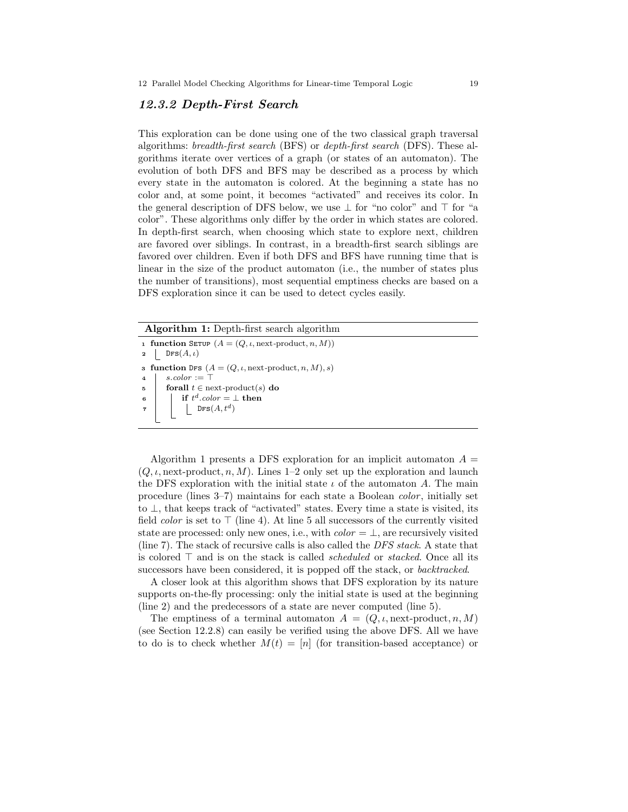#### 12.3.2 Depth-First Search

This exploration can be done using one of the two classical graph traversal algorithms: breadth-first search (BFS) or depth-first search (DFS). These algorithms iterate over vertices of a graph (or states of an automaton). The evolution of both DFS and BFS may be described as a process by which every state in the automaton is colored. At the beginning a state has no color and, at some point, it becomes "activated" and receives its color. In the general description of DFS below, we use  $\perp$  for "no color" and  $\top$  for "a color". These algorithms only differ by the order in which states are colored. In depth-first search, when choosing which state to explore next, children are favored over siblings. In contrast, in a breadth-first search siblings are favored over children. Even if both DFS and BFS have running time that is linear in the size of the product automaton (i.e., the number of states plus the number of transitions), most sequential emptiness checks are based on a DFS exploration since it can be used to detect cycles easily.

Algorithm 1: Depth-first search algorithm

1 function SETUP  $(A = (Q, \iota, \text{next-product}, n, M))$ 2  $DFS(A, \iota)$ 3 function DFS  $(A = (Q, \iota, \text{next-product}, n, M), s)$  $s.\mathit{color} := \top$ 5 **forall**  $t \in \text{next-product}(s)$  do  $\begin{array}{c|c} \mathbf{6} & \mathbf{1} & \mathbf{if} \; t^d.\mathit{color} = \bot \; \mathbf{then} \end{array}$  $\mathsf{z}$  | | DFS $(A, t^d)$ 

Algorithm 1 presents a DFS exploration for an implicit automaton  $A =$  $(Q, \iota, \text{next-product}, n, M)$ . Lines 1–2 only set up the exploration and launch the DFS exploration with the initial state  $\iota$  of the automaton A. The main procedure (lines 3–7) maintains for each state a Boolean *color*, initially set to  $\perp$ , that keeps track of "activated" states. Every time a state is visited, its field *color* is set to  $\top$  (line 4). At line 5 all successors of the currently visited state are processed: only new ones, i.e., with  $color = \perp$ , are recursively visited (line 7). The stack of recursive calls is also called the DFS stack. A state that is colored  $\top$  and is on the stack is called *scheduled* or *stacked*. Once all its successors have been considered, it is popped off the stack, or *backtracked*.

A closer look at this algorithm shows that DFS exploration by its nature supports on-the-fly processing: only the initial state is used at the beginning (line 2) and the predecessors of a state are never computed (line 5).

The emptiness of a terminal automaton  $A = (Q, \iota, \text{next-product}, n, M)$ (see Section 12.2.8) can easily be verified using the above DFS. All we have to do is to check whether  $M(t) = [n]$  (for transition-based acceptance) or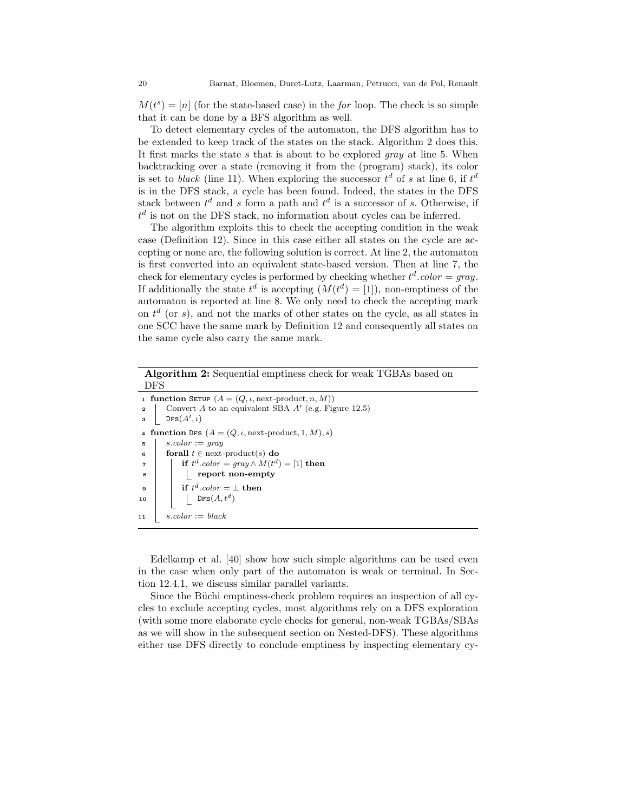$M(t^s) = [n]$  (for the state-based case) in the *for* loop. The check is so simple that it can be done by a BFS algorithm as well.

To detect elementary cycles of the automaton, the DFS algorithm has to be extended to keep track of the states on the stack. Algorithm 2 does this. It first marks the state s that is about to be explored *gray* at line 5. When backtracking over a state (removing it from the (program) stack), its color is set to *black* (line 11). When exploring the successor  $t^d$  of s at line 6, if  $t^d$ is in the DFS stack, a cycle has been found. Indeed, the states in the DFS stack between  $t^d$  and s form a path and  $t^d$  is a successor of s. Otherwise, if  $t<sup>d</sup>$  is not on the DFS stack, no information about cycles can be inferred.

The algorithm exploits this to check the accepting condition in the weak case (Definition 12). Since in this case either all states on the cycle are accepting or none are, the following solution is correct. At line 2, the automaton is first converted into an equivalent state-based version. Then at line 7, the check for elementary cycles is performed by checking whether  $t^d$  *color* = gray. If additionally the state  $t^d$  is accepting  $(M(t^d) = [1])$ , non-emptiness of the automaton is reported at line 8. We only need to check the accepting mark on  $t^d$  (or s), and not the marks of other states on the cycle, as all states in one SCC have the same mark by Definition 12 and consequently all states on the same cycle also carry the same mark.

| <b>Algorithm 2:</b> Sequential emptiness check for weak TGBAs based on<br><b>DFS</b> |  |  |  |  |  |  |
|--------------------------------------------------------------------------------------|--|--|--|--|--|--|
|                                                                                      |  |  |  |  |  |  |
| 1 function SETUP $(A = (Q, \iota, \text{next-product}, n, M))$                       |  |  |  |  |  |  |
| Convert A to an equivalent SBA $A'$ (e.g. Figure 12.5)<br>$\mathbf{2}$               |  |  |  |  |  |  |
| $DFS(A', \iota)$<br>$\overline{\mathbf{3}}$                                          |  |  |  |  |  |  |
| 4 function DFs $(A = (Q, \iota, \text{next-product}, 1, M), s)$                      |  |  |  |  |  |  |
| $s.\mathit{color} := \mathit{gray}$<br>5                                             |  |  |  |  |  |  |
| forall $t \in$ next-product(s) do<br>6                                               |  |  |  |  |  |  |
| if $t^d$ .color = gray $\wedge M(t^d) = [1]$ then<br>$\overline{7}$                  |  |  |  |  |  |  |
| report non-empty<br>8                                                                |  |  |  |  |  |  |
| if $t^d$ color = $\perp$ then<br>9                                                   |  |  |  |  |  |  |
| $ \text{DFS}(A, t^d) $<br>10                                                         |  |  |  |  |  |  |
| $s.color := black$<br>11                                                             |  |  |  |  |  |  |

Edelkamp et al. [40] show how such simple algorithms can be used even in the case when only part of the automaton is weak or terminal. In Section 12.4.1, we discuss similar parallel variants.

Since the Büchi emptiness-check problem requires an inspection of all cycles to exclude accepting cycles, most algorithms rely on a DFS exploration (with some more elaborate cycle checks for general, non-weak TGBAs/SBAs as we will show in the subsequent section on Nested-DFS). These algorithms either use DFS directly to conclude emptiness by inspecting elementary cy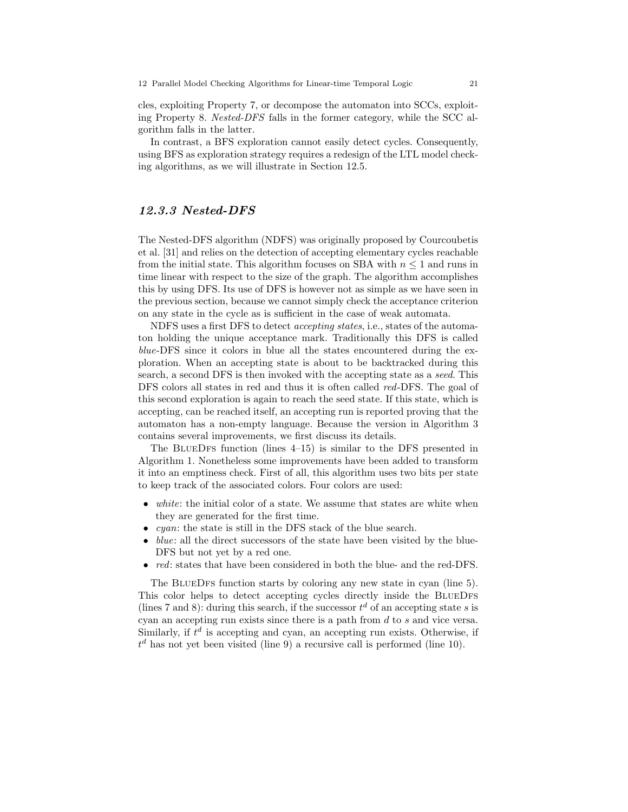cles, exploiting Property 7, or decompose the automaton into SCCs, exploiting Property 8. Nested-DFS falls in the former category, while the SCC algorithm falls in the latter.

In contrast, a BFS exploration cannot easily detect cycles. Consequently, using BFS as exploration strategy requires a redesign of the LTL model checking algorithms, as we will illustrate in Section 12.5.

# 12.3.3 Nested-DFS

The Nested-DFS algorithm (NDFS) was originally proposed by Courcoubetis et al. [31] and relies on the detection of accepting elementary cycles reachable from the initial state. This algorithm focuses on SBA with  $n \leq 1$  and runs in time linear with respect to the size of the graph. The algorithm accomplishes this by using DFS. Its use of DFS is however not as simple as we have seen in the previous section, because we cannot simply check the acceptance criterion on any state in the cycle as is sufficient in the case of weak automata.

NDFS uses a first DFS to detect accepting states, i.e., states of the automaton holding the unique acceptance mark. Traditionally this DFS is called blue-DFS since it colors in blue all the states encountered during the exploration. When an accepting state is about to be backtracked during this search, a second DFS is then invoked with the accepting state as a seed. This DFS colors all states in red and thus it is often called red-DFS. The goal of this second exploration is again to reach the seed state. If this state, which is accepting, can be reached itself, an accepting run is reported proving that the automaton has a non-empty language. Because the version in Algorithm 3 contains several improvements, we first discuss its details.

The BLUEDFS function (lines  $4-15$ ) is similar to the DFS presented in Algorithm 1. Nonetheless some improvements have been added to transform it into an emptiness check. First of all, this algorithm uses two bits per state to keep track of the associated colors. Four colors are used:

- white: the initial color of a state. We assume that states are white when they are generated for the first time.
- *cyan*: the state is still in the DFS stack of the blue search.
- blue: all the direct successors of the state have been visited by the blue-DFS but not yet by a red one.
- red: states that have been considered in both the blue- and the red-DFS.

The BLUEDFS function starts by coloring any new state in cyan (line 5). This color helps to detect accepting cycles directly inside the BlueDfs (lines 7 and 8): during this search, if the successor  $t^d$  of an accepting state s is cyan an accepting run exists since there is a path from  $d$  to  $s$  and vice versa. Similarly, if  $t^d$  is accepting and cyan, an accepting run exists. Otherwise, if  $t<sup>d</sup>$  has not yet been visited (line 9) a recursive call is performed (line 10).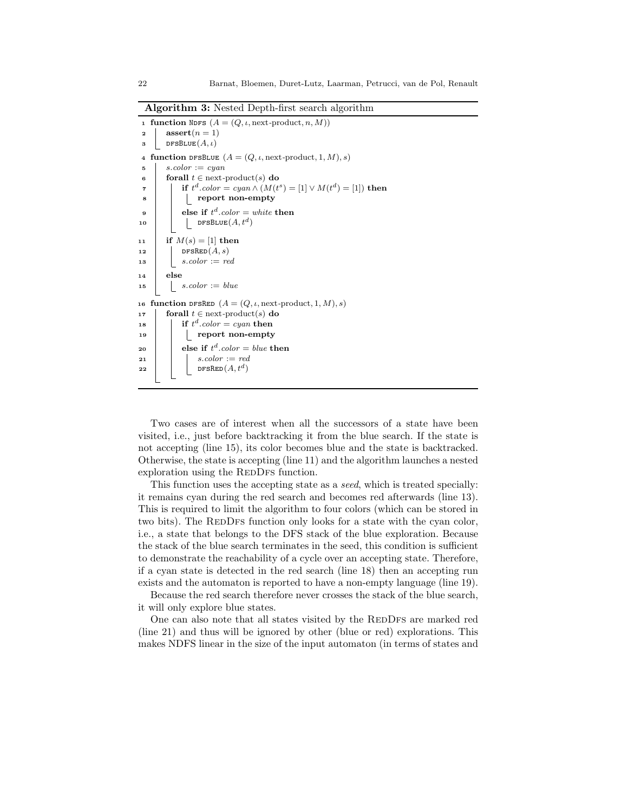Algorithm 3: Nested Depth-first search algorithm

|                          | 1 function NDFS $(A = (Q, \iota, \text{next-product}, n, M))$              |  |  |  |  |  |  |  |
|--------------------------|----------------------------------------------------------------------------|--|--|--|--|--|--|--|
| $\mathbf{2}$             | $\operatorname{assert}(n=1)$                                               |  |  |  |  |  |  |  |
| 3                        | ${\tt DFSBlue}(A,\iota)$                                                   |  |  |  |  |  |  |  |
| $\overline{4}$           | function DFSBLUE $(A = (Q, \iota, \text{next-product}, 1, M), s)$          |  |  |  |  |  |  |  |
| 5                        | $s.\mathit{color} := \mathit{cyan}$                                        |  |  |  |  |  |  |  |
| 6                        | forall $t \in$ next-product(s) do                                          |  |  |  |  |  |  |  |
| $\overline{\phantom{a}}$ | if $t^d \text{.} color = cyan \land (M(t^s) = [1] \lor M(t^d) = [1])$ then |  |  |  |  |  |  |  |
| 8                        | report non-empty                                                           |  |  |  |  |  |  |  |
| 9                        | else if $t^d$ color = white then                                           |  |  |  |  |  |  |  |
| 10                       | DFSBLUE $(A, t^d)$                                                         |  |  |  |  |  |  |  |
| 11                       | if $M(s) = [1]$ then                                                       |  |  |  |  |  |  |  |
| 12                       | DFSRED $(A, s)$                                                            |  |  |  |  |  |  |  |
| 13                       | $s.\mathit{color} := \mathit{red}$                                         |  |  |  |  |  |  |  |
| 14                       | else                                                                       |  |  |  |  |  |  |  |
| 15                       | $s.\mathit{color} := blue$                                                 |  |  |  |  |  |  |  |
| 16                       | function DFSRED $(A = (Q, \iota, \text{next-product}, 1, M), s)$           |  |  |  |  |  |  |  |
| 17                       | forall $t \in$ next-product(s) do                                          |  |  |  |  |  |  |  |
| 18                       | if $t^d$ color = cyan then                                                 |  |  |  |  |  |  |  |
| 19                       | report non-empty                                                           |  |  |  |  |  |  |  |
| 20                       | else if $t^d$ .color = blue then                                           |  |  |  |  |  |  |  |
| 21                       | $s.\mathit{color} := red$                                                  |  |  |  |  |  |  |  |
| 22                       | ${\tt DFSRED}(A, t^d)$                                                     |  |  |  |  |  |  |  |
|                          |                                                                            |  |  |  |  |  |  |  |

Two cases are of interest when all the successors of a state have been visited, i.e., just before backtracking it from the blue search. If the state is not accepting (line 15), its color becomes blue and the state is backtracked. Otherwise, the state is accepting (line 11) and the algorithm launches a nested exploration using the REDDFS function.

This function uses the accepting state as a seed, which is treated specially: it remains cyan during the red search and becomes red afterwards (line 13). This is required to limit the algorithm to four colors (which can be stored in two bits). The REDDFS function only looks for a state with the cyan color, i.e., a state that belongs to the DFS stack of the blue exploration. Because the stack of the blue search terminates in the seed, this condition is sufficient to demonstrate the reachability of a cycle over an accepting state. Therefore, if a cyan state is detected in the red search (line 18) then an accepting run exists and the automaton is reported to have a non-empty language (line 19).

Because the red search therefore never crosses the stack of the blue search, it will only explore blue states.

One can also note that all states visited by the REDDFS are marked red (line 21) and thus will be ignored by other (blue or red) explorations. This makes NDFS linear in the size of the input automaton (in terms of states and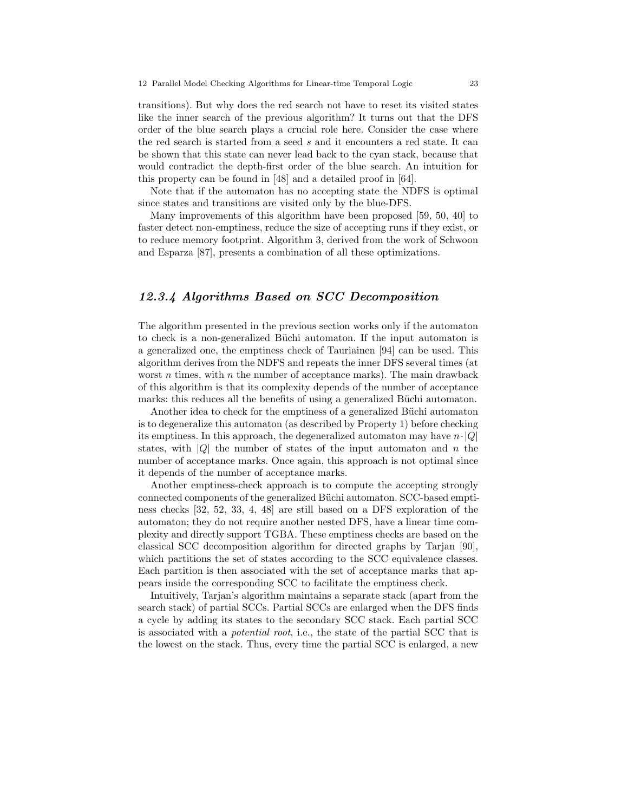transitions). But why does the red search not have to reset its visited states like the inner search of the previous algorithm? It turns out that the DFS order of the blue search plays a crucial role here. Consider the case where the red search is started from a seed s and it encounters a red state. It can be shown that this state can never lead back to the cyan stack, because that would contradict the depth-first order of the blue search. An intuition for this property can be found in [48] and a detailed proof in [64].

Note that if the automaton has no accepting state the NDFS is optimal since states and transitions are visited only by the blue-DFS.

Many improvements of this algorithm have been proposed [59, 50, 40] to faster detect non-emptiness, reduce the size of accepting runs if they exist, or to reduce memory footprint. Algorithm 3, derived from the work of Schwoon and Esparza [87], presents a combination of all these optimizations.

# 12.3.4 Algorithms Based on SCC Decomposition

The algorithm presented in the previous section works only if the automaton to check is a non-generalized Büchi automaton. If the input automaton is a generalized one, the emptiness check of Tauriainen [94] can be used. This algorithm derives from the NDFS and repeats the inner DFS several times (at worst  $n$  times, with  $n$  the number of acceptance marks). The main drawback of this algorithm is that its complexity depends of the number of acceptance marks: this reduces all the benefits of using a generalized Büchi automaton.

Another idea to check for the emptiness of a generalized Büchi automaton is to degeneralize this automaton (as described by Property 1) before checking its emptiness. In this approach, the degeneralized automaton may have  $n \cdot |Q|$ states, with  $|Q|$  the number of states of the input automaton and n the number of acceptance marks. Once again, this approach is not optimal since it depends of the number of acceptance marks.

Another emptiness-check approach is to compute the accepting strongly connected components of the generalized Büchi automaton. SCC-based emptiness checks [32, 52, 33, 4, 48] are still based on a DFS exploration of the automaton; they do not require another nested DFS, have a linear time complexity and directly support TGBA. These emptiness checks are based on the classical SCC decomposition algorithm for directed graphs by Tarjan [90], which partitions the set of states according to the SCC equivalence classes. Each partition is then associated with the set of acceptance marks that appears inside the corresponding SCC to facilitate the emptiness check.

Intuitively, Tarjan's algorithm maintains a separate stack (apart from the search stack) of partial SCCs. Partial SCCs are enlarged when the DFS finds a cycle by adding its states to the secondary SCC stack. Each partial SCC is associated with a potential root, i.e., the state of the partial SCC that is the lowest on the stack. Thus, every time the partial SCC is enlarged, a new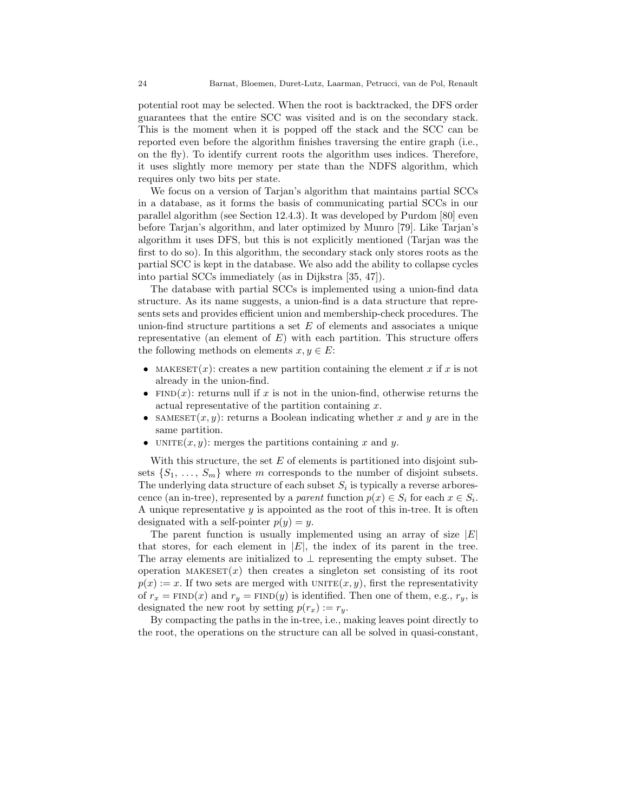potential root may be selected. When the root is backtracked, the DFS order guarantees that the entire SCC was visited and is on the secondary stack. This is the moment when it is popped off the stack and the SCC can be reported even before the algorithm finishes traversing the entire graph (i.e., on the fly). To identify current roots the algorithm uses indices. Therefore, it uses slightly more memory per state than the NDFS algorithm, which requires only two bits per state.

We focus on a version of Tarjan's algorithm that maintains partial SCCs in a database, as it forms the basis of communicating partial SCCs in our parallel algorithm (see Section 12.4.3). It was developed by Purdom [80] even before Tarjan's algorithm, and later optimized by Munro [79]. Like Tarjan's algorithm it uses DFS, but this is not explicitly mentioned (Tarjan was the first to do so). In this algorithm, the secondary stack only stores roots as the partial SCC is kept in the database. We also add the ability to collapse cycles into partial SCCs immediately (as in Dijkstra [35, 47]).

The database with partial SCCs is implemented using a union-find data structure. As its name suggests, a union-find is a data structure that represents sets and provides efficient union and membership-check procedures. The union-find structure partitions a set  $E$  of elements and associates a unique representative (an element of  $E$ ) with each partition. This structure offers the following methods on elements  $x, y \in E$ :

- MAKESET $(x)$ : creates a new partition containing the element x if x is not already in the union-find.
- FIND $(x)$ : returns null if x is not in the union-find, otherwise returns the actual representative of the partition containing  $x$ .
- SAMESET $(x, y)$ : returns a Boolean indicating whether x and y are in the same partition.
- UNITE $(x, y)$ : merges the partitions containing x and y.

With this structure, the set  $E$  of elements is partitioned into disjoint subsets  $\{S_1, \ldots, S_m\}$  where m corresponds to the number of disjoint subsets. The underlying data structure of each subset  $S_i$  is typically a reverse arborescence (an in-tree), represented by a *parent* function  $p(x) \in S_i$  for each  $x \in S_i$ . A unique representative  $y$  is appointed as the root of this in-tree. It is often designated with a self-pointer  $p(y) = y$ .

The parent function is usually implemented using an array of size  $|E|$ that stores, for each element in  $|E|$ , the index of its parent in the tree. The array elements are initialized to  $\perp$  representing the empty subset. The operation MAKESET $(x)$  then creates a singleton set consisting of its root  $p(x) := x$ . If two sets are merged with UNITE $(x, y)$ , first the representativity of  $r_x = \text{FIND}(x)$  and  $r_y = \text{FIND}(y)$  is identified. Then one of them, e.g.,  $r_y$ , is designated the new root by setting  $p(r_x) := r_y$ .

By compacting the paths in the in-tree, i.e., making leaves point directly to the root, the operations on the structure can all be solved in quasi-constant,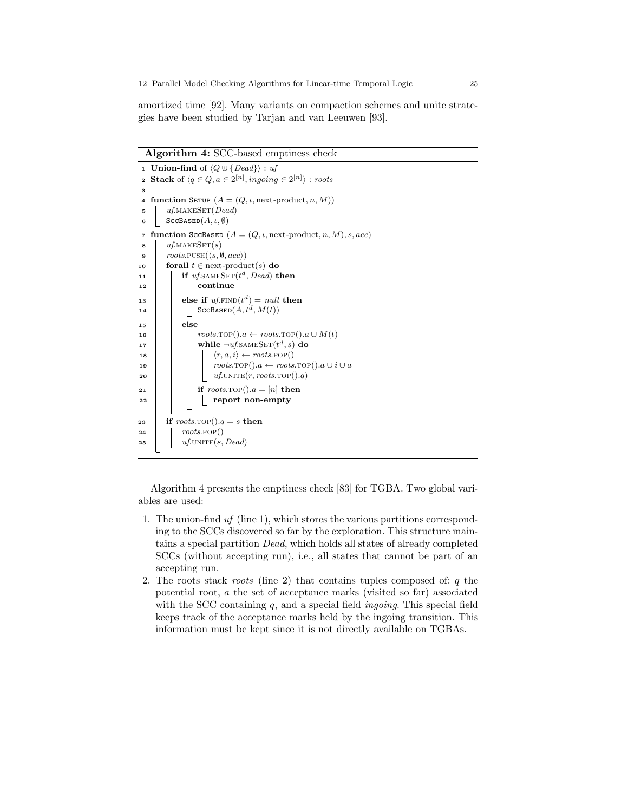amortized time [92]. Many variants on compaction schemes and unite strategies have been studied by Tarjan and van Leeuwen [93].

Algorithm 4: SCC-based emptiness check

| $\mathbf{1}$            | <b>Union-find</b> of $\langle Q \uplus \{Dead\} \rangle : uf$                         |  |  |  |  |  |  |
|-------------------------|---------------------------------------------------------------------------------------|--|--|--|--|--|--|
| $\overline{\mathbf{2}}$ | <b>Stack</b> of $\langle q \in Q, a \in 2^{[n]}, ingoing \in 2^{[n]} \rangle$ : roots |  |  |  |  |  |  |
| 3                       |                                                                                       |  |  |  |  |  |  |
| $\overline{\bf 4}$      | function SETUP $(A = (Q, \iota, \text{next-product}, n, M))$                          |  |  |  |  |  |  |
| 5                       | $uf.$ MAKESET $(Dead)$                                                                |  |  |  |  |  |  |
| 6                       | $\texttt{SccBASED}(A,\iota,\emptyset)$                                                |  |  |  |  |  |  |
| $\overline{7}$          | function SCCBASED $(A = (Q, \iota, \text{next-product}, n, M), s, acc)$               |  |  |  |  |  |  |
| 8                       | uf.MAKESET(s)                                                                         |  |  |  |  |  |  |
| 9                       | $roots.PUSH(\langle s, \emptyset, acc \rangle)$                                       |  |  |  |  |  |  |
| 10                      | forall $t \in$ next-product(s) do                                                     |  |  |  |  |  |  |
| 11                      | if $uf$ .SAMESET $(t^d, Dead)$ then                                                   |  |  |  |  |  |  |
| 12                      | continue                                                                              |  |  |  |  |  |  |
| 13                      | else if $uf$ . FIND $(t^d)$ = null then                                               |  |  |  |  |  |  |
| 14                      | $SCCBASED(A, t^d, M(t))$                                                              |  |  |  |  |  |  |
| 15                      | else                                                                                  |  |  |  |  |  |  |
| 16                      | $roots.\text{TOP}().a \leftarrow roots.\text{TOP}().a \cup M(t)$                      |  |  |  |  |  |  |
| 17                      | while $\neg u f$ . SAMESET $(t^d, s)$ do                                              |  |  |  |  |  |  |
| 18                      | $\langle r, a, i \rangle \leftarrow roots.POP()$                                      |  |  |  |  |  |  |
| 19                      | $roots.\text{TOP}(), a \leftarrow roots.\text{TOP}(), a \cup i \cup a$                |  |  |  |  |  |  |
| 20                      | $uf.$ UNITE $(r, roots.$ TOP $(), q)$                                                 |  |  |  |  |  |  |
| 21                      | if $roots$ TOP(). $a = [n]$ then                                                      |  |  |  |  |  |  |
| 22                      | report non-empty                                                                      |  |  |  |  |  |  |
|                         |                                                                                       |  |  |  |  |  |  |
| 23                      | if roots.TOP(). $q = s$ then                                                          |  |  |  |  |  |  |
| 24                      | roots.POP()                                                                           |  |  |  |  |  |  |
| 25                      | $uf.$ UNITE $(s, Dead)$                                                               |  |  |  |  |  |  |
|                         |                                                                                       |  |  |  |  |  |  |

Algorithm 4 presents the emptiness check [83] for TGBA. Two global variables are used:

- 1. The union-find uf (line 1), which stores the various partitions corresponding to the SCCs discovered so far by the exploration. This structure maintains a special partition Dead, which holds all states of already completed SCCs (without accepting run), i.e., all states that cannot be part of an accepting run.
- 2. The roots stack roots (line 2) that contains tuples composed of: q the potential root, a the set of acceptance marks (visited so far) associated with the SCC containing  $q$ , and a special field *ingoing*. This special field keeps track of the acceptance marks held by the ingoing transition. This information must be kept since it is not directly available on TGBAs.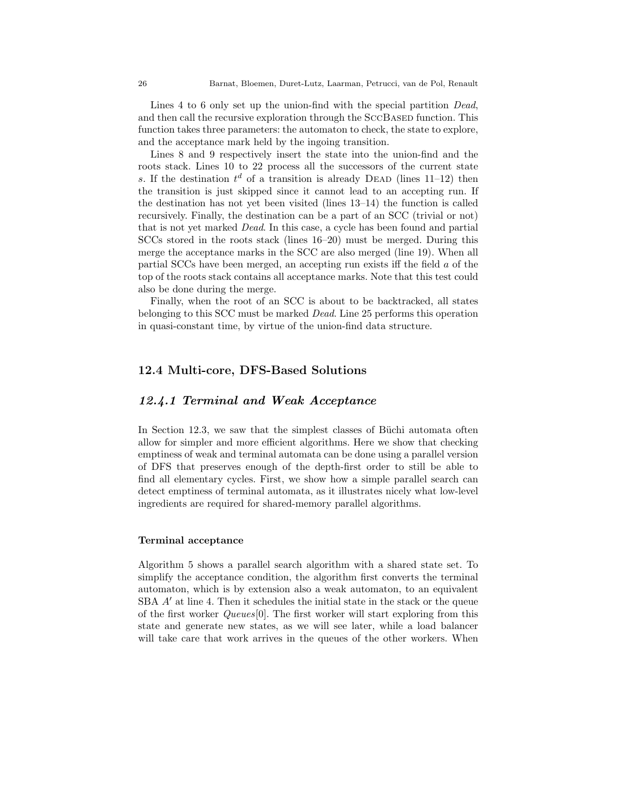Lines 4 to 6 only set up the union-find with the special partition *Dead*, and then call the recursive exploration through the SCCBASED function. This function takes three parameters: the automaton to check, the state to explore, and the acceptance mark held by the ingoing transition.

Lines 8 and 9 respectively insert the state into the union-find and the roots stack. Lines 10 to 22 process all the successors of the current state s. If the destination  $t^d$  of a transition is already DEAD (lines 11–12) then the transition is just skipped since it cannot lead to an accepting run. If the destination has not yet been visited (lines 13–14) the function is called recursively. Finally, the destination can be a part of an SCC (trivial or not) that is not yet marked Dead. In this case, a cycle has been found and partial SCCs stored in the roots stack (lines 16–20) must be merged. During this merge the acceptance marks in the SCC are also merged (line 19). When all partial SCCs have been merged, an accepting run exists iff the field a of the top of the roots stack contains all acceptance marks. Note that this test could also be done during the merge.

Finally, when the root of an SCC is about to be backtracked, all states belonging to this SCC must be marked Dead. Line 25 performs this operation in quasi-constant time, by virtue of the union-find data structure.

#### 12.4 Multi-core, DFS-Based Solutions

#### 12.4.1 Terminal and Weak Acceptance

In Section 12.3, we saw that the simplest classes of Büchi automata often allow for simpler and more efficient algorithms. Here we show that checking emptiness of weak and terminal automata can be done using a parallel version of DFS that preserves enough of the depth-first order to still be able to find all elementary cycles. First, we show how a simple parallel search can detect emptiness of terminal automata, as it illustrates nicely what low-level ingredients are required for shared-memory parallel algorithms.

#### Terminal acceptance

Algorithm 5 shows a parallel search algorithm with a shared state set. To simplify the acceptance condition, the algorithm first converts the terminal automaton, which is by extension also a weak automaton, to an equivalent SBA  $A'$  at line 4. Then it schedules the initial state in the stack or the queue of the first worker Queues[0]. The first worker will start exploring from this state and generate new states, as we will see later, while a load balancer will take care that work arrives in the queues of the other workers. When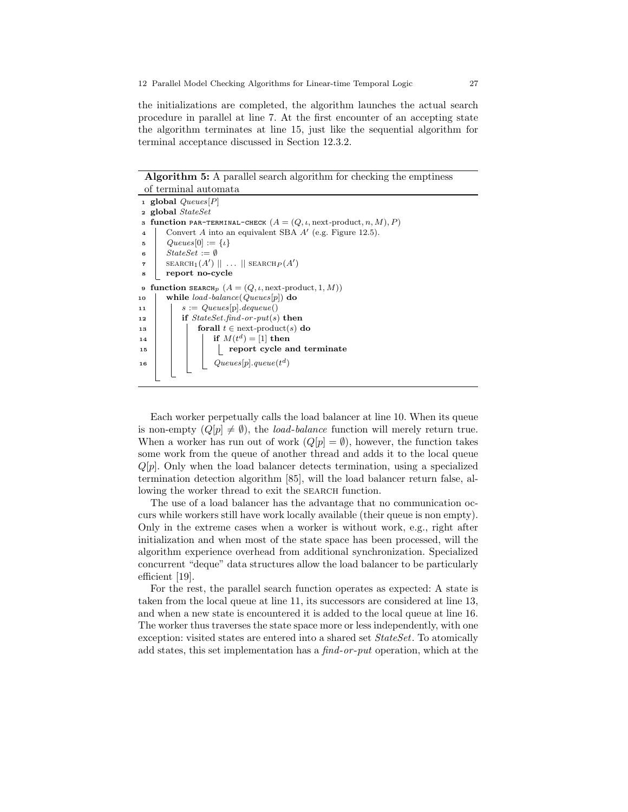the initializations are completed, the algorithm launches the actual search procedure in parallel at line 7. At the first encounter of an accepting state the algorithm terminates at line 15, just like the sequential algorithm for terminal acceptance discussed in Section 12.3.2.

Algorithm 5: A parallel search algorithm for checking the emptiness of terminal automata

```
1 global Queues[P]2 global StateSet
3 function par-terminal-check (A = (Q, \iota, \text{next-product}, n, M), P)4 Convert A into an equivalent SBA A' (e.g. Figure 12.5).
 5 \bigcup Queues[0] := \{i\}6 StateSet := \emptyset7 SEARCH<sub>1</sub>(A') || ... || search<sub>p</sub>(A')8 report no-cycle
9 function \texttt{SEARCH}_p (A = (Q, \iota, \text{next-product}, 1, M))10 while load-balance(Queues[p]) do
11 | s := Queues[p].dequeue()12 if StateSet.find-or-put(s) then
13 forall t \in \text{next-product}(s) do
\begin{array}{c|c|c|c|c} \text{14} & & \text{if } M(t^d) = [1] \text{ then} \end{array}15 | | | | report cycle and terminate
16 | | | Queues[p].queue(t^d)
```
Each worker perpetually calls the load balancer at line 10. When its queue is non-empty  $(Q[p] \neq \emptyset)$ , the *load-balance* function will merely return true. When a worker has run out of work  $(Q[p] = \emptyset)$ , however, the function takes some work from the queue of another thread and adds it to the local queue  $Q[p]$ . Only when the load balancer detects termination, using a specialized termination detection algorithm [85], will the load balancer return false, allowing the worker thread to exit the SEARCH function.

The use of a load balancer has the advantage that no communication occurs while workers still have work locally available (their queue is non empty). Only in the extreme cases when a worker is without work, e.g., right after initialization and when most of the state space has been processed, will the algorithm experience overhead from additional synchronization. Specialized concurrent "deque" data structures allow the load balancer to be particularly efficient [19].

For the rest, the parallel search function operates as expected: A state is taken from the local queue at line 11, its successors are considered at line 13, and when a new state is encountered it is added to the local queue at line 16. The worker thus traverses the state space more or less independently, with one exception: visited states are entered into a shared set *StateSet*. To atomically add states, this set implementation has a find-or -put operation, which at the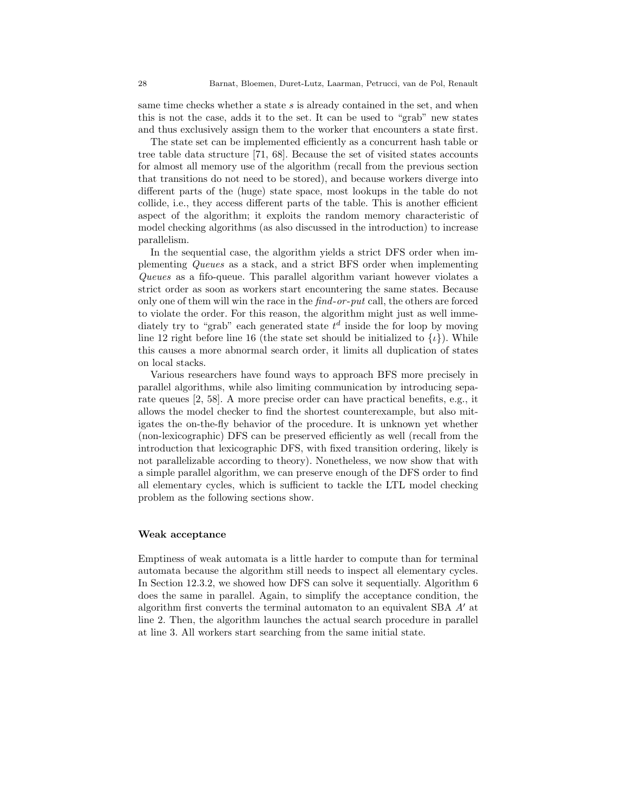same time checks whether a state s is already contained in the set, and when this is not the case, adds it to the set. It can be used to "grab" new states and thus exclusively assign them to the worker that encounters a state first.

The state set can be implemented efficiently as a concurrent hash table or tree table data structure [71, 68]. Because the set of visited states accounts for almost all memory use of the algorithm (recall from the previous section that transitions do not need to be stored), and because workers diverge into different parts of the (huge) state space, most lookups in the table do not collide, i.e., they access different parts of the table. This is another efficient aspect of the algorithm; it exploits the random memory characteristic of model checking algorithms (as also discussed in the introduction) to increase parallelism.

In the sequential case, the algorithm yields a strict DFS order when implementing Queues as a stack, and a strict BFS order when implementing Queues as a fifo-queue. This parallel algorithm variant however violates a strict order as soon as workers start encountering the same states. Because only one of them will win the race in the find-or -put call, the others are forced to violate the order. For this reason, the algorithm might just as well immediately try to "grab" each generated state  $t^d$  inside the for loop by moving line 12 right before line 16 (the state set should be initialized to  $\{\iota\}$ ). While this causes a more abnormal search order, it limits all duplication of states on local stacks.

Various researchers have found ways to approach BFS more precisely in parallel algorithms, while also limiting communication by introducing separate queues [2, 58]. A more precise order can have practical benefits, e.g., it allows the model checker to find the shortest counterexample, but also mitigates the on-the-fly behavior of the procedure. It is unknown yet whether (non-lexicographic) DFS can be preserved efficiently as well (recall from the introduction that lexicographic DFS, with fixed transition ordering, likely is not parallelizable according to theory). Nonetheless, we now show that with a simple parallel algorithm, we can preserve enough of the DFS order to find all elementary cycles, which is sufficient to tackle the LTL model checking problem as the following sections show.

#### Weak acceptance

Emptiness of weak automata is a little harder to compute than for terminal automata because the algorithm still needs to inspect all elementary cycles. In Section 12.3.2, we showed how DFS can solve it sequentially. Algorithm 6 does the same in parallel. Again, to simplify the acceptance condition, the algorithm first converts the terminal automaton to an equivalent SBA  $A'$  at line 2. Then, the algorithm launches the actual search procedure in parallel at line 3. All workers start searching from the same initial state.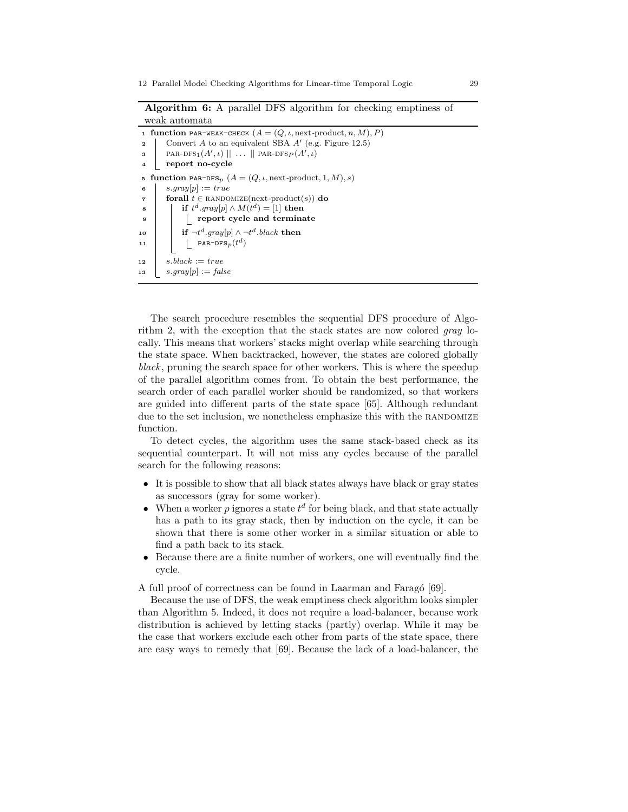Algorithm 6: A parallel DFS algorithm for checking emptiness of weak automata

```
1 function PAR-WEAK-CHECK (A = (Q, \iota, \text{next-product}, n, M), P)2 Convert A to an equivalent SBA A' (e.g. Figure 12.5)
 3 | PAR-DFS_1(A',\iota) || \ldots || par-DFS_P(A',\iota)4 report no-cycle
5 function PAR-DFS<sub>p</sub> (A = (Q, \iota, \text{next-product}, 1, M), s)6 | s.gray[p] := true7 forall t \in RANDOMIZE(next-product(s)) do
 \textbf{a} \quad | \quad \text{if} \; t^d \text{.} gray[p] \land M(t^d) = [1] \; \textbf{then}9 | | report cycle and terminate
10 if \neg t^d.gray[p] \wedge \neg t^d.black then
11 | | PAR-DFS_p(t^d)12 \quad | \quad s.black := true13 \Big| s.gray[p] := \text{false}
```
The search procedure resembles the sequential DFS procedure of Algorithm 2, with the exception that the stack states are now colored gray locally. This means that workers' stacks might overlap while searching through the state space. When backtracked, however, the states are colored globally black, pruning the search space for other workers. This is where the speedup of the parallel algorithm comes from. To obtain the best performance, the search order of each parallel worker should be randomized, so that workers are guided into different parts of the state space [65]. Although redundant due to the set inclusion, we nonetheless emphasize this with the RANDOMIZE function.

To detect cycles, the algorithm uses the same stack-based check as its sequential counterpart. It will not miss any cycles because of the parallel search for the following reasons:

- It is possible to show that all black states always have black or gray states as successors (gray for some worker).
- When a worker p ignores a state  $t^d$  for being black, and that state actually has a path to its gray stack, then by induction on the cycle, it can be shown that there is some other worker in a similar situation or able to find a path back to its stack.
- Because there are a finite number of workers, one will eventually find the cycle.

A full proof of correctness can be found in Laarman and Faragó [69].

Because the use of DFS, the weak emptiness check algorithm looks simpler than Algorithm 5. Indeed, it does not require a load-balancer, because work distribution is achieved by letting stacks (partly) overlap. While it may be the case that workers exclude each other from parts of the state space, there are easy ways to remedy that [69]. Because the lack of a load-balancer, the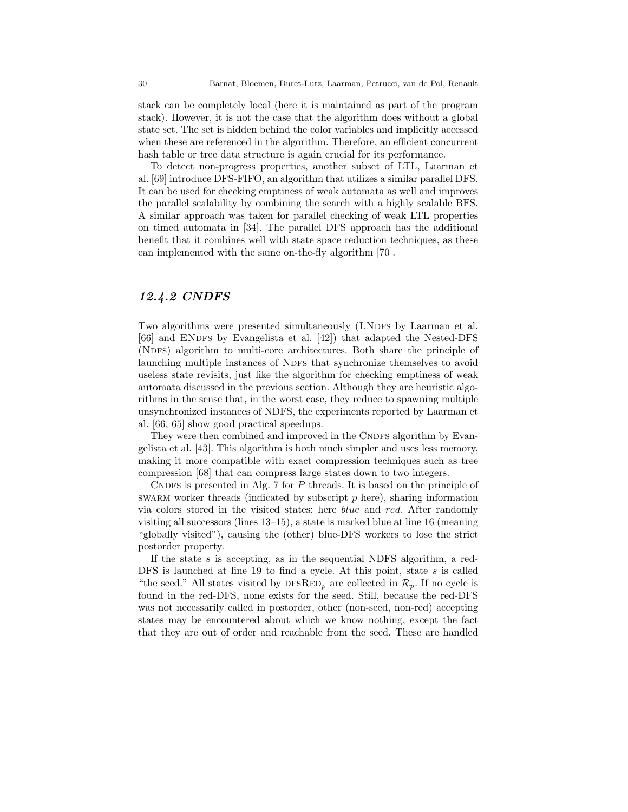stack can be completely local (here it is maintained as part of the program stack). However, it is not the case that the algorithm does without a global state set. The set is hidden behind the color variables and implicitly accessed when these are referenced in the algorithm. Therefore, an efficient concurrent hash table or tree data structure is again crucial for its performance.

To detect non-progress properties, another subset of LTL, Laarman et al. [69] introduce DFS-FIFO, an algorithm that utilizes a similar parallel DFS. It can be used for checking emptiness of weak automata as well and improves the parallel scalability by combining the search with a highly scalable BFS. A similar approach was taken for parallel checking of weak LTL properties on timed automata in [34]. The parallel DFS approach has the additional benefit that it combines well with state space reduction techniques, as these can implemented with the same on-the-fly algorithm [70].

# 12.4.2 CNDFS

Two algorithms were presented simultaneously (LNDFS by Laarman et al. [66] and ENDFS by Evangelista et al.  $[42]$ ) that adapted the Nested-DFS (NDFS) algorithm to multi-core architectures. Both share the principle of launching multiple instances of NDFS that synchronize themselves to avoid useless state revisits, just like the algorithm for checking emptiness of weak automata discussed in the previous section. Although they are heuristic algorithms in the sense that, in the worst case, they reduce to spawning multiple unsynchronized instances of NDFS, the experiments reported by Laarman et al. [66, 65] show good practical speedups.

They were then combined and improved in the CNDFS algorithm by Evangelista et al. [43]. This algorithm is both much simpler and uses less memory, making it more compatible with exact compression techniques such as tree compression [68] that can compress large states down to two integers.

CNDFS is presented in Alg. 7 for  $P$  threads. It is based on the principle of swarm worker threads (indicated by subscript  $p$  here), sharing information via colors stored in the visited states: here blue and red. After randomly visiting all successors (lines 13–15), a state is marked blue at line 16 (meaning "globally visited"), causing the (other) blue-DFS workers to lose the strict postorder property.

If the state s is accepting, as in the sequential NDFS algorithm, a red-DFS is launched at line 19 to find a cycle. At this point, state  $s$  is called "the seed." All states visited by  $DFSRED_p$  are collected in  $\mathcal{R}_p$ . If no cycle is found in the red-DFS, none exists for the seed. Still, because the red-DFS was not necessarily called in postorder, other (non-seed, non-red) accepting states may be encountered about which we know nothing, except the fact that they are out of order and reachable from the seed. These are handled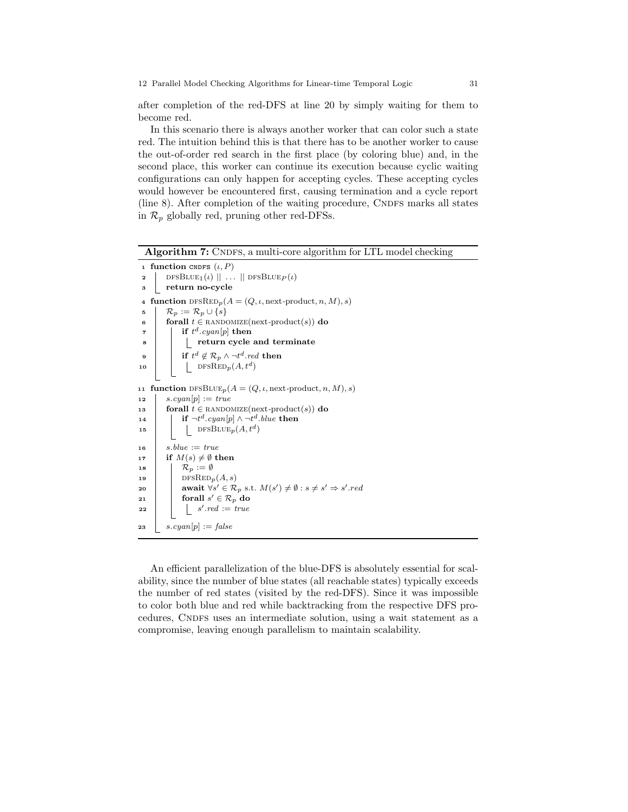after completion of the red-DFS at line 20 by simply waiting for them to become red.

In this scenario there is always another worker that can color such a state red. The intuition behind this is that there has to be another worker to cause the out-of-order red search in the first place (by coloring blue) and, in the second place, this worker can continue its execution because cyclic waiting configurations can only happen for accepting cycles. These accepting cycles would however be encountered first, causing termination and a cycle report (line 8). After completion of the waiting procedure, CNDFS marks all states in  $\mathcal{R}_p$  globally red, pruning other red-DFSs.

Algorithm 7: CNDFS, a multi-core algorithm for LTL model checking

| $\mathbf{1}$            | function CNDFS $(\iota, P)$                                                                       |
|-------------------------|---------------------------------------------------------------------------------------------------|
| 2                       | DFSBLUE <sub>1</sub> ( <i>t</i> ) $      $ DFSBLUE <sub>P</sub> ( <i>t</i> )                      |
| 3                       | return no-cycle                                                                                   |
| $\overline{\mathbf{4}}$ | function $DFSRED_p(A = (Q, \iota, next-product, n, M), s)$                                        |
| 5                       | $\mathcal{R}_n := \mathcal{R}_n \cup \{s\}$                                                       |
| 6                       | forall $t \in$ RANDOMIZE(next-product(s)) do                                                      |
| 7                       | if $t^d$ cyan[p] then                                                                             |
| 8                       | return cycle and terminate                                                                        |
| 9                       | if $t^d \notin \mathcal{R}_p \wedge \neg t^d$ red then                                            |
| 10                      | $\vert$ DFSRED <sub>p</sub> $(A, t^d)$                                                            |
|                         |                                                                                                   |
| $\mathbf{11}$           | function DFSBLUE <sub>p</sub> ( $A = (Q, \iota, \text{next-product}, n, M), s$ )                  |
| 12                      | s.cyan p  := true                                                                                 |
| 13                      | forall $t \in$ RANDOMIZE(next-product(s)) do                                                      |
| 14                      | if $\neg t^d.cyan[p] \wedge \neg t^d.blue$ then                                                   |
| 15                      | $ \quad{\rm DFSBLUE}_p(A,t^d)$                                                                    |
|                         |                                                                                                   |
| 16                      | $s.b lue := true$                                                                                 |
| 17                      | if $M(s) \neq \emptyset$ then                                                                     |
| 18                      | $\mathcal{R}_n := \emptyset$                                                                      |
| 19                      | $DFSRED_p(A,s)$                                                                                   |
| 20                      | await $\forall s' \in \mathcal{R}_p$ s.t. $M(s') \neq \emptyset$ : $s \neq s' \Rightarrow s'.red$ |
| 21                      | forall $s' \in \mathcal{R}_p$ do                                                                  |
| 22                      | $  \quad s'.red := true$                                                                          |
| 23                      | $s.cyan[p] := false$                                                                              |

An efficient parallelization of the blue-DFS is absolutely essential for scalability, since the number of blue states (all reachable states) typically exceeds the number of red states (visited by the red-DFS). Since it was impossible to color both blue and red while backtracking from the respective DFS procedures, CNDFS uses an intermediate solution, using a wait statement as a compromise, leaving enough parallelism to maintain scalability.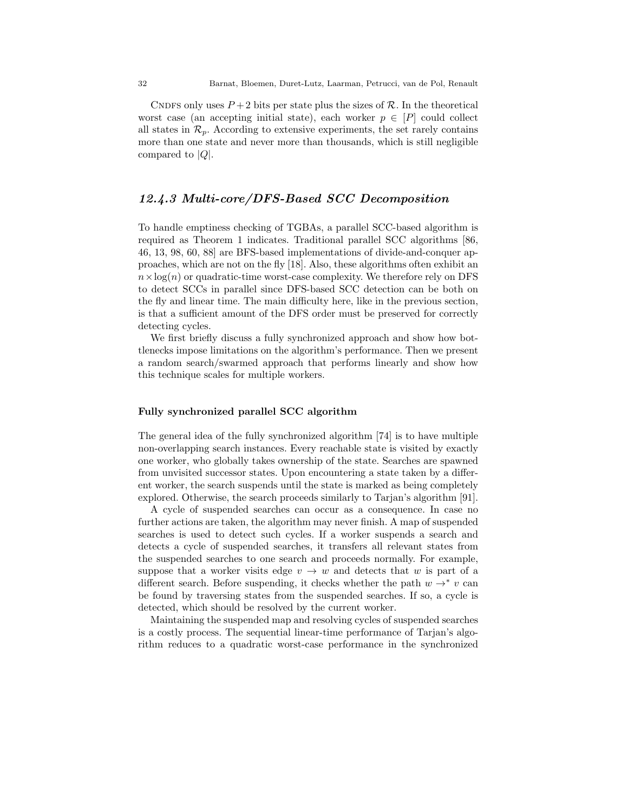CNDFS only uses  $P+2$  bits per state plus the sizes of R. In the theoretical worst case (an accepting initial state), each worker  $p \in [P]$  could collect all states in  $\mathcal{R}_p$ . According to extensive experiments, the set rarely contains more than one state and never more than thousands, which is still negligible compared to  $|Q|$ .

# 12.4.3 Multi-core/DFS-Based SCC Decomposition

To handle emptiness checking of TGBAs, a parallel SCC-based algorithm is required as Theorem 1 indicates. Traditional parallel SCC algorithms [86, 46, 13, 98, 60, 88] are BFS-based implementations of divide-and-conquer approaches, which are not on the fly [18]. Also, these algorithms often exhibit an  $n \times \log(n)$  or quadratic-time worst-case complexity. We therefore rely on DFS to detect SCCs in parallel since DFS-based SCC detection can be both on the fly and linear time. The main difficulty here, like in the previous section, is that a sufficient amount of the DFS order must be preserved for correctly detecting cycles.

We first briefly discuss a fully synchronized approach and show how bottlenecks impose limitations on the algorithm's performance. Then we present a random search/swarmed approach that performs linearly and show how this technique scales for multiple workers.

#### Fully synchronized parallel SCC algorithm

The general idea of the fully synchronized algorithm [74] is to have multiple non-overlapping search instances. Every reachable state is visited by exactly one worker, who globally takes ownership of the state. Searches are spawned from unvisited successor states. Upon encountering a state taken by a different worker, the search suspends until the state is marked as being completely explored. Otherwise, the search proceeds similarly to Tarjan's algorithm [91].

A cycle of suspended searches can occur as a consequence. In case no further actions are taken, the algorithm may never finish. A map of suspended searches is used to detect such cycles. If a worker suspends a search and detects a cycle of suspended searches, it transfers all relevant states from the suspended searches to one search and proceeds normally. For example, suppose that a worker visits edge  $v \to w$  and detects that w is part of a different search. Before suspending, it checks whether the path  $w \rightarrow^* v$  can be found by traversing states from the suspended searches. If so, a cycle is detected, which should be resolved by the current worker.

Maintaining the suspended map and resolving cycles of suspended searches is a costly process. The sequential linear-time performance of Tarjan's algorithm reduces to a quadratic worst-case performance in the synchronized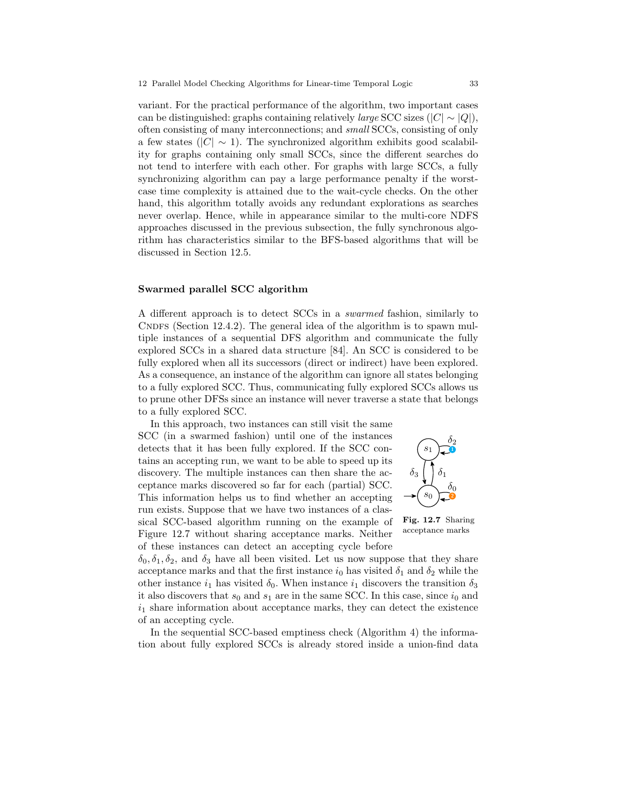variant. For the practical performance of the algorithm, two important cases can be distinguished: graphs containing relatively *large* SCC sizes ( $|C| \sim |Q|$ ), often consisting of many interconnections; and small SCCs, consisting of only a few states ( $|C| \sim 1$ ). The synchronized algorithm exhibits good scalability for graphs containing only small SCCs, since the different searches do not tend to interfere with each other. For graphs with large SCCs, a fully synchronizing algorithm can pay a large performance penalty if the worstcase time complexity is attained due to the wait-cycle checks. On the other hand, this algorithm totally avoids any redundant explorations as searches never overlap. Hence, while in appearance similar to the multi-core NDFS approaches discussed in the previous subsection, the fully synchronous algorithm has characteristics similar to the BFS-based algorithms that will be discussed in Section 12.5.

#### Swarmed parallel SCC algorithm

A different approach is to detect SCCs in a swarmed fashion, similarly to CNDFS (Section 12.4.2). The general idea of the algorithm is to spawn multiple instances of a sequential DFS algorithm and communicate the fully explored SCCs in a shared data structure [84]. An SCC is considered to be fully explored when all its successors (direct or indirect) have been explored. As a consequence, an instance of the algorithm can ignore all states belonging to a fully explored SCC. Thus, communicating fully explored SCCs allows us to prune other DFSs since an instance will never traverse a state that belongs to a fully explored SCC.

In this approach, two instances can still visit the same SCC (in a swarmed fashion) until one of the instances detects that it has been fully explored. If the SCC contains an accepting run, we want to be able to speed up its discovery. The multiple instances can then share the acceptance marks discovered so far for each (partial) SCC. This information helps us to find whether an accepting run exists. Suppose that we have two instances of a classical SCC-based algorithm running on the example of Figure 12.7 without sharing acceptance marks. Neither of these instances can detect an accepting cycle before



Fig. 12.7 Sharing acceptance marks

 $\delta_0, \delta_1, \delta_2$ , and  $\delta_3$  have all been visited. Let us now suppose that they share acceptance marks and that the first instance  $i_0$  has visited  $\delta_1$  and  $\delta_2$  while the other instance  $i_1$  has visited  $\delta_0$ . When instance  $i_1$  discovers the transition  $\delta_3$ it also discovers that  $s_0$  and  $s_1$  are in the same SCC. In this case, since  $i_0$  and  $i_1$  share information about acceptance marks, they can detect the existence of an accepting cycle.

In the sequential SCC-based emptiness check (Algorithm 4) the information about fully explored SCCs is already stored inside a union-find data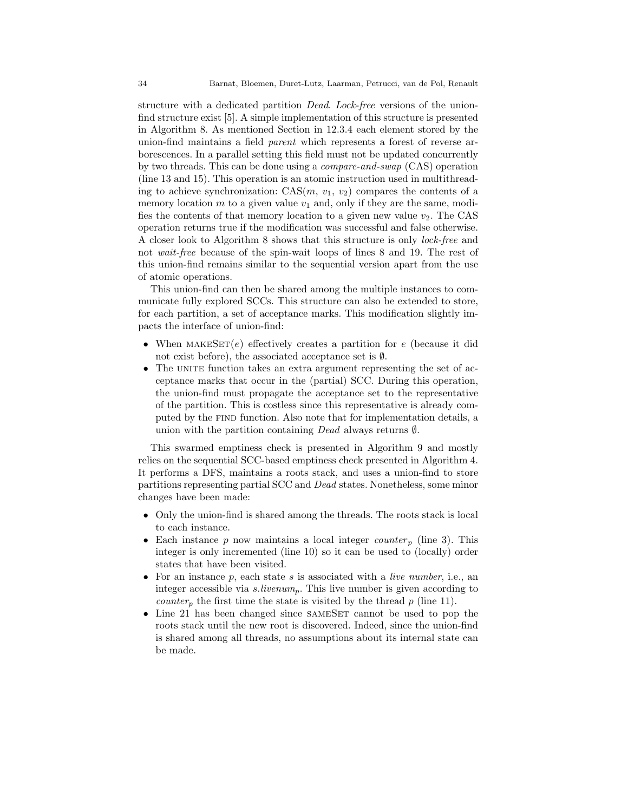structure with a dedicated partition Dead. Lock-free versions of the unionfind structure exist [5]. A simple implementation of this structure is presented in Algorithm 8. As mentioned Section in 12.3.4 each element stored by the union-find maintains a field parent which represents a forest of reverse arborescences. In a parallel setting this field must not be updated concurrently by two threads. This can be done using a compare-and-swap (CAS) operation (line 13 and 15). This operation is an atomic instruction used in multithreading to achieve synchronization:  $CAS(m, v_1, v_2)$  compares the contents of a memory location  $m$  to a given value  $v_1$  and, only if they are the same, modifies the contents of that memory location to a given new value  $v_2$ . The CAS operation returns true if the modification was successful and false otherwise. A closer look to Algorithm 8 shows that this structure is only lock-free and not wait-free because of the spin-wait loops of lines 8 and 19. The rest of this union-find remains similar to the sequential version apart from the use of atomic operations.

This union-find can then be shared among the multiple instances to communicate fully explored SCCs. This structure can also be extended to store, for each partition, a set of acceptance marks. This modification slightly impacts the interface of union-find:

- When MAKESET $(e)$  effectively creates a partition for e (because it did not exist before), the associated acceptance set is  $\emptyset$ .
- The UNITE function takes an extra argument representing the set of acceptance marks that occur in the (partial) SCC. During this operation, the union-find must propagate the acceptance set to the representative of the partition. This is costless since this representative is already computed by the FIND function. Also note that for implementation details, a union with the partition containing Dead always returns  $\emptyset$ .

This swarmed emptiness check is presented in Algorithm 9 and mostly relies on the sequential SCC-based emptiness check presented in Algorithm 4. It performs a DFS, maintains a roots stack, and uses a union-find to store partitions representing partial SCC and Dead states. Nonetheless, some minor changes have been made:

- Only the union-find is shared among the threads. The roots stack is local to each instance.
- Each instance p now maintains a local integer counter<sub>p</sub> (line 3). This integer is only incremented (line 10) so it can be used to (locally) order states that have been visited.
- For an instance  $p$ , each state  $s$  is associated with a *live number*, i.e., an integer accessible via  $s.$ *livenum<sub>p</sub>*. This live number is given according to *counter<sub>p</sub>* the first time the state is visited by the thread  $p$  (line 11).
- Line 21 has been changed since SAMESET cannot be used to pop the roots stack until the new root is discovered. Indeed, since the union-find is shared among all threads, no assumptions about its internal state can be made.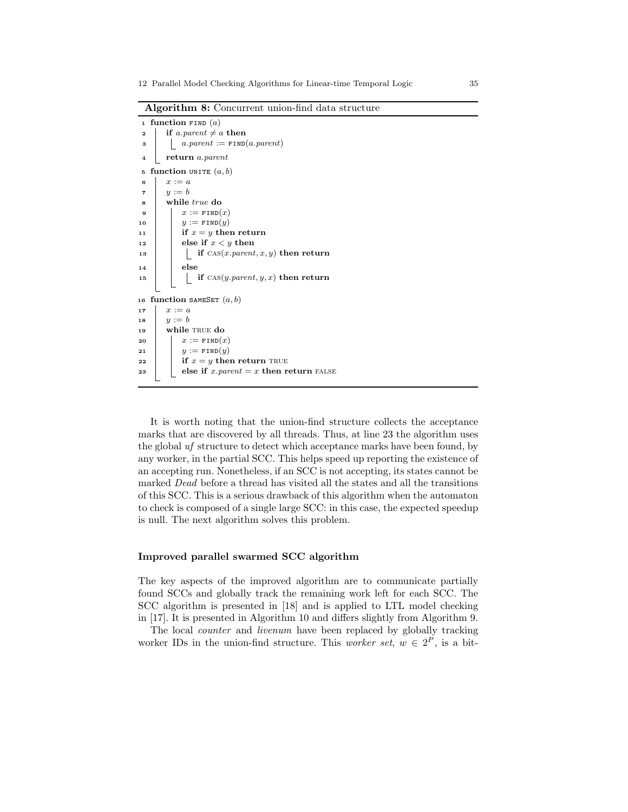Algorithm 8: Concurrent union-find data structure

| if $\text{cas}(x.parent, x, y)$ then return |
|---------------------------------------------|
|                                             |
| if $\text{cas}(y.parent, y, x)$ then return |
|                                             |
|                                             |
|                                             |
|                                             |
|                                             |
|                                             |
|                                             |
|                                             |
| else if x.parent = x then return FALSE      |
|                                             |

It is worth noting that the union-find structure collects the acceptance marks that are discovered by all threads. Thus, at line 23 the algorithm uses the global uf structure to detect which acceptance marks have been found, by any worker, in the partial SCC. This helps speed up reporting the existence of an accepting run. Nonetheless, if an SCC is not accepting, its states cannot be marked Dead before a thread has visited all the states and all the transitions of this SCC. This is a serious drawback of this algorithm when the automaton to check is composed of a single large SCC: in this case, the expected speedup is null. The next algorithm solves this problem.

#### Improved parallel swarmed SCC algorithm

The key aspects of the improved algorithm are to communicate partially found SCCs and globally track the remaining work left for each SCC. The SCC algorithm is presented in [18] and is applied to LTL model checking in [17]. It is presented in Algorithm 10 and differs slightly from Algorithm 9.

The local counter and livenum have been replaced by globally tracking worker IDs in the union-find structure. This *worker set*,  $w \in 2^P$ , is a bit-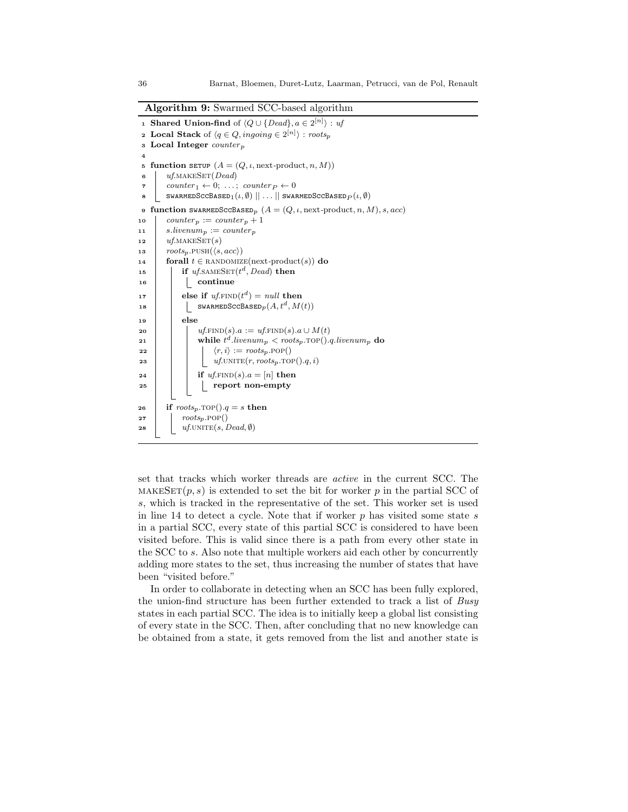Algorithm 9: Swarmed SCC-based algorithm

1 Shared Union-find of  $\langle Q \cup \{Dead\}, a \in 2^{[n]} \rangle : uf$ 2 Local Stack of  $\langle q \in Q$ , ingoing  $\in 2^{[n]} \rangle$  : roots<sub>p</sub>  $3$  Local Integer *counterp* 4 5 function setup  $(A = (Q, \iota, \text{next-product}, n, M))$ 6 |  $uf.\text{MAKESET}(Dead)$  $counter_1 \leftarrow 0; \ldots; counter_P \leftarrow 0$  $\mathbf{s}$  | swarmedSccBased<sub>1</sub>( $\iota, \emptyset$ ) || ... || swarmedSccBased<sub>P</sub>( $\iota, \emptyset$ ) 9 function SWARMEDSCCBASED<sub>p</sub>  $(A = (Q, \iota, \text{next-product}, n, M), s, acc)$ 10 counter<sub>p</sub> := counter<sub>p</sub> + 1 11 | s.livenum<sub>p</sub> := counter<sub>p</sub> 12 |  $uf.\text{MAKESET}(s)$ 13  $roots_p.PUSH(\langle s, acc \rangle)$ 14 forall  $t \in$  RANDOMIZE(next-product(s)) do 15 **if**  $uf.\text{SAMESET}(t^d, Dead)$  then  $16$  | | | continue 17 else if  $uf$ . FIND $(t^d)$  = null then 18 | SWARMEDSCCBASED<sub>p</sub> $(A, t^d, M(t))$  $_{19}$  | else 20 | |  $uf.\text{FIND}(s).a := uf.\text{FIND}(s).a \cup M(t)$ 21 while  $t^d$  livenum  $_p <$  roots<sub>p</sub>.top().q.livenum  $_p$  do 22  $\vert \vert \vert \vert \langle r, i \rangle := roots_p.POP()$ 23 | | |  $uf.\text{UNITE}(r, roots_p.\text{TOP}(), q, i)$ 24 if  $uf.\text{FIND}(s).a = [n]$  then  $25$  | | | report non-empty 26 if  $roots_p.\text{TOP}() . q = s$  then  $27$  |  $roots_p.POP()$ 28 |  $uf.\text{UNITE}(s, Dead, \emptyset)$ 

set that tracks which worker threads are active in the current SCC. The MAKESET $(p, s)$  is extended to set the bit for worker p in the partial SCC of s, which is tracked in the representative of the set. This worker set is used in line 14 to detect a cycle. Note that if worker  $p$  has visited some state  $s$ in a partial SCC, every state of this partial SCC is considered to have been visited before. This is valid since there is a path from every other state in the SCC to s. Also note that multiple workers aid each other by concurrently adding more states to the set, thus increasing the number of states that have been "visited before."

In order to collaborate in detecting when an SCC has been fully explored, the union-find structure has been further extended to track a list of Busy states in each partial SCC. The idea is to initially keep a global list consisting of every state in the SCC. Then, after concluding that no new knowledge can be obtained from a state, it gets removed from the list and another state is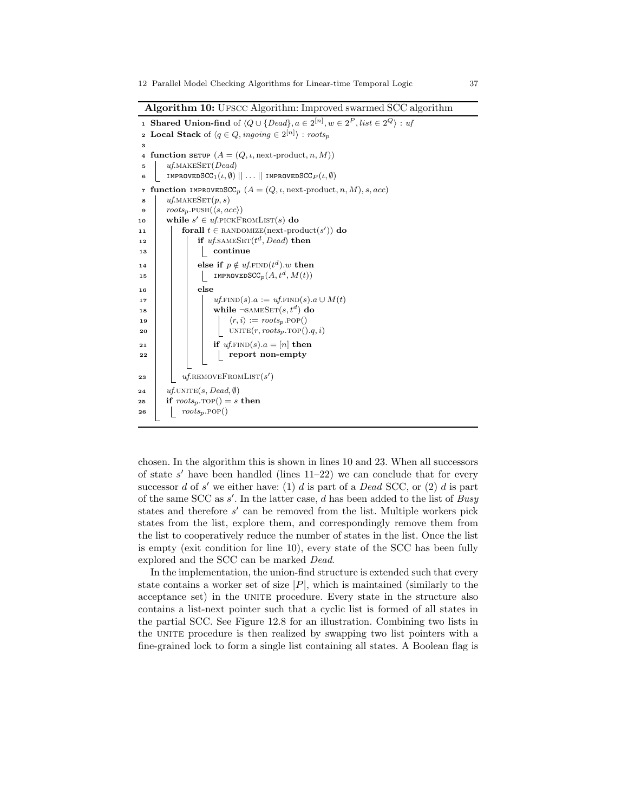Algorithm 10: Ufscc Algorithm: Improved swarmed SCC algorithm

1 Shared Union-find of  $\langle Q \cup \{Dead\}, a \in 2^{[n]}, w \in 2^P, list \in 2^Q \rangle : uf$ 2 Local Stack of  $\langle q \in Q$ , ingoing  $\in 2^{[n]} \rangle$  : roots<sub>p</sub> 3 4 function setup  $(A = (Q, \iota, \text{next-product}, n, M))$  $5 \mid uf.\text{MAKESET}(Dead)$ 6 | IMPROVEDSCC $_1(\iota, \emptyset)$  || ... || IMPROVEDSCC $_P(\iota, \emptyset)$ 7 function IMPROVEDSCC<sub>p</sub>  $(A = (Q, \iota, \text{next-product}, n, M), s, acc)$  $\mathbf{s}$  | uf.MAKESET $(p, s)$ 9  $roots_p.\text{PUSH}(\langle s, acc \rangle)$ 10 while  $s' \in uf.PICKFROMLIST(s)$  do 11 **forall**  $t \in$  RANDOMIZE(next-product(s')) do 12 **if**  $uf.\text{SAMESET}(t^d, Dead)$  then  $13 \mid \cdot \mid \cdot \mid$  continue 14 else if  $p \notin \mathit{uf}$ . FIND $(t^d)$ .w then 15 | | | IMPROVEDSCC<sub>p</sub> $(A, t^d, M(t))$  $16$  else 17 | |  $\text{u}f.\text{FIND}(s).a := \text{u}f.\text{FIND}(s).a \cup M(t)$ 18 | | | | while  $\neg$ SAMESET(s, t<sup>d</sup>) do 19  $\vert$   $\vert$   $\vert$   $\vert$   $\vert$   $\vert$   $\langle r, i \rangle$  :=  $roots_p.POP()$ 20 | | | UNITE $(r, roots_p.\text{TOP}(), q, i)$ 21 if  $uf$ . FIND(s).  $a = [n]$  then  $22 \mid | \cdot |$  report non-empty 23 |  $uf$ REMOVEFROMLIST $(s')$ 24  $\left\{ \text{u}f.\text{UNITE}(s, Dead, \emptyset) \right\}$ 25 | if  $roots_p$ .TOP() = s then 26  $roots_p.POP()$ 

chosen. In the algorithm this is shown in lines 10 and 23. When all successors of state  $s'$  have been handled (lines  $11-22$ ) we can conclude that for every successor d of s' we either have: (1) d is part of a Dead SCC, or (2) d is part of the same SCC as  $s'$ . In the latter case, d has been added to the list of  $Busy$ states and therefore  $s'$  can be removed from the list. Multiple workers pick states from the list, explore them, and correspondingly remove them from the list to cooperatively reduce the number of states in the list. Once the list is empty (exit condition for line 10), every state of the SCC has been fully explored and the SCC can be marked Dead.

In the implementation, the union-find structure is extended such that every state contains a worker set of size  $|P|$ , which is maintained (similarly to the acceptance set) in the UNITE procedure. Every state in the structure also contains a list-next pointer such that a cyclic list is formed of all states in the partial SCC. See Figure 12.8 for an illustration. Combining two lists in the UNITE procedure is then realized by swapping two list pointers with a fine-grained lock to form a single list containing all states. A Boolean flag is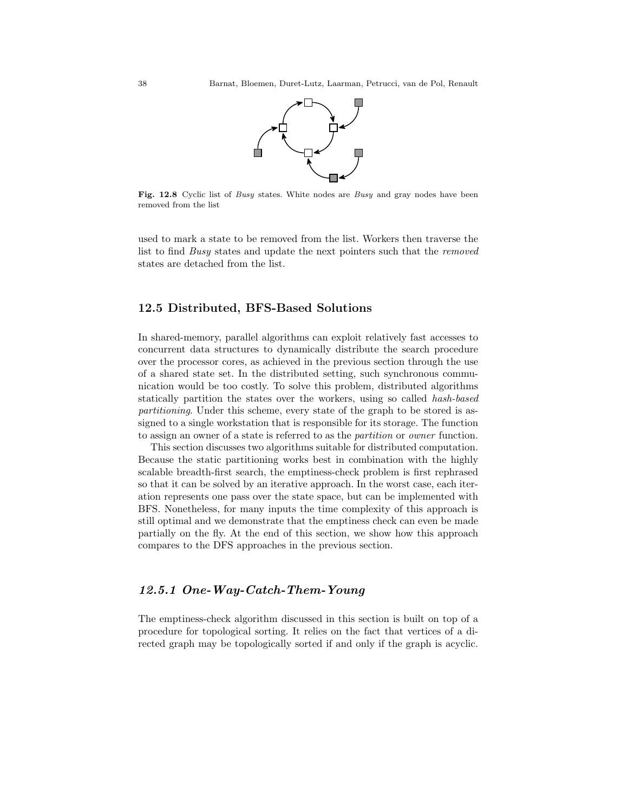

Fig. 12.8 Cyclic list of Busy states. White nodes are Busy and gray nodes have been removed from the list

used to mark a state to be removed from the list. Workers then traverse the list to find Busy states and update the next pointers such that the removed states are detached from the list.

# 12.5 Distributed, BFS-Based Solutions

In shared-memory, parallel algorithms can exploit relatively fast accesses to concurrent data structures to dynamically distribute the search procedure over the processor cores, as achieved in the previous section through the use of a shared state set. In the distributed setting, such synchronous communication would be too costly. To solve this problem, distributed algorithms statically partition the states over the workers, using so called hash-based partitioning. Under this scheme, every state of the graph to be stored is assigned to a single workstation that is responsible for its storage. The function to assign an owner of a state is referred to as the partition or owner function.

This section discusses two algorithms suitable for distributed computation. Because the static partitioning works best in combination with the highly scalable breadth-first search, the emptiness-check problem is first rephrased so that it can be solved by an iterative approach. In the worst case, each iteration represents one pass over the state space, but can be implemented with BFS. Nonetheless, for many inputs the time complexity of this approach is still optimal and we demonstrate that the emptiness check can even be made partially on the fly. At the end of this section, we show how this approach compares to the DFS approaches in the previous section.

# 12.5.1 One-Way-Catch-Them-Young

The emptiness-check algorithm discussed in this section is built on top of a procedure for topological sorting. It relies on the fact that vertices of a directed graph may be topologically sorted if and only if the graph is acyclic.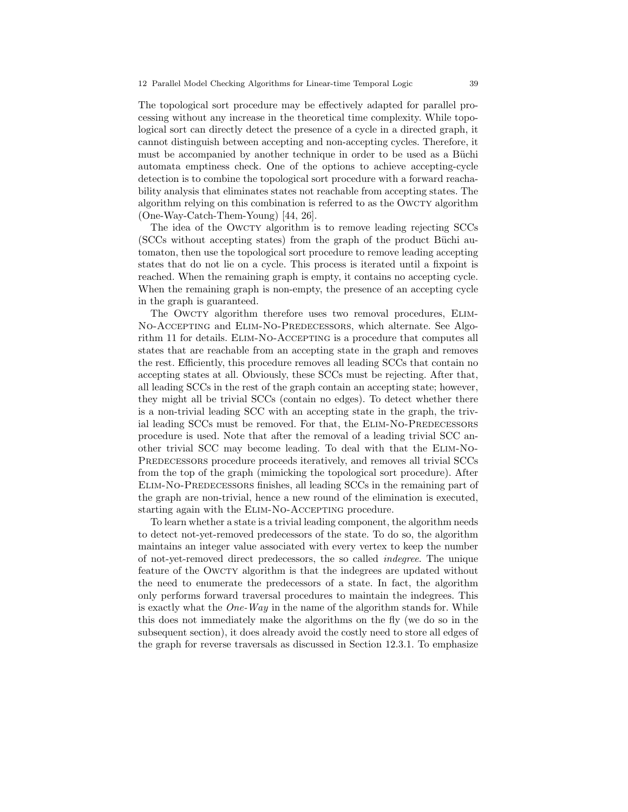The topological sort procedure may be effectively adapted for parallel processing without any increase in the theoretical time complexity. While topological sort can directly detect the presence of a cycle in a directed graph, it cannot distinguish between accepting and non-accepting cycles. Therefore, it must be accompanied by another technique in order to be used as a Büchi automata emptiness check. One of the options to achieve accepting-cycle detection is to combine the topological sort procedure with a forward reachability analysis that eliminates states not reachable from accepting states. The algorithm relying on this combination is referred to as the Owctry algorithm (One-Way-Catch-Them-Young) [44, 26].

The idea of the Owctry algorithm is to remove leading rejecting SCCs  $(SCCs$  without accepting states) from the graph of the product Büchi automaton, then use the topological sort procedure to remove leading accepting states that do not lie on a cycle. This process is iterated until a fixpoint is reached. When the remaining graph is empty, it contains no accepting cycle. When the remaining graph is non-empty, the presence of an accepting cycle in the graph is guaranteed.

The Owctr algorithm therefore uses two removal procedures, ELIM-No-Accepting and Elim-No-Predecessors, which alternate. See Algorithm 11 for details. ELIM-NO-ACCEPTING is a procedure that computes all states that are reachable from an accepting state in the graph and removes the rest. Efficiently, this procedure removes all leading SCCs that contain no accepting states at all. Obviously, these SCCs must be rejecting. After that, all leading SCCs in the rest of the graph contain an accepting state; however, they might all be trivial SCCs (contain no edges). To detect whether there is a non-trivial leading SCC with an accepting state in the graph, the trivial leading SCCs must be removed. For that, the ELIM-NO-PREDECESSORS procedure is used. Note that after the removal of a leading trivial SCC another trivial SCC may become leading. To deal with that the Elim-No-PREDECESSORS procedure proceeds iteratively, and removes all trivial SCCs from the top of the graph (mimicking the topological sort procedure). After ELIM-NO-PREDECESSORS finishes, all leading SCCs in the remaining part of the graph are non-trivial, hence a new round of the elimination is executed, starting again with the ELIM-NO-ACCEPTING procedure.

To learn whether a state is a trivial leading component, the algorithm needs to detect not-yet-removed predecessors of the state. To do so, the algorithm maintains an integer value associated with every vertex to keep the number of not-yet-removed direct predecessors, the so called indegree. The unique feature of the Owctry algorithm is that the indegrees are updated without the need to enumerate the predecessors of a state. In fact, the algorithm only performs forward traversal procedures to maintain the indegrees. This is exactly what the  $One-Way$  in the name of the algorithm stands for. While this does not immediately make the algorithms on the fly (we do so in the subsequent section), it does already avoid the costly need to store all edges of the graph for reverse traversals as discussed in Section 12.3.1. To emphasize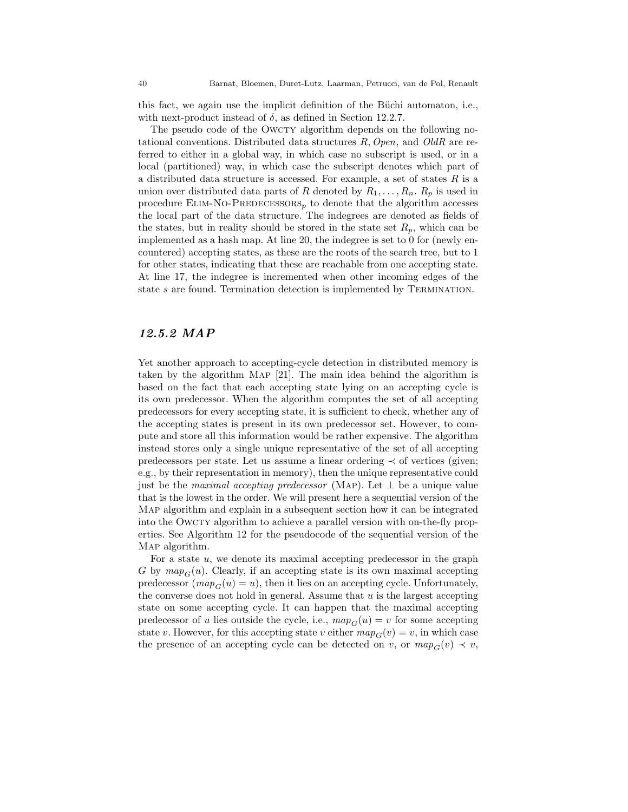this fact, we again use the implicit definition of the Büchi automaton, i.e., with next-product instead of  $\delta$ , as defined in Section 12.2.7.

The pseudo code of the Owcry algorithm depends on the following notational conventions. Distributed data structures  $R$ , Open, and OldR are referred to either in a global way, in which case no subscript is used, or in a local (partitioned) way, in which case the subscript denotes which part of a distributed data structure is accessed. For example, a set of states  $R$  is a union over distributed data parts of R denoted by  $R_1, \ldots, R_n$ .  $R_p$  is used in procedure ELIM-NO-PREDECESSORS<sub>p</sub> to denote that the algorithm accesses the local part of the data structure. The indegrees are denoted as fields of the states, but in reality should be stored in the state set  $R_p$ , which can be implemented as a hash map. At line 20, the indegree is set to 0 for (newly encountered) accepting states, as these are the roots of the search tree, but to 1 for other states, indicating that these are reachable from one accepting state. At line 17, the indegree is incremented when other incoming edges of the state s are found. Termination detection is implemented by Termination.

# 12.5.2 MAP

Yet another approach to accepting-cycle detection in distributed memory is taken by the algorithm Map [21]. The main idea behind the algorithm is based on the fact that each accepting state lying on an accepting cycle is its own predecessor. When the algorithm computes the set of all accepting predecessors for every accepting state, it is sufficient to check, whether any of the accepting states is present in its own predecessor set. However, to compute and store all this information would be rather expensive. The algorithm instead stores only a single unique representative of the set of all accepting predecessors per state. Let us assume a linear ordering  $\prec$  of vertices (given; e.g., by their representation in memory), then the unique representative could just be the *maximal accepting predecessor* (MAP). Let  $\perp$  be a unique value that is the lowest in the order. We will present here a sequential version of the Map algorithm and explain in a subsequent section how it can be integrated into the Owctry algorithm to achieve a parallel version with on-the-fly properties. See Algorithm 12 for the pseudocode of the sequential version of the Map algorithm.

For a state  $u$ , we denote its maximal accepting predecessor in the graph G by  $map_G(u)$ . Clearly, if an accepting state is its own maximal accepting predecessor  $(map_G(u) = u)$ , then it lies on an accepting cycle. Unfortunately, the converse does not hold in general. Assume that  $u$  is the largest accepting state on some accepting cycle. It can happen that the maximal accepting predecessor of u lies outside the cycle, i.e.,  $map_G(u) = v$  for some accepting state v. However, for this accepting state v either  $map_G(v) = v$ , in which case the presence of an accepting cycle can be detected on v, or  $map_G(v) \prec v$ ,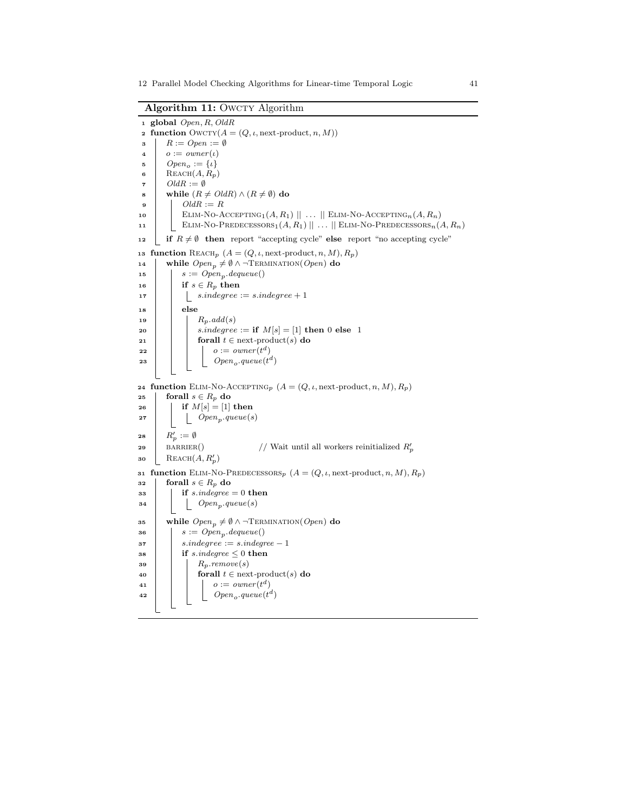Algorithm 11: Owcty Algorithm

<sup>1</sup> global Open, R, OldR 2 function  $\text{OWCTY}(A = (Q, \iota, \text{next-product}, n, M))$  $\mathbf{s} \mid R := Open := \emptyset$ 4  $o := owner(t)$ 5  $\bigcup$   $Open_{o} := \{\iota\}$ 6 REACH $(A, R_p)$  $7 \mid O \, dR := \emptyset$ 8 while  $(R ≠ OldR) \wedge (R ≠ ∅)$  do  $\Box$   $OldR := R$ 10 | ELIM-NO-ACCEPTING<sub>1</sub> $(A, R_1)$  || ... || ELIM-NO-ACCEPTING<sub>n</sub> $(A, R_n)$ 11 | ELIM-NO-PREDECESSORS $_1(A, R_1)$  || ... || ELIM-NO-PREDECESSORS $_n(A, R_n)$ 12 if  $R \neq \emptyset$  then report "accepting cycle" else report "no accepting cycle" 13 function  $\text{REACH}_p$   $(A = (Q, \iota, \text{next-product}, n, M), R_p)$ 14 while  $Open_p \neq \emptyset \land \neg \text{TERMINATION}(Open)$  do 15  $\vert$   $s := Open_p.dequeue()$ 16 if  $s \in R_p$  then 17 | |  $\Box$  s.indegree := s.indegree + 1  $18$  else 19 |  $\big|$   $\big|$   $\big|$   $\big|$   $\big|$   $\big|$   $\big|$   $\big|$   $\big|$   $\big|$   $\big|$   $\big|$   $\big|$   $\big|$   $\big|$   $\big|$   $\big|$   $\big|$   $\big|$   $\big|$   $\big|$   $\big|$   $\big|$   $\big|$   $\big|$   $\big|$   $\big|$   $\big|$   $\big|$   $\big|$   $\big|$   $\big|$   $\big|$   $\big|$   $\big|$   $\big|$  20 | |  $s.index = \textbf{if } M[s] = [1] \textbf{ then } 0 \textbf{ else } 1$ 21 | corall  $t \in \text{next-product}(s)$  do <sup>22</sup> o := owner(t d) 23 | |  $\log_{10}$ .queue $(t^d)$ 24 function ELIM-NO-ACCEPTING<sub>p</sub>  $(A = (Q, \iota, \text{next-product}, n, M), R_p)$ 25  $\vert$  forall  $s \in R_p$  do 26 **if**  $M[s] = [1]$  then 27 |  $\bigcup$  Open<sub>p</sub>.queue(s)  $\begin{array}{ccc} \textbf{28} & \mid & R_p' := \emptyset \end{array}$ 29 BARRIER()  $//$  Wait until all workers reinitialized  $R'_p$ 30 REACH $(A, R'_p)$ 31 function ELIM-NO-PREDECESSORS<sub>p</sub>  $(A = (Q, \iota, \text{next-product}, n, M), R_p)$ 32  $\Big|$  forall  $s \in R_p$  do 33 if s.indegree  $= 0$  then  $34$  | |  $Open_p. queue(s)$ 35 while  $Open_p \neq \emptyset \land \neg \text{TERMINATION}(Open)$  do 36  $\vert$   $s := Open_p.dequeue()$  $\vert$  s.indegree := s.indegree - 1 38 if s.indegree  $\leq 0$  then 39 | |  $R_p$ .remove(s) 40 **forall**  $t \in \text{next-product}(s)$  do <sup>41</sup> o := owner(t d)  $42$  | |  $Open_o. queue(t^d)$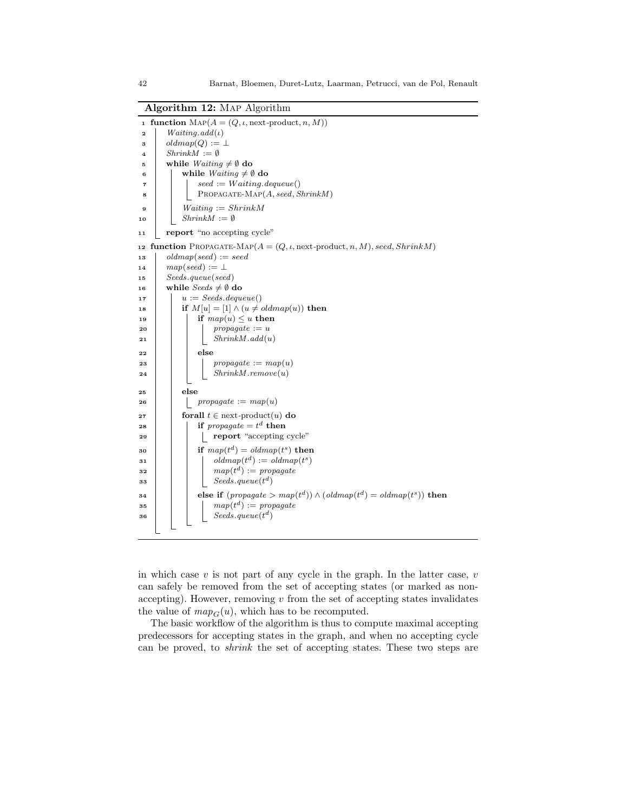Algorithm 12: Map Algorithm

| $\mathbf{1}$   | function $\text{MAP}(A = (Q, \iota, \text{next-product}, n, M))$                            |  |  |  |  |  |  |
|----------------|---------------------------------------------------------------------------------------------|--|--|--|--|--|--|
| $\overline{2}$ | Waiting.add(t)                                                                              |  |  |  |  |  |  |
| 3              | $oldmap(Q) := \perp$                                                                        |  |  |  |  |  |  |
| 4              | $ShrinkM := \emptyset$                                                                      |  |  |  |  |  |  |
| 5              | while $Waiting \neq \emptyset$ do                                                           |  |  |  |  |  |  |
| 6              | while <i>Waiting</i> $\neq \emptyset$ do                                                    |  |  |  |  |  |  |
| 7              | $seed := Waiting.dequeue()$                                                                 |  |  |  |  |  |  |
| 8              | $PROPAGATE-MAP(A, seed, ShrinkM)$                                                           |  |  |  |  |  |  |
| 9              | $Waiting := ShrinkM$                                                                        |  |  |  |  |  |  |
| 10             | $ShrinkM := \emptyset$                                                                      |  |  |  |  |  |  |
| 11             | report "no accepting cycle"                                                                 |  |  |  |  |  |  |
| 12             | <b>function</b> PROPAGATE-MAP( $A = (Q, \iota, \text{next-product}, n, M)$ , seed, ShrinkM) |  |  |  |  |  |  |
| 13             | $oldmap(seed) := seed$                                                                      |  |  |  |  |  |  |
| 14             | $map(seed) := \bot$                                                                         |  |  |  |  |  |  |
| 15             | $\textit{Seeds}.queue(\textit{seed})$                                                       |  |  |  |  |  |  |
| 16             | while $Seeds \neq \emptyset$ do                                                             |  |  |  |  |  |  |
| 17             | $u := S$ eeds.dequeue()                                                                     |  |  |  |  |  |  |
| 18             | if $M[u] = [1] \wedge (u \neq \text{oldmap}(u))$ then                                       |  |  |  |  |  |  |
| 19             | if $map(u) \leq u$ then                                                                     |  |  |  |  |  |  |
| 20             | $propagate := u$                                                                            |  |  |  |  |  |  |
| 21             | ShrinkM.add(u)                                                                              |  |  |  |  |  |  |
| 22             | else                                                                                        |  |  |  |  |  |  |
| 23             | propagate := $map(u)$                                                                       |  |  |  |  |  |  |
| 24             | $ShrinkM$ .remove $(u)$                                                                     |  |  |  |  |  |  |
| 25             | else                                                                                        |  |  |  |  |  |  |
| 26             | $propagate := map(u)$                                                                       |  |  |  |  |  |  |
| 27             | forall $t \in$ next-product $(u)$ do                                                        |  |  |  |  |  |  |
| 28             | if propagate $= t^d$ then                                                                   |  |  |  |  |  |  |
| 29             | report "accepting cycle"                                                                    |  |  |  |  |  |  |
| 30             | if $map(t^d) = oldmap(t^s)$ then                                                            |  |  |  |  |  |  |
| 31             | $oldmap(t^d) := oldmap(t^s)$                                                                |  |  |  |  |  |  |
| 32             | $map(t^d) := propagate$                                                                     |  |  |  |  |  |  |
| 33             | $S$ eeds.queue $(t^d)$                                                                      |  |  |  |  |  |  |
| 34             | else if $(propagate > map(t^d)) \wedge (oldmap(t^d) = oldmap(t^s))$ then                    |  |  |  |  |  |  |
| 35             | $map(t^d) := propagate$                                                                     |  |  |  |  |  |  |
| 36             | $\textit{Seeds}. \textit{queue}(t^d)$                                                       |  |  |  |  |  |  |
|                |                                                                                             |  |  |  |  |  |  |

in which case  $v$  is not part of any cycle in the graph. In the latter case,  $v$ can safely be removed from the set of accepting states (or marked as nonaccepting). However, removing  $v$  from the set of accepting states invalidates the value of  $map_G(u)$ , which has to be recomputed.

The basic workflow of the algorithm is thus to compute maximal accepting predecessors for accepting states in the graph, and when no accepting cycle can be proved, to shrink the set of accepting states. These two steps are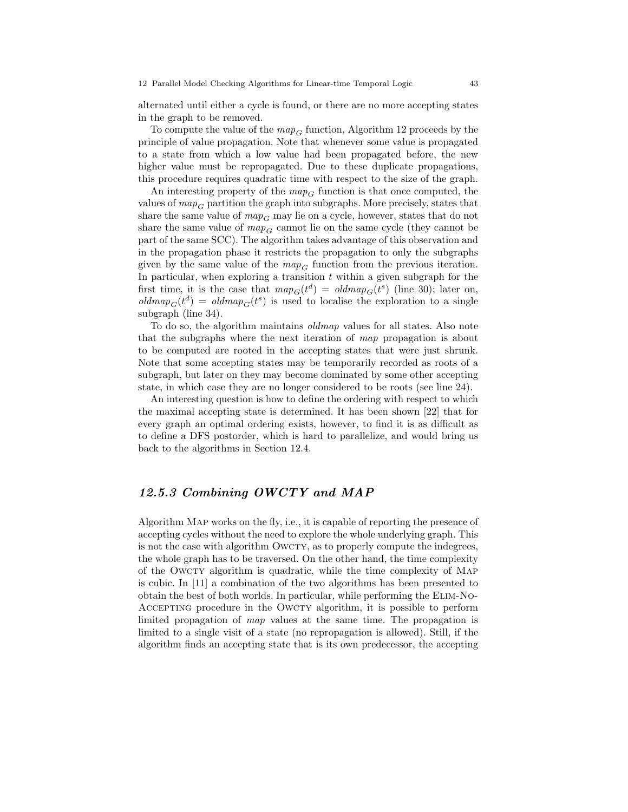alternated until either a cycle is found, or there are no more accepting states in the graph to be removed.

To compute the value of the  $map_G$  function, Algorithm 12 proceeds by the principle of value propagation. Note that whenever some value is propagated to a state from which a low value had been propagated before, the new higher value must be repropagated. Due to these duplicate propagations, this procedure requires quadratic time with respect to the size of the graph.

An interesting property of the  $map_G$  function is that once computed, the values of  $map_G$  partition the graph into subgraphs. More precisely, states that share the same value of  $map_G$  may lie on a cycle, however, states that do not share the same value of  $map_G$  cannot lie on the same cycle (they cannot be part of the same SCC). The algorithm takes advantage of this observation and in the propagation phase it restricts the propagation to only the subgraphs given by the same value of the  $map_G$  function from the previous iteration. In particular, when exploring a transition  $t$  within a given subgraph for the first time, it is the case that  $map_G(t^d) = oldmap_G(t^s)$  (line 30); later on,  $\textit{oldmap}_G(t^d) = \textit{oldmap}_G(t^s)$  is used to localise the exploration to a single subgraph (line 34).

To do so, the algorithm maintains oldmap values for all states. Also note that the subgraphs where the next iteration of map propagation is about to be computed are rooted in the accepting states that were just shrunk. Note that some accepting states may be temporarily recorded as roots of a subgraph, but later on they may become dominated by some other accepting state, in which case they are no longer considered to be roots (see line 24).

An interesting question is how to define the ordering with respect to which the maximal accepting state is determined. It has been shown [22] that for every graph an optimal ordering exists, however, to find it is as difficult as to define a DFS postorder, which is hard to parallelize, and would bring us back to the algorithms in Section 12.4.

#### 12.5.3 Combining OWCTY and MAP

Algorithm Map works on the fly, i.e., it is capable of reporting the presence of accepting cycles without the need to explore the whole underlying graph. This is not the case with algorithm OWCTY, as to properly compute the indegrees, the whole graph has to be traversed. On the other hand, the time complexity of the Owcty algorithm is quadratic, while the time complexity of Map is cubic. In [11] a combination of the two algorithms has been presented to obtain the best of both worlds. In particular, while performing the Elim-No-ACCEPTING procedure in the OWCTY algorithm, it is possible to perform limited propagation of map values at the same time. The propagation is limited to a single visit of a state (no repropagation is allowed). Still, if the algorithm finds an accepting state that is its own predecessor, the accepting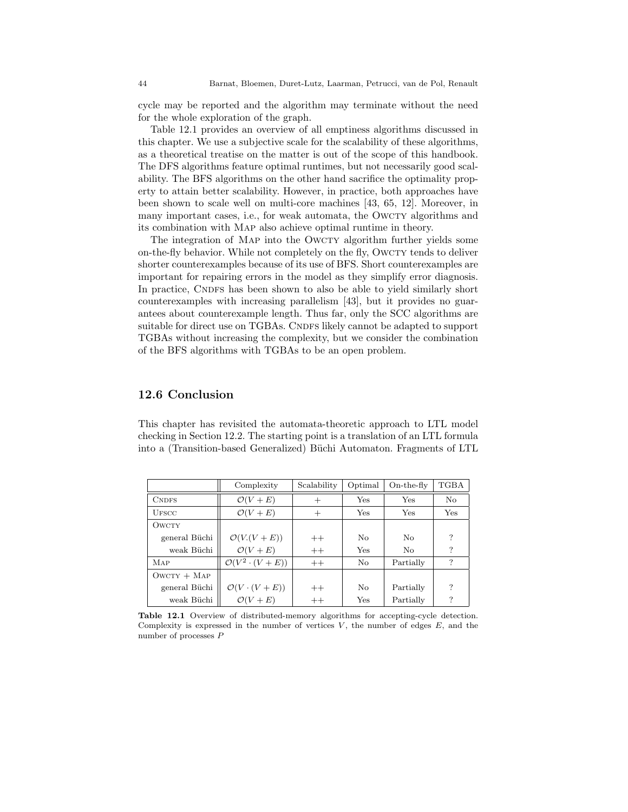cycle may be reported and the algorithm may terminate without the need for the whole exploration of the graph.

Table 12.1 provides an overview of all emptiness algorithms discussed in this chapter. We use a subjective scale for the scalability of these algorithms, as a theoretical treatise on the matter is out of the scope of this handbook. The DFS algorithms feature optimal runtimes, but not necessarily good scalability. The BFS algorithms on the other hand sacrifice the optimality property to attain better scalability. However, in practice, both approaches have been shown to scale well on multi-core machines [43, 65, 12]. Moreover, in many important cases, i.e., for weak automata, the OwcTY algorithms and its combination with Map also achieve optimal runtime in theory.

The integration of MAP into the OWCTY algorithm further yields some on-the-fly behavior. While not completely on the fly, Owcty tends to deliver shorter counterexamples because of its use of BFS. Short counterexamples are important for repairing errors in the model as they simplify error diagnosis. In practice, CNDFS has been shown to also be able to yield similarly short counterexamples with increasing parallelism [43], but it provides no guarantees about counterexample length. Thus far, only the SCC algorithms are suitable for direct use on TGBAs. CNDFS likely cannot be adapted to support TGBAs without increasing the complexity, but we consider the combination of the BFS algorithms with TGBAs to be an open problem.

## 12.6 Conclusion

This chapter has revisited the automata-theoretic approach to LTL model checking in Section 12.2. The starting point is a translation of an LTL formula into a (Transition-based Generalized) Büchi Automaton. Fragments of LTL

|               | Complexity                   | Scalability | Optimal        | $On$ -the-fly | TGBA |
|---------------|------------------------------|-------------|----------------|---------------|------|
| <b>CNDFS</b>  | $\mathcal{O}(V+E)$           | $^{+}$      | Yes            | Yes           | No   |
| UFSCC         | $\mathcal{O}(V+E)$           | $^{+}$      | Yes            | Yes           | Yes  |
| OWCTY         |                              |             |                |               |      |
| general Büchi | $\mathcal{O}(V.(V + E))$     | $++$        | No             | No            | 7    |
| weak Büchi    | $\mathcal{O}(V+E)$           | $++$        | Yes            | No            | 7    |
| MAP           | $\mathcal{O}(V^2\cdot(V+E))$ | $++$        | No             | Partially     | ?    |
| $OWCTY + MAP$ |                              |             |                |               |      |
| general Büchi | $\mathcal{O}(V\cdot(V+E))$   | $++$        | N <sub>o</sub> | Partially     | 7    |
| weak Büchi    | $\mathcal{O}(V+E)$           | $++$        | Yes            | Partially     | 7    |

Table 12.1 Overview of distributed-memory algorithms for accepting-cycle detection. Complexity is expressed in the number of vertices  $V$ , the number of edges  $E$ , and the number of processes P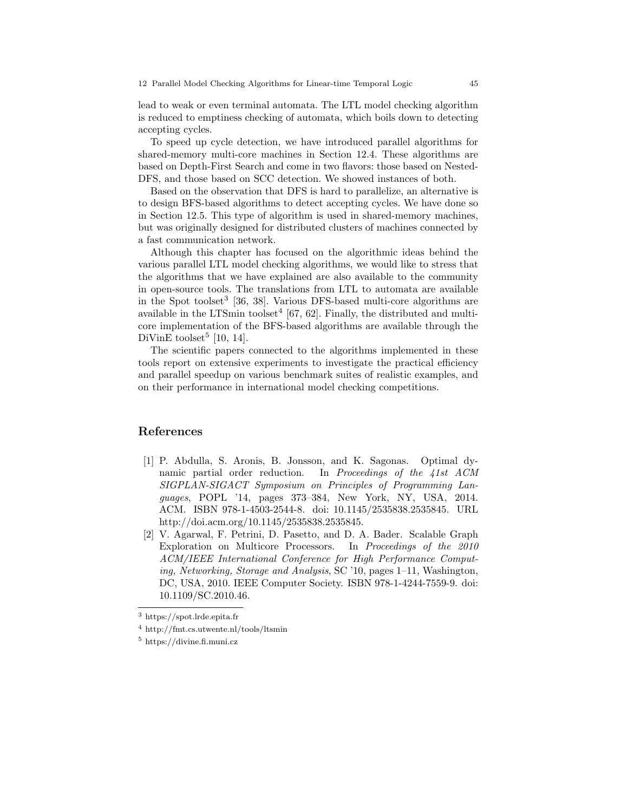12 Parallel Model Checking Algorithms for Linear-time Temporal Logic 45

lead to weak or even terminal automata. The LTL model checking algorithm is reduced to emptiness checking of automata, which boils down to detecting accepting cycles.

To speed up cycle detection, we have introduced parallel algorithms for shared-memory multi-core machines in Section 12.4. These algorithms are based on Depth-First Search and come in two flavors: those based on Nested-DFS, and those based on SCC detection. We showed instances of both.

Based on the observation that DFS is hard to parallelize, an alternative is to design BFS-based algorithms to detect accepting cycles. We have done so in Section 12.5. This type of algorithm is used in shared-memory machines, but was originally designed for distributed clusters of machines connected by a fast communication network.

Although this chapter has focused on the algorithmic ideas behind the various parallel LTL model checking algorithms, we would like to stress that the algorithms that we have explained are also available to the community in open-source tools. The translations from LTL to automata are available in the Spot toolset<sup>3</sup> [36, 38]. Various DFS-based multi-core algorithms are available in the LTSmin toolset<sup>4</sup> [67, 62]. Finally, the distributed and multicore implementation of the BFS-based algorithms are available through the DiVinE toolset<sup>5</sup> [10, 14].

The scientific papers connected to the algorithms implemented in these tools report on extensive experiments to investigate the practical efficiency and parallel speedup on various benchmark suites of realistic examples, and on their performance in international model checking competitions.

## References

- [1] P. Abdulla, S. Aronis, B. Jonsson, and K. Sagonas. Optimal dynamic partial order reduction. In Proceedings of the 41st ACM SIGPLAN-SIGACT Symposium on Principles of Programming Languages, POPL '14, pages 373–384, New York, NY, USA, 2014. ACM. ISBN 978-1-4503-2544-8. doi: 10.1145/2535838.2535845. URL http://doi.acm.org/10.1145/2535838.2535845.
- [2] V. Agarwal, F. Petrini, D. Pasetto, and D. A. Bader. Scalable Graph Exploration on Multicore Processors. In Proceedings of the 2010 ACM/IEEE International Conference for High Performance Computing, Networking, Storage and Analysis, SC '10, pages 1–11, Washington, DC, USA, 2010. IEEE Computer Society. ISBN 978-1-4244-7559-9. doi: 10.1109/SC.2010.46.

<sup>3</sup> https://spot.lrde.epita.fr

<sup>4</sup> http://fmt.cs.utwente.nl/tools/ltsmin

<sup>5</sup> https://divine.fi.muni.cz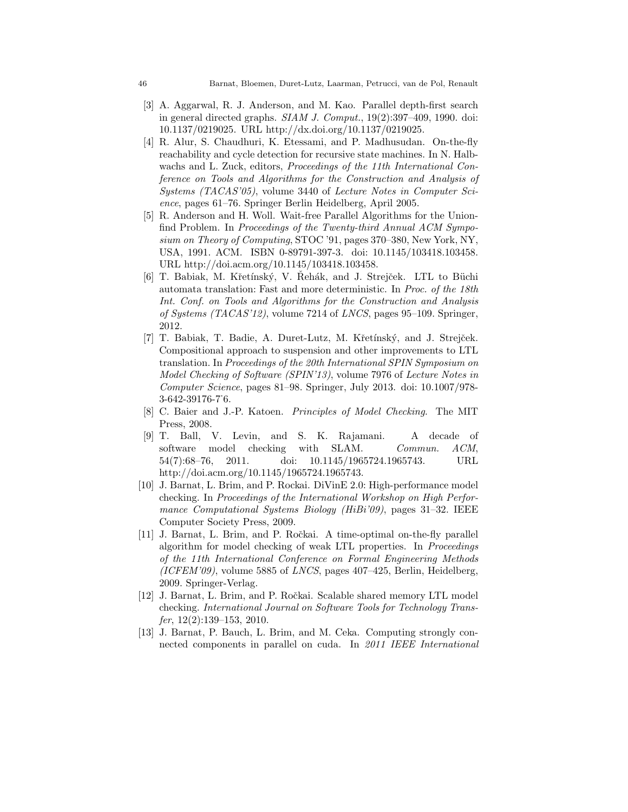- [3] A. Aggarwal, R. J. Anderson, and M. Kao. Parallel depth-first search in general directed graphs. SIAM J. Comput., 19(2):397–409, 1990. doi: 10.1137/0219025. URL http://dx.doi.org/10.1137/0219025.
- [4] R. Alur, S. Chaudhuri, K. Etessami, and P. Madhusudan. On-the-fly reachability and cycle detection for recursive state machines. In N. Halbwachs and L. Zuck, editors, *Proceedings of the 11th International Con*ference on Tools and Algorithms for the Construction and Analysis of Systems (TACAS'05), volume 3440 of Lecture Notes in Computer Science, pages 61–76. Springer Berlin Heidelberg, April 2005.
- [5] R. Anderson and H. Woll. Wait-free Parallel Algorithms for the Unionfind Problem. In Proceedings of the Twenty-third Annual ACM Symposium on Theory of Computing, STOC '91, pages 370–380, New York, NY, USA, 1991. ACM. ISBN 0-89791-397-3. doi: 10.1145/103418.103458. URL http://doi.acm.org/10.1145/103418.103458.
- [6] T. Babiak, M. Křetínský, V. Řehák, and J. Strejček. LTL to Büchi automata translation: Fast and more deterministic. In Proc. of the 18th Int. Conf. on Tools and Algorithms for the Construction and Analysis of Systems  $(TACAS'12)$ , volume 7214 of LNCS, pages 95–109. Springer, 2012.
- [7] T. Babiak, T. Badie, A. Duret-Lutz, M. Křetínský, and J. Strejček. Compositional approach to suspension and other improvements to LTL translation. In Proceedings of the 20th International SPIN Symposium on Model Checking of Software (SPIN'13), volume 7976 of Lecture Notes in Computer Science, pages 81–98. Springer, July 2013. doi: 10.1007/978- 3-642-39176-7˙6.
- [8] C. Baier and J.-P. Katoen. Principles of Model Checking. The MIT Press, 2008.
- [9] T. Ball, V. Levin, and S. K. Rajamani. A decade of software model checking with SLAM. Commun. ACM, 54(7):68–76, 2011. doi: 10.1145/1965724.1965743. URL http://doi.acm.org/10.1145/1965724.1965743.
- [10] J. Barnat, L. Brim, and P. Rockai. DiVinE 2.0: High-performance model checking. In Proceedings of the International Workshop on High Performance Computational Systems Biology (HiBi'09), pages 31–32. IEEE Computer Society Press, 2009.
- [11] J. Barnat, L. Brim, and P. Ročkai. A time-optimal on-the-fly parallel algorithm for model checking of weak LTL properties. In Proceedings of the 11th International Conference on Formal Engineering Methods (ICFEM'09), volume 5885 of LNCS, pages  $407-425$ , Berlin, Heidelberg, 2009. Springer-Verlag.
- [12] J. Barnat, L. Brim, and P. Ročkai. Scalable shared memory LTL model checking. International Journal on Software Tools for Technology Trans $fer, 12(2):139-153, 2010.$
- [13] J. Barnat, P. Bauch, L. Brim, and M. Ceka. Computing strongly connected components in parallel on cuda. In 2011 IEEE International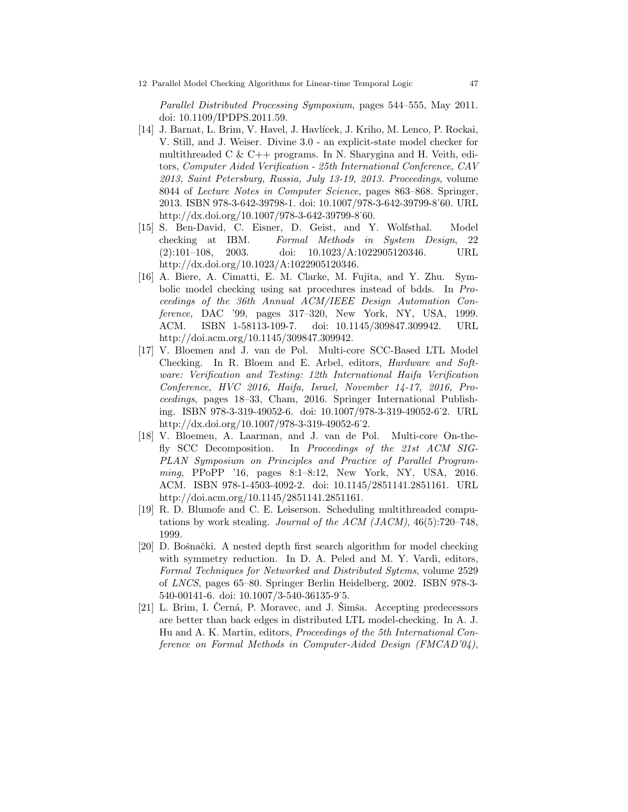Parallel Distributed Processing Symposium, pages 544–555, May 2011. doi: 10.1109/IPDPS.2011.59.

- [14] J. Barnat, L. Brim, V. Havel, J. Havlícek, J. Kriho, M. Lenco, P. Rockai, V. Still, and J. Weiser. Divine 3.0 - an explicit-state model checker for multithreaded C & C++ programs. In N. Sharygina and H. Veith, editors, Computer Aided Verification - 25th International Conference, CAV 2013, Saint Petersburg, Russia, July 13-19, 2013. Proceedings, volume 8044 of Lecture Notes in Computer Science, pages 863–868. Springer, 2013. ISBN 978-3-642-39798-1. doi: 10.1007/978-3-642-39799-8˙60. URL http://dx.doi.org/10.1007/978-3-642-39799-8˙60.
- [15] S. Ben-David, C. Eisner, D. Geist, and Y. Wolfsthal. Model checking at IBM. Formal Methods in System Design, 22 (2):101–108, 2003. doi: 10.1023/A:1022905120346. URL http://dx.doi.org/10.1023/A:1022905120346.
- [16] A. Biere, A. Cimatti, E. M. Clarke, M. Fujita, and Y. Zhu. Symbolic model checking using sat procedures instead of bdds. In Proceedings of the 36th Annual ACM/IEEE Design Automation Conference, DAC '99, pages 317–320, New York, NY, USA, 1999. ACM. ISBN 1-58113-109-7. doi: 10.1145/309847.309942. URL http://doi.acm.org/10.1145/309847.309942.
- [17] V. Bloemen and J. van de Pol. Multi-core SCC-Based LTL Model Checking. In R. Bloem and E. Arbel, editors, Hardware and Software: Verification and Testing: 12th International Haifa Verification Conference, HVC 2016, Haifa, Israel, November 14-17, 2016, Proceedings, pages 18–33, Cham, 2016. Springer International Publishing. ISBN 978-3-319-49052-6. doi: 10.1007/978-3-319-49052-6˙2. URL http://dx.doi.org/10.1007/978-3-319-49052-6˙2.
- [18] V. Bloemen, A. Laarman, and J. van de Pol. Multi-core On-thefly SCC Decomposition. In Proceedings of the 21st ACM SIG-PLAN Symposium on Principles and Practice of Parallel Programming, PPoPP '16, pages 8:1–8:12, New York, NY, USA, 2016. ACM. ISBN 978-1-4503-4092-2. doi: 10.1145/2851141.2851161. URL http://doi.acm.org/10.1145/2851141.2851161.
- [19] R. D. Blumofe and C. E. Leiserson. Scheduling multithreaded computations by work stealing. Journal of the ACM (JACM),  $46(5)$ :720–748. 1999.
- [20] D. Bošnački. A nested depth first search algorithm for model checking with symmetry reduction. In D. A. Peled and M. Y. Vardi, editors, Formal Techniques for Networked and Distributed Sytems, volume 2529 of LNCS, pages 65–80. Springer Berlin Heidelberg, 2002. ISBN 978-3- 540-00141-6. doi: 10.1007/3-540-36135-9˙5.
- $[21]$  L. Brim, I. Cerná, P. Moravec, and J. Simša. Accepting predecessors are better than back edges in distributed LTL model-checking. In A. J. Hu and A. K. Martin, editors, Proceedings of the 5th International Conference on Formal Methods in Computer-Aided Design (FMCAD'04),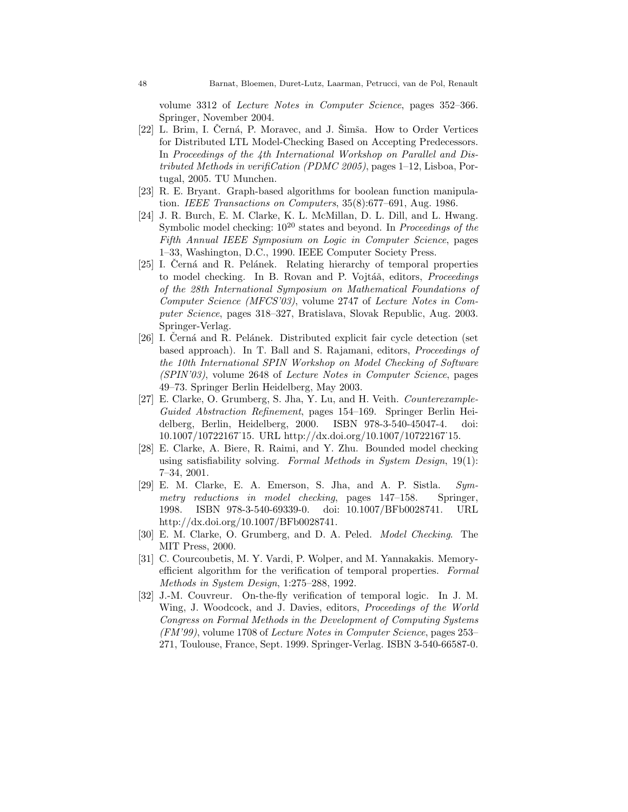volume 3312 of Lecture Notes in Computer Science, pages 352–366. Springer, November 2004.

- $[22]$  L. Brim, I. Cerná, P. Moravec, and J. Simša. How to Order Vertices for Distributed LTL Model-Checking Based on Accepting Predecessors. In Proceedings of the 4th International Workshop on Parallel and Distributed Methods in verifiCation (PDMC 2005), pages 1–12, Lisboa, Portugal, 2005. TU Munchen.
- [23] R. E. Bryant. Graph-based algorithms for boolean function manipulation. IEEE Transactions on Computers, 35(8):677–691, Aug. 1986.
- [24] J. R. Burch, E. M. Clarke, K. L. McMillan, D. L. Dill, and L. Hwang. Symbolic model checking:  $10^{20}$  states and beyond. In *Proceedings of the* Fifth Annual IEEE Symposium on Logic in Computer Science, pages 1–33, Washington, D.C., 1990. IEEE Computer Society Press.
- [25] I. Černá and R. Pelánek. Relating hierarchy of temporal properties to model checking. In B. Rovan and P. Vojtáă, editors, Proceedings of the 28th International Symposium on Mathematical Foundations of Computer Science (MFCS'03), volume 2747 of Lecture Notes in Computer Science, pages 318–327, Bratislava, Slovak Republic, Aug. 2003. Springer-Verlag.
- [26] I. Cerná and R. Pelánek. Distributed explicit fair cycle detection (set based approach). In T. Ball and S. Rajamani, editors, Proceedings of the 10th International SPIN Workshop on Model Checking of Software (SPIN'03), volume 2648 of Lecture Notes in Computer Science, pages 49–73. Springer Berlin Heidelberg, May 2003.
- [27] E. Clarke, O. Grumberg, S. Jha, Y. Lu, and H. Veith. Counterexample-Guided Abstraction Refinement, pages 154–169. Springer Berlin Heidelberg, Berlin, Heidelberg, 2000. ISBN 978-3-540-45047-4. doi: 10.1007/10722167˙15. URL http://dx.doi.org/10.1007/10722167˙15.
- [28] E. Clarke, A. Biere, R. Raimi, and Y. Zhu. Bounded model checking using satisfiability solving. Formal Methods in System Design,  $19(1)$ : 7–34, 2001.
- [29] E. M. Clarke, E. A. Emerson, S. Jha, and A. P. Sistla. Symmetry reductions in model checking, pages 147–158. Springer, 1998. ISBN 978-3-540-69339-0. doi: 10.1007/BFb0028741. URL http://dx.doi.org/10.1007/BFb0028741.
- [30] E. M. Clarke, O. Grumberg, and D. A. Peled. Model Checking. The MIT Press, 2000.
- [31] C. Courcoubetis, M. Y. Vardi, P. Wolper, and M. Yannakakis. Memoryefficient algorithm for the verification of temporal properties. Formal Methods in System Design, 1:275–288, 1992.
- [32] J.-M. Couvreur. On-the-fly verification of temporal logic. In J. M. Wing, J. Woodcock, and J. Davies, editors, Proceedings of the World Congress on Formal Methods in the Development of Computing Systems (FM'99), volume 1708 of Lecture Notes in Computer Science, pages 253– 271, Toulouse, France, Sept. 1999. Springer-Verlag. ISBN 3-540-66587-0.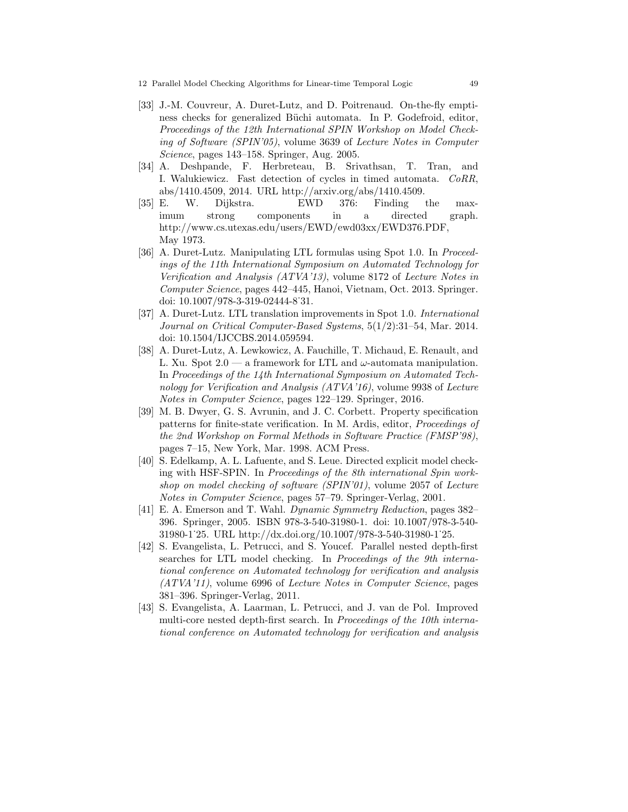- 12 Parallel Model Checking Algorithms for Linear-time Temporal Logic 49
- [33] J.-M. Couvreur, A. Duret-Lutz, and D. Poitrenaud. On-the-fly emptiness checks for generalized Büchi automata. In P. Godefroid, editor, Proceedings of the 12th International SPIN Workshop on Model Checking of Software (SPIN'05), volume 3639 of Lecture Notes in Computer Science, pages 143–158. Springer, Aug. 2005.
- [34] A. Deshpande, F. Herbreteau, B. Srivathsan, T. Tran, and I. Walukiewicz. Fast detection of cycles in timed automata. CoRR, abs/1410.4509, 2014. URL http://arxiv.org/abs/1410.4509.
- [35] E. W. Dijkstra. EWD 376: Finding the maximum strong components in a directed graph. http://www.cs.utexas.edu/users/EWD/ewd03xx/EWD376.PDF, May 1973.
- [36] A. Duret-Lutz. Manipulating LTL formulas using Spot 1.0. In *Proceed*ings of the 11th International Symposium on Automated Technology for Verification and Analysis (ATVA'13), volume 8172 of Lecture Notes in Computer Science, pages 442–445, Hanoi, Vietnam, Oct. 2013. Springer. doi: 10.1007/978-3-319-02444-8˙31.
- [37] A. Duret-Lutz. LTL translation improvements in Spot 1.0. International Journal on Critical Computer-Based Systems, 5(1/2):31–54, Mar. 2014. doi: 10.1504/IJCCBS.2014.059594.
- [38] A. Duret-Lutz, A. Lewkowicz, A. Fauchille, T. Michaud, E. Renault, and L. Xu. Spot  $2.0 - a$  framework for LTL and  $\omega$ -automata manipulation. In Proceedings of the 14th International Symposium on Automated Technology for Verification and Analysis (ATVA'16), volume 9938 of Lecture Notes in Computer Science, pages 122–129. Springer, 2016.
- [39] M. B. Dwyer, G. S. Avrunin, and J. C. Corbett. Property specification patterns for finite-state verification. In M. Ardis, editor, Proceedings of the 2nd Workshop on Formal Methods in Software Practice (FMSP'98), pages 7–15, New York, Mar. 1998. ACM Press.
- [40] S. Edelkamp, A. L. Lafuente, and S. Leue. Directed explicit model checking with HSF-SPIN. In Proceedings of the 8th international Spin workshop on model checking of software (SPIN'01), volume 2057 of Lecture Notes in Computer Science, pages 57–79. Springer-Verlag, 2001.
- [41] E. A. Emerson and T. Wahl. Dynamic Symmetry Reduction, pages 382– 396. Springer, 2005. ISBN 978-3-540-31980-1. doi: 10.1007/978-3-540- 31980-1˙25. URL http://dx.doi.org/10.1007/978-3-540-31980-1˙25.
- [42] S. Evangelista, L. Petrucci, and S. Youcef. Parallel nested depth-first searches for LTL model checking. In Proceedings of the 9th international conference on Automated technology for verification and analysis (ATVA'11), volume 6996 of Lecture Notes in Computer Science, pages 381–396. Springer-Verlag, 2011.
- [43] S. Evangelista, A. Laarman, L. Petrucci, and J. van de Pol. Improved multi-core nested depth-first search. In Proceedings of the 10th international conference on Automated technology for verification and analysis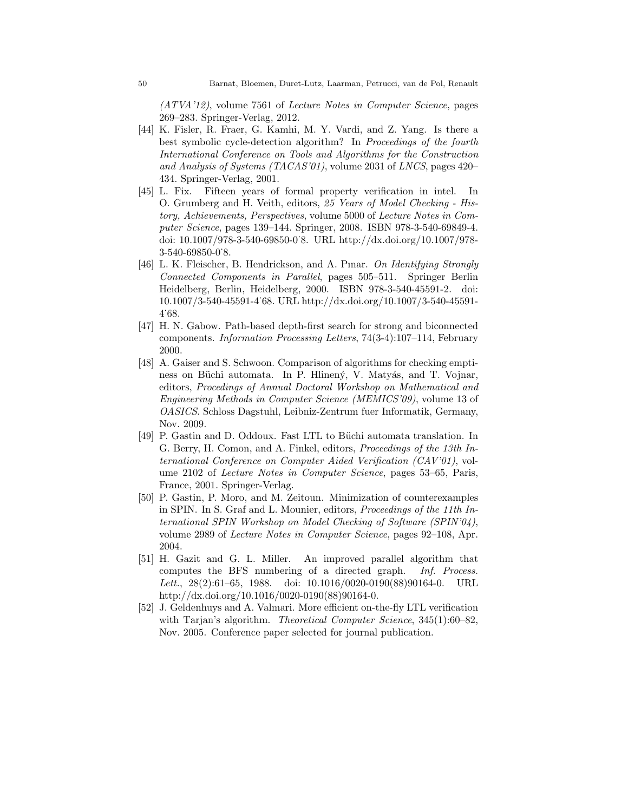(ATVA'12), volume 7561 of Lecture Notes in Computer Science, pages 269–283. Springer-Verlag, 2012.

- [44] K. Fisler, R. Fraer, G. Kamhi, M. Y. Vardi, and Z. Yang. Is there a best symbolic cycle-detection algorithm? In Proceedings of the fourth International Conference on Tools and Algorithms for the Construction and Analysis of Systems (TACAS'01), volume 2031 of LNCS, pages 420– 434. Springer-Verlag, 2001.
- [45] L. Fix. Fifteen years of formal property verification in intel. In O. Grumberg and H. Veith, editors, 25 Years of Model Checking - History, Achievements, Perspectives, volume 5000 of Lecture Notes in Computer Science, pages 139–144. Springer, 2008. ISBN 978-3-540-69849-4. doi: 10.1007/978-3-540-69850-0˙8. URL http://dx.doi.org/10.1007/978- 3-540-69850-0˙8.
- [46] L. K. Fleischer, B. Hendrickson, and A. Pinar. On Identifying Strongly Connected Components in Parallel, pages 505–511. Springer Berlin Heidelberg, Berlin, Heidelberg, 2000. ISBN 978-3-540-45591-2. doi: 10.1007/3-540-45591-4˙68. URL http://dx.doi.org/10.1007/3-540-45591- 4˙68.
- [47] H. N. Gabow. Path-based depth-first search for strong and biconnected components. Information Processing Letters, 74(3-4):107–114, February 2000.
- [48] A. Gaiser and S. Schwoon. Comparison of algorithms for checking emptiness on Büchi automata. In P. Hlinený, V. Matyás, and T. Vojnar, editors, Procedings of Annual Doctoral Workshop on Mathematical and Engineering Methods in Computer Science (MEMICS'09), volume 13 of OASICS. Schloss Dagstuhl, Leibniz-Zentrum fuer Informatik, Germany, Nov. 2009.
- [49] P. Gastin and D. Oddoux. Fast LTL to Büchi automata translation. In G. Berry, H. Comon, and A. Finkel, editors, Proceedings of the 13th International Conference on Computer Aided Verification (CAV'01), volume 2102 of *Lecture Notes in Computer Science*, pages 53–65, Paris, France, 2001. Springer-Verlag.
- [50] P. Gastin, P. Moro, and M. Zeitoun. Minimization of counterexamples in SPIN. In S. Graf and L. Mounier, editors, Proceedings of the 11th International SPIN Workshop on Model Checking of Software (SPIN'04), volume 2989 of Lecture Notes in Computer Science, pages 92–108, Apr. 2004.
- [51] H. Gazit and G. L. Miller. An improved parallel algorithm that computes the BFS numbering of a directed graph. Inf. Process. Lett., 28(2):61–65, 1988. doi: 10.1016/0020-0190(88)90164-0. URL http://dx.doi.org/10.1016/0020-0190(88)90164-0.
- [52] J. Geldenhuys and A. Valmari. More efficient on-the-fly LTL verification with Tarjan's algorithm. Theoretical Computer Science, 345(1):60-82, Nov. 2005. Conference paper selected for journal publication.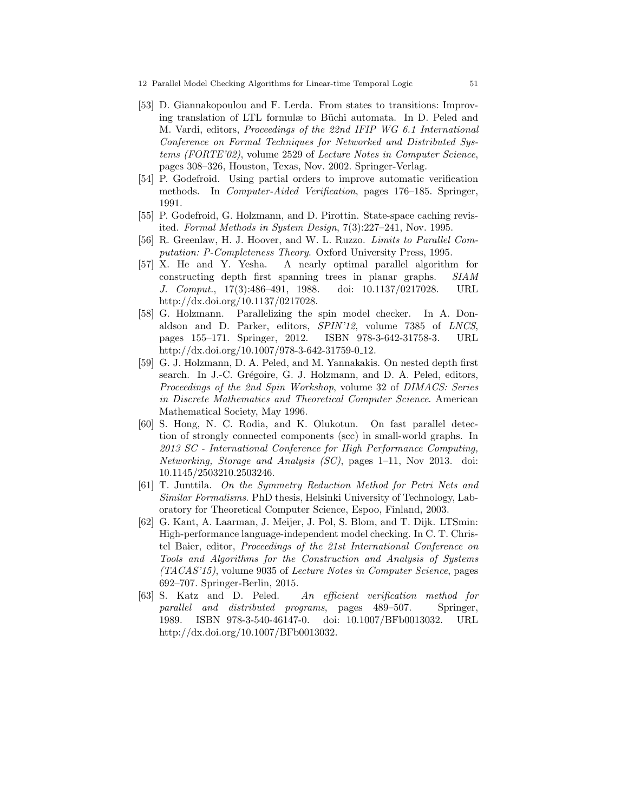- 12 Parallel Model Checking Algorithms for Linear-time Temporal Logic 51
- [53] D. Giannakopoulou and F. Lerda. From states to transitions: Improving translation of LTL formulæ to Büchi automata. In D. Peled and M. Vardi, editors, Proceedings of the 22nd IFIP WG 6.1 International Conference on Formal Techniques for Networked and Distributed Systems (FORTE'02), volume 2529 of Lecture Notes in Computer Science, pages 308–326, Houston, Texas, Nov. 2002. Springer-Verlag.
- [54] P. Godefroid. Using partial orders to improve automatic verification methods. In Computer-Aided Verification, pages 176–185. Springer, 1991.
- [55] P. Godefroid, G. Holzmann, and D. Pirottin. State-space caching revisited. Formal Methods in System Design, 7(3):227–241, Nov. 1995.
- [56] R. Greenlaw, H. J. Hoover, and W. L. Ruzzo. Limits to Parallel Computation: P-Completeness Theory. Oxford University Press, 1995.
- [57] X. He and Y. Yesha. A nearly optimal parallel algorithm for constructing depth first spanning trees in planar graphs. SIAM J. Comput., 17(3):486–491, 1988. doi: 10.1137/0217028. URL http://dx.doi.org/10.1137/0217028.
- [58] G. Holzmann. Parallelizing the spin model checker. In A. Donaldson and D. Parker, editors, SPIN'12, volume 7385 of LNCS, pages 155–171. Springer, 2012. ISBN 978-3-642-31758-3. URL http://dx.doi.org/10.1007/978-3-642-31759-0 12.
- [59] G. J. Holzmann, D. A. Peled, and M. Yannakakis. On nested depth first search. In J.-C. Grégoire, G. J. Holzmann, and D. A. Peled, editors, Proceedings of the 2nd Spin Workshop, volume 32 of DIMACS: Series in Discrete Mathematics and Theoretical Computer Science. American Mathematical Society, May 1996.
- [60] S. Hong, N. C. Rodia, and K. Olukotun. On fast parallel detection of strongly connected components (scc) in small-world graphs. In 2013 SC - International Conference for High Performance Computing, Networking, Storage and Analysis (SC), pages 1–11, Nov 2013. doi: 10.1145/2503210.2503246.
- [61] T. Junttila. On the Symmetry Reduction Method for Petri Nets and Similar Formalisms. PhD thesis, Helsinki University of Technology, Laboratory for Theoretical Computer Science, Espoo, Finland, 2003.
- [62] G. Kant, A. Laarman, J. Meijer, J. Pol, S. Blom, and T. Dijk. LTSmin: High-performance language-independent model checking. In C. T. Christel Baier, editor, Proceedings of the 21st International Conference on Tools and Algorithms for the Construction and Analysis of Systems (TACAS'15), volume 9035 of Lecture Notes in Computer Science, pages 692–707. Springer-Berlin, 2015.
- [63] S. Katz and D. Peled. An efficient verification method for parallel and distributed programs, pages 489–507. Springer, 1989. ISBN 978-3-540-46147-0. doi: 10.1007/BFb0013032. URL http://dx.doi.org/10.1007/BFb0013032.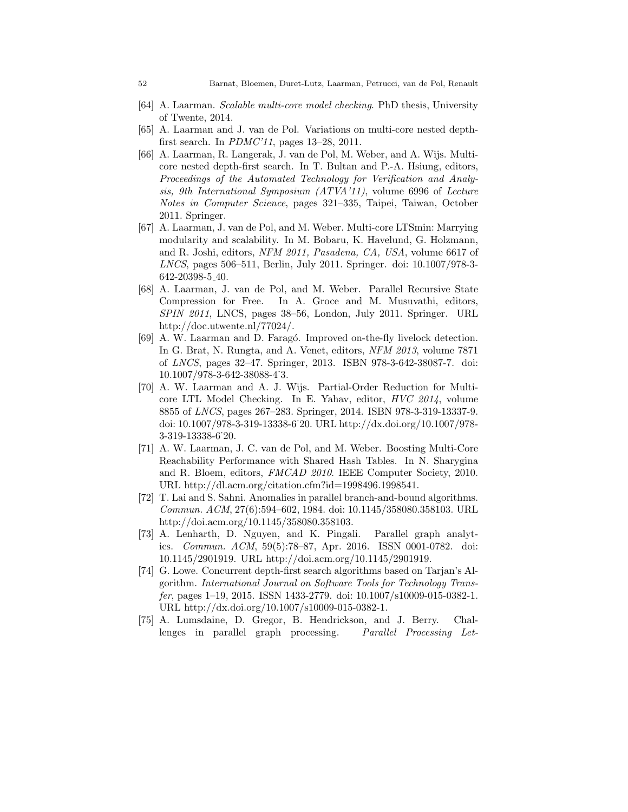- [64] A. Laarman. Scalable multi-core model checking. PhD thesis, University of Twente, 2014.
- [65] A. Laarman and J. van de Pol. Variations on multi-core nested depthfirst search. In PDMC'11, pages 13–28, 2011.
- [66] A. Laarman, R. Langerak, J. van de Pol, M. Weber, and A. Wijs. Multicore nested depth-first search. In T. Bultan and P.-A. Hsiung, editors, Proceedings of the Automated Technology for Verification and Analysis, 9th International Symposium (ATVA'11), volume 6996 of Lecture Notes in Computer Science, pages 321–335, Taipei, Taiwan, October 2011. Springer.
- [67] A. Laarman, J. van de Pol, and M. Weber. Multi-core LTSmin: Marrying modularity and scalability. In M. Bobaru, K. Havelund, G. Holzmann, and R. Joshi, editors, NFM 2011, Pasadena, CA, USA, volume 6617 of LNCS, pages 506–511, Berlin, July 2011. Springer. doi: 10.1007/978-3- 642-20398-5 40.
- [68] A. Laarman, J. van de Pol, and M. Weber. Parallel Recursive State Compression for Free. In A. Groce and M. Musuvathi, editors, SPIN 2011, LNCS, pages 38–56, London, July 2011. Springer. URL http://doc.utwente.nl/77024/.
- [69] A. W. Laarman and D. Faragó. Improved on-the-fly livelock detection. In G. Brat, N. Rungta, and A. Venet, editors, NFM 2013, volume 7871 of LNCS, pages 32–47. Springer, 2013. ISBN 978-3-642-38087-7. doi: 10.1007/978-3-642-38088-4˙3.
- [70] A. W. Laarman and A. J. Wijs. Partial-Order Reduction for Multicore LTL Model Checking. In E. Yahav, editor, HVC 2014, volume 8855 of LNCS, pages 267–283. Springer, 2014. ISBN 978-3-319-13337-9. doi: 10.1007/978-3-319-13338-6˙20. URL http://dx.doi.org/10.1007/978- 3-319-13338-6˙20.
- [71] A. W. Laarman, J. C. van de Pol, and M. Weber. Boosting Multi-Core Reachability Performance with Shared Hash Tables. In N. Sharygina and R. Bloem, editors, FMCAD 2010. IEEE Computer Society, 2010. URL http://dl.acm.org/citation.cfm?id=1998496.1998541.
- [72] T. Lai and S. Sahni. Anomalies in parallel branch-and-bound algorithms. Commun. ACM, 27(6):594–602, 1984. doi: 10.1145/358080.358103. URL http://doi.acm.org/10.1145/358080.358103.
- [73] A. Lenharth, D. Nguyen, and K. Pingali. Parallel graph analytics. Commun. ACM, 59(5):78–87, Apr. 2016. ISSN 0001-0782. doi: 10.1145/2901919. URL http://doi.acm.org/10.1145/2901919.
- [74] G. Lowe. Concurrent depth-first search algorithms based on Tarjan's Algorithm. International Journal on Software Tools for Technology Transfer, pages 1–19, 2015. ISSN 1433-2779. doi: 10.1007/s10009-015-0382-1. URL http://dx.doi.org/10.1007/s10009-015-0382-1.
- [75] A. Lumsdaine, D. Gregor, B. Hendrickson, and J. Berry. Challenges in parallel graph processing. Parallel Processing Let-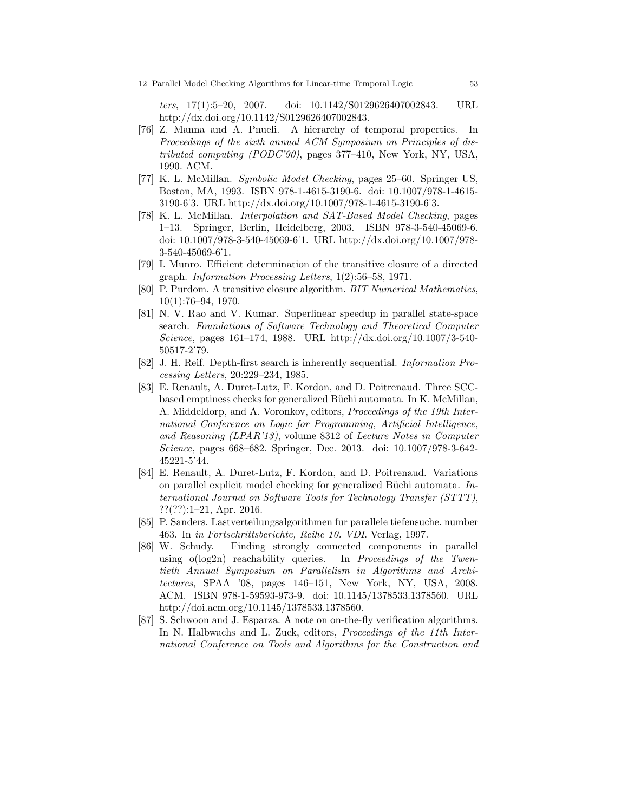ters, 17(1):5–20, 2007. doi: 10.1142/S0129626407002843. URL http://dx.doi.org/10.1142/S0129626407002843.

- [76] Z. Manna and A. Pnueli. A hierarchy of temporal properties. In Proceedings of the sixth annual ACM Symposium on Principles of distributed computing (PODC'90), pages 377–410, New York, NY, USA, 1990. ACM.
- [77] K. L. McMillan. Symbolic Model Checking, pages 25–60. Springer US, Boston, MA, 1993. ISBN 978-1-4615-3190-6. doi: 10.1007/978-1-4615- 3190-6˙3. URL http://dx.doi.org/10.1007/978-1-4615-3190-6˙3.
- [78] K. L. McMillan. Interpolation and SAT-Based Model Checking, pages 1–13. Springer, Berlin, Heidelberg, 2003. ISBN 978-3-540-45069-6. doi: 10.1007/978-3-540-45069-6˙1. URL http://dx.doi.org/10.1007/978- 3-540-45069-6˙1.
- [79] I. Munro. Efficient determination of the transitive closure of a directed graph. Information Processing Letters, 1(2):56–58, 1971.
- [80] P. Purdom. A transitive closure algorithm. BIT Numerical Mathematics, 10(1):76–94, 1970.
- [81] N. V. Rao and V. Kumar. Superlinear speedup in parallel state-space search. Foundations of Software Technology and Theoretical Computer Science, pages 161–174, 1988. URL http://dx.doi.org/10.1007/3-540- 50517-2˙79.
- [82] J. H. Reif. Depth-first search is inherently sequential. Information Processing Letters, 20:229–234, 1985.
- [83] E. Renault, A. Duret-Lutz, F. Kordon, and D. Poitrenaud. Three SCCbased emptiness checks for generalized Büchi automata. In K. McMillan, A. Middeldorp, and A. Voronkov, editors, Proceedings of the 19th International Conference on Logic for Programming, Artificial Intelligence, and Reasoning (LPAR'13), volume 8312 of Lecture Notes in Computer Science, pages 668–682. Springer, Dec. 2013. doi: 10.1007/978-3-642- 45221-5˙44.
- [84] E. Renault, A. Duret-Lutz, F. Kordon, and D. Poitrenaud. Variations on parallel explicit model checking for generalized Büchi automata. International Journal on Software Tools for Technology Transfer (STTT),  $??(??):1–21,$  Apr. 2016.
- [85] P. Sanders. Lastverteilungsalgorithmen fur parallele tiefensuche. number 463. In in Fortschrittsberichte, Reihe 10. VDI. Verlag, 1997.
- [86] W. Schudy. Finding strongly connected components in parallel using  $o(log2n)$  reachability queries. In *Proceedings of the Twen*tieth Annual Symposium on Parallelism in Algorithms and Architectures, SPAA '08, pages 146–151, New York, NY, USA, 2008. ACM. ISBN 978-1-59593-973-9. doi: 10.1145/1378533.1378560. URL http://doi.acm.org/10.1145/1378533.1378560.
- [87] S. Schwoon and J. Esparza. A note on on-the-fly verification algorithms. In N. Halbwachs and L. Zuck, editors, *Proceedings of the 11th Inter*national Conference on Tools and Algorithms for the Construction and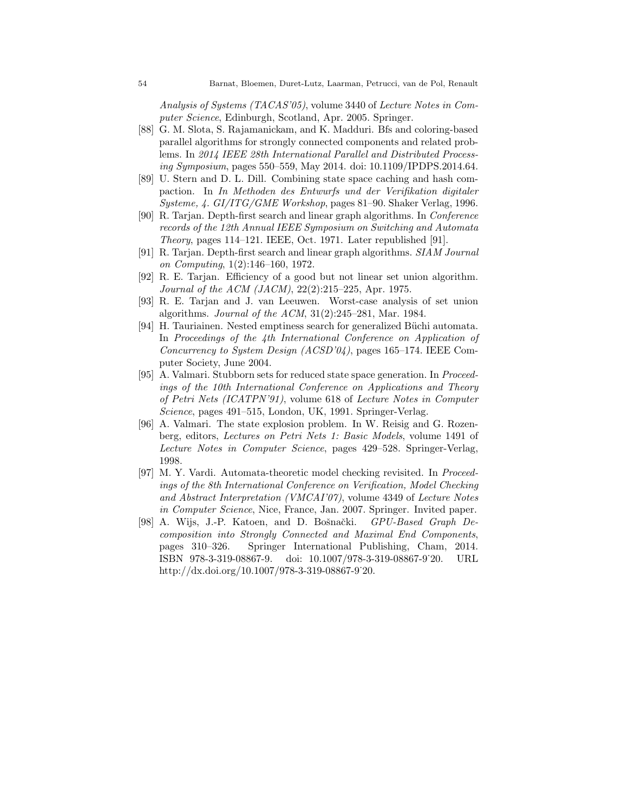Analysis of Systems (TACAS'05), volume 3440 of Lecture Notes in Computer Science, Edinburgh, Scotland, Apr. 2005. Springer.

- [88] G. M. Slota, S. Rajamanickam, and K. Madduri. Bfs and coloring-based parallel algorithms for strongly connected components and related problems. In 2014 IEEE 28th International Parallel and Distributed Processing Symposium, pages 550–559, May 2014. doi: 10.1109/IPDPS.2014.64.
- [89] U. Stern and D. L. Dill. Combining state space caching and hash compaction. In In Methoden des Entwurfs und der Verifikation digitaler Systeme, 4. GI/ITG/GME Workshop, pages 81–90. Shaker Verlag, 1996.
- [90] R. Tarjan. Depth-first search and linear graph algorithms. In Conference records of the 12th Annual IEEE Symposium on Switching and Automata Theory, pages 114–121. IEEE, Oct. 1971. Later republished [91].
- [91] R. Tarjan. Depth-first search and linear graph algorithms. SIAM Journal on Computing, 1(2):146–160, 1972.
- [92] R. E. Tarjan. Efficiency of a good but not linear set union algorithm. Journal of the ACM (JACM), 22(2):215–225, Apr. 1975.
- [93] R. E. Tarjan and J. van Leeuwen. Worst-case analysis of set union algorithms. Journal of the ACM,  $31(2):245-281$ , Mar. 1984.
- [94] H. Tauriainen. Nested emptiness search for generalized Büchi automata. In Proceedings of the 4th International Conference on Application of Concurrency to System Design (ACSD'04), pages 165–174. IEEE Computer Society, June 2004.
- [95] A. Valmari. Stubborn sets for reduced state space generation. In Proceedings of the 10th International Conference on Applications and Theory of Petri Nets (ICATPN'91), volume 618 of Lecture Notes in Computer Science, pages 491–515, London, UK, 1991. Springer-Verlag.
- [96] A. Valmari. The state explosion problem. In W. Reisig and G. Rozenberg, editors, Lectures on Petri Nets 1: Basic Models, volume 1491 of Lecture Notes in Computer Science, pages 429–528. Springer-Verlag, 1998.
- [97] M. Y. Vardi. Automata-theoretic model checking revisited. In Proceedings of the 8th International Conference on Verification, Model Checking and Abstract Interpretation (VMCAI'07), volume 4349 of Lecture Notes in Computer Science, Nice, France, Jan. 2007. Springer. Invited paper.
- [98] A. Wijs, J.-P. Katoen, and D. Bošnački. *GPU-Based Graph De*composition into Strongly Connected and Maximal End Components, pages 310–326. Springer International Publishing, Cham, 2014. ISBN 978-3-319-08867-9. doi: 10.1007/978-3-319-08867-9˙20. URL http://dx.doi.org/10.1007/978-3-319-08867-9˙20.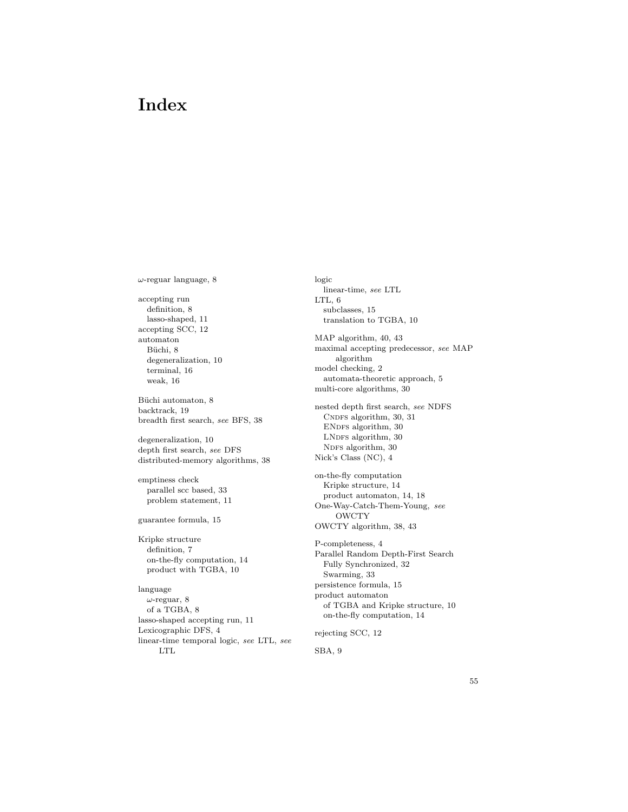# Index

 $\omega$ -reguar language, 8

accepting run definition, 8 lasso-shaped, 11 accepting SCC, 12 automaton Büchi, 8 degeneralization, 10 terminal, 16 weak, 16

Büchi automaton, 8 backtrack, 19 breadth first search, see BFS, 38

degeneralization, 10 depth first search, see DFS distributed-memory algorithms, 38

emptiness check parallel scc based, 33 problem statement, 11

guarantee formula, 15

Kripke structure definition, 7 on-the-fly computation, 14 product with TGBA, 10

language  $\omega$ -reguar, 8 of a TGBA, 8 lasso-shaped accepting run, 11 Lexicographic DFS, 4 linear-time temporal logic, see LTL, see  $\mbox{LTL}$ 

logic linear-time, see LTL LTL, 6 subclasses, 15 translation to TGBA, 10

MAP algorithm, 40, 43 maximal accepting predecessor, see MAP algorithm model checking, 2 automata-theoretic approach, 5 multi-core algorithms, 30

nested depth first search, see NDFS CNDFS algorithm, 30, 31 ENDFS algorithm, 30 LNDFS algorithm, 30 NDFS algorithm, 30 Nick's Class (NC), 4

on-the-fly computation Kripke structure, 14 product automaton, 14, 18 One-Way-Catch-Them-Young, see OWCTY OWCTY algorithm, 38, 43

P-completeness, 4 Parallel Random Depth-First Search Fully Synchronized, 32 Swarming, 33 persistence formula, 15 product automaton of TGBA and Kripke structure, 10 on-the-fly computation, 14

rejecting SCC, 12

SBA, 9